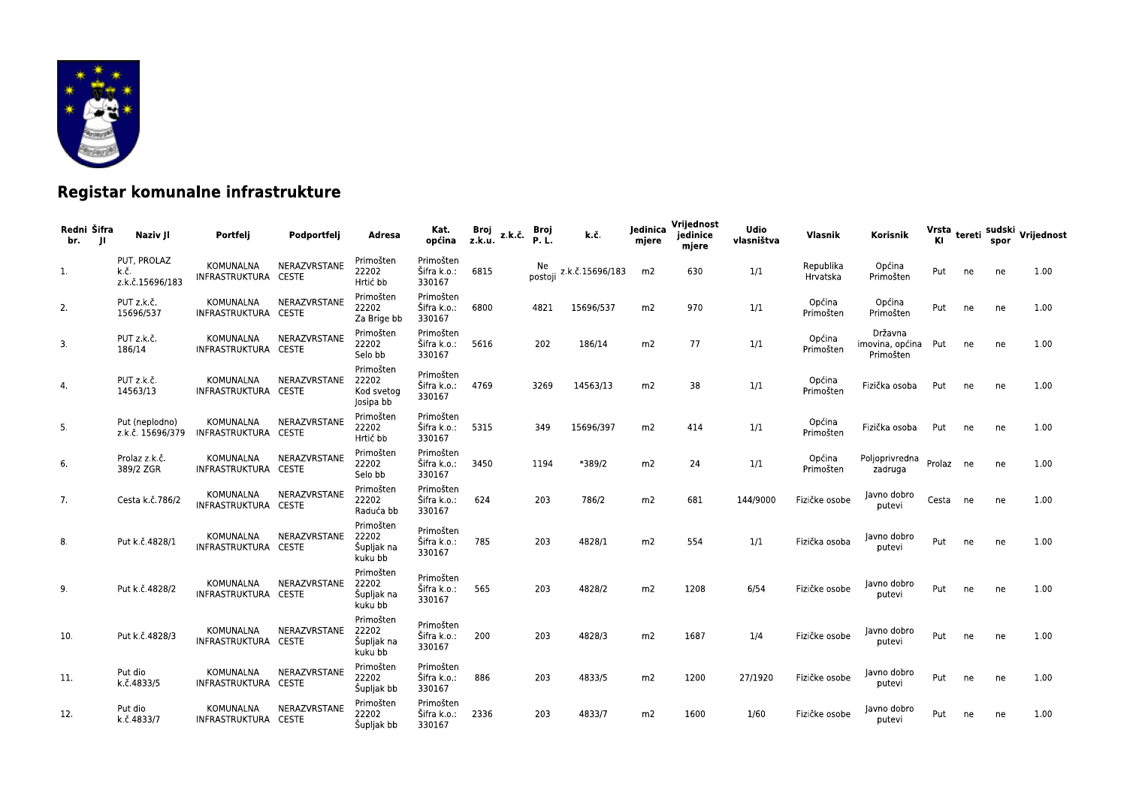

## Registar komunalne infrastrukture

| Redni Šifra<br>br.<br>JI. | Naziv JI                               | Portfelj                                 | Podportfelj                  | Adresa                                        | Kat.<br>općina                     | Broj<br>z.k.u. | z.k.č. | Broj<br><b>P.L.</b> | k.č.            | Jedinica<br>mjere | Vrijednost<br>jedinice<br>mjere | <b>Udio</b><br>vlasništva | Vlasnik               | Korisnik                                |           |    | spor | Vrsta tereti sudski Vrijednost |
|---------------------------|----------------------------------------|------------------------------------------|------------------------------|-----------------------------------------------|------------------------------------|----------------|--------|---------------------|-----------------|-------------------|---------------------------------|---------------------------|-----------------------|-----------------------------------------|-----------|----|------|--------------------------------|
| 1.                        | PUT, PROLAZ<br>k.č.<br>z.k.č.15696/183 | KOMUNALNA<br>INFRASTRUKTURA CESTE        | NERAZVRSTANE                 | Primošten<br>22202<br>Hrtić bb                | Primošten<br>Šifra k.o.:<br>330167 | 6815           |        | Ne.<br>postoji      | z.k.č.15696/183 | m <sub>2</sub>    | 630                             | 1/1                       | Republika<br>Hrvatska | Općina<br>Primošten                     | Put       | ne | ne   | 1.00                           |
| 2.                        | PUT z.k.č.<br>15696/537                | KOMUNALNA<br>INFRASTRUKTURA CESTE        | NERAZVRSTANE                 | Primošten<br>22202<br>Za Brige bb             | Primošten<br>Šifra k.o.:<br>330167 | 6800           |        | 4821                | 15696/537       | m2                | 970                             | 1/1                       | Općina<br>Primošten   | Općina<br>Primošten                     | Put       | ne | ne   | 1.00                           |
| 3.                        | PUT z.k.č.<br>186/14                   | <b>KOMUNALNA</b><br>INFRASTRUKTURA CESTE | NERAZVRSTANE                 | Primošten<br>22202<br>Selo bb                 | Primošten<br>Šifra k.o.:<br>330167 | 5616           |        | 202                 | 186/14          | m2                | 77                              | 1/1                       | Općina<br>Primošten   | Državna<br>imovina, općina<br>Primošten | Put       | ne | ne   | 1.00                           |
| 4.                        | PUT z.k.č.<br>14563/13                 | KOMUNALNA<br>INFRASTRUKTURA CESTE        | NERAZVRSTANE                 | Primošten<br>22202<br>Kod svetog<br>Josipa bb | Primošten<br>Šifra k.o.:<br>330167 | 4769           |        | 3269                | 14563/13        | m <sub>2</sub>    | 38                              | 1/1                       | Općina<br>Primošten   | Fizička osoba                           | Put       | ne | ne   | 1.00                           |
| 5.                        | Put (neplodno)<br>z.k.č. 15696/379     | KOMUNALNA<br>INFRASTRUKTURA CESTE        | NERAZVRSTANE                 | Primošten<br>22202<br>Hrtić bb                | Primošten<br>Šifra k.o.:<br>330167 | 5315           |        | 349                 | 15696/397       | m2                | 414                             | 1/1                       | Općina<br>Primošten   | Fizička osoba                           | Put       | ne | ne   | 1.00                           |
| 6.                        | Prolaz z.k.č.<br>389/2 ZGR             | KOMUNALNA<br>INFRASTRUKTURA CESTE        | NERAZVRSTANE                 | Primošten<br>22202<br>Selo bb                 | Primošten<br>Šifra k.o.:<br>330167 | 3450           |        | 1194                | *389/2          | m2                | 24                              | 1/1                       | Općina<br>Primošten   | Poljoprivredna<br>zadruga               | Prolaz ne |    | ne   | 1.00                           |
| 7.                        | Cesta k.č.786/2                        | KOMUNALNA<br>INFRASTRUKTURA CESTE        | NERAZVRSTANE                 | Primošten<br>22202<br>Raduća bb               | Primošten<br>Šifra k.o.:<br>330167 | 624            |        | 203                 | 786/2           | m2                | 681                             | 144/9000                  | Fizičke osobe         | Javno dobro<br>putevi                   | Cesta     | ne | ne   | 1.00                           |
| 8.                        | Put k.č.4828/1                         | KOMUNALNA<br>INFRASTRUKTURA CESTE        | NERAZVRSTANE                 | Primošten<br>22202<br>Šupljak na<br>kuku bb   | Primošten<br>Šifra k.o.:<br>330167 | 785            |        | 203                 | 4828/1          | m <sub>2</sub>    | 554                             | 1/1                       | Fizička osoba         | Javno dobro<br>putevi                   | Put       | ne | ne   | 1.00                           |
| 9.                        | Put k.č.4828/2                         | KOMUNALNA<br>INFRASTRUKTURA CESTE        | NERAZVRSTANE                 | Primošten<br>22202<br>Šupljak na<br>kuku bb   | Primošten<br>Šifra k.o.:<br>330167 | 565            |        | 203                 | 4828/2          | m <sub>2</sub>    | 1208                            | 6/54                      | Fizičke osobe         | Javno dobro<br>putevi                   | Put       | ne | ne   | 1.00                           |
| 10.                       | Put k.č.4828/3                         | KOMUNALNA<br>INFRASTRUKTURA CESTE        | NERAZVRSTANE                 | Primošten<br>22202<br>Šupljak na<br>kuku bb   | Primošten<br>Šifra k.o.:<br>330167 | 200            |        | 203                 | 4828/3          | m <sub>2</sub>    | 1687                            | 1/4                       | Fizičke osobe         | Javno dobro<br>putevi                   | Put       | ne | ne   | 1.00                           |
| 11.                       | Put dio<br>k.č.4833/5                  | KOMUNALNA<br>INFRASTRUKTURA              | NERAZVRSTANE<br><b>CESTE</b> | Primošten<br>22202<br>Šupljak bb              | Primošten<br>Šifra k.o.:<br>330167 | 886            |        | 203                 | 4833/5          | m <sub>2</sub>    | 1200                            | 27/1920                   | Fizičke osobe         | Javno dobro<br>putevi                   | Put       | ne | ne   | 1.00                           |
| 12.                       | Put dio<br>k.č.4833/7                  | KOMUNALNA<br>INFRASTRUKTURA CESTE        | NERAZVRSTANE                 | Primošten<br>22202<br>Šupljak bb              | Primošten<br>Šifra k.o.:<br>330167 | 2336           |        | 203                 | 4833/7          | m2                | 1600                            | 1/60                      | Fizičke osobe         | Javno dobro<br>putevi                   | Put       | ne | ne   | 1.00                           |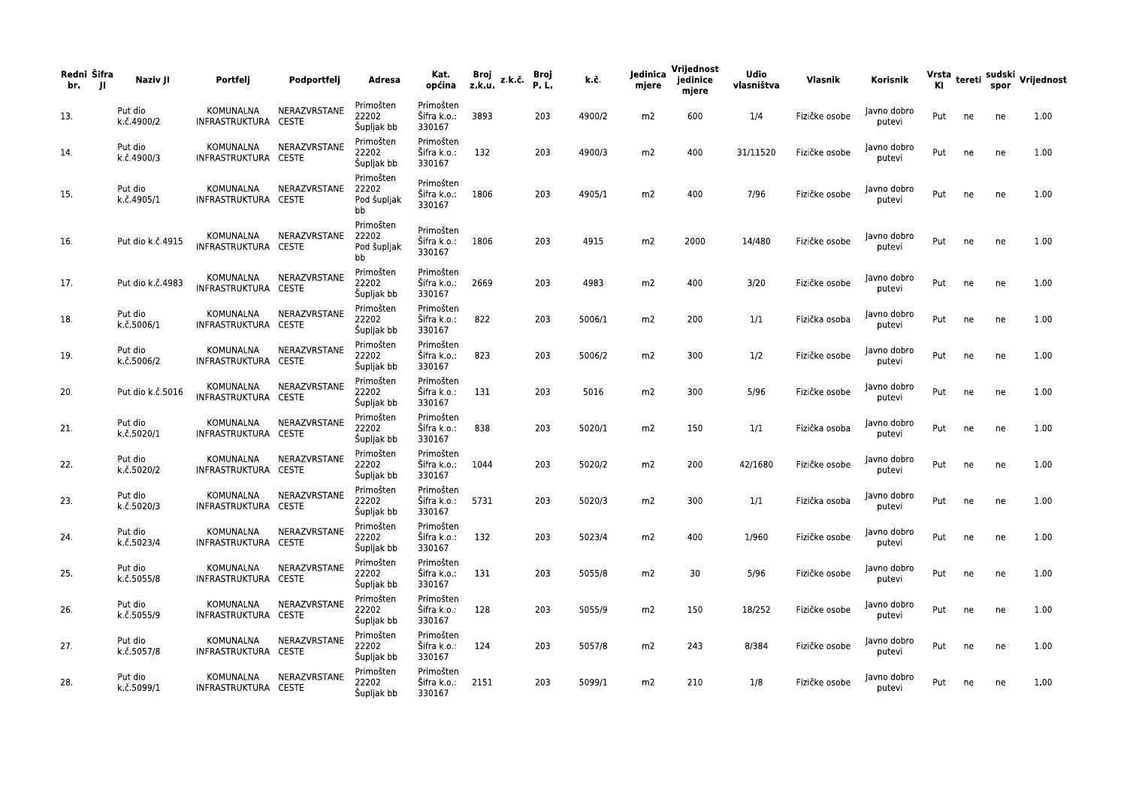| Redni Šifra<br>br.<br>-JI | Naziv JI              | Portfelj                          | Podportfelj  | Adresa                                  | Kat.<br>općina                          | Broj<br>z.k.u. | z.k.č | Broj<br>P.L. | k.č.   | Jedinica<br>mjere | Vrijednost<br>jedinice<br>mjere | Udio<br>vlasništva | Vlasnik       | Korisnik              | ΚI  |    | spor | Vrsta tereti sudski Vrijednost |
|---------------------------|-----------------------|-----------------------------------|--------------|-----------------------------------------|-----------------------------------------|----------------|-------|--------------|--------|-------------------|---------------------------------|--------------------|---------------|-----------------------|-----|----|------|--------------------------------|
| 13.                       | Put dio<br>k.č.4900/2 | KOMUNALNA<br>INFRASTRUKTURA CESTE | NERAZVRSTANE | Primošten<br>22202<br>Šupljak bb        | Primošten<br>Šifra k.o.:<br>330167      | 3893           |       | 203          | 4900/2 | m2                | 600                             | 1/4                | Fizičke osobe | Javno dobro<br>putevi | Put | ne | ne   | 1.00                           |
| 14.                       | Put dio<br>k.č.4900/3 | KOMUNALNA<br>INFRASTRUKTURA CESTE | NERAZVRSTANE | Primošten<br>22202<br>Šupljak bb        | Primošten<br>Šifra k.o.:<br>330167      | 132            |       | 203          | 4900/3 | m2                | 400                             | 31/11520           | Fizičke osobe | Javno dobro<br>putevi | Put | ne | ne   | 1.00                           |
| 15.                       | Put dio<br>k.č.4905/1 | KOMUNALNA<br>INFRASTRUKTURA CESTE | NERAZVRSTANE | Primošten<br>22202<br>Pod šupljak<br>bb | Primošten<br>Šifra k.o.:<br>330167      | 1806           |       | 203          | 4905/1 | m2                | 400                             | 7/96               | Fizičke osobe | Javno dobro<br>putevi | Put | ne | ne   | 1.00                           |
| 16.                       | Put dio k.č.4915      | KOMUNALNA<br>INFRASTRUKTURA CESTE | NERAZVRSTANE | Primošten<br>22202<br>Pod šupljak<br>bb | Primošten<br>Šifra k.o.:<br>330167      | 1806           |       | 203          | 4915   | m2                | 2000                            | 14/480             | Fizičke osobe | Javno dobro<br>putevi | Put | ne | ne   | 1.00                           |
| 17.                       | Put dio k.č.4983      | KOMUNALNA<br>INFRASTRUKTURA CESTE | NERAZVRSTANE | Primošten<br>22202<br>Šupljak bb        | Primošten<br>Šifra k.o.:<br>330167      | 2669           |       | 203          | 4983   | m2                | 400                             | 3/20               | Fizičke osobe | Javno dobro<br>putevi | Put | ne | ne   | 1.00                           |
| 18.                       | Put dio<br>k.č.5006/1 | KOMUNALNA<br>INFRASTRUKTURA CESTE | NERAZVRSTANE | Primošten<br>22202<br>Šupljak bb        | Primošten<br>Sifra k.o.:<br>330167      | 822            |       | 203          | 5006/1 | m2                | 200                             | 1/1                | Fizička osoba | Javno dobro<br>putevi | Put | ne | ne   | 1.00                           |
| 19.                       | Put dio<br>k.č.5006/2 | KOMUNALNA<br>INFRASTRUKTURA CESTE | NERAZVRSTANE | Primošten<br>22202<br>Šupljak bb        | Primošten<br>Šifra k.o.:<br>330167      | 823            |       | 203          | 5006/2 | m2                | 300                             | 1/2                | Fizičke osobe | lavno dobro<br>putevi | Put | ne | ne   | 1.00                           |
| 20.                       | Put dio k.č.5016      | KOMUNALNA<br>INFRASTRUKTURA CESTE | NERAZVRSTANE | Primošten<br>22202<br>Šupljak bb        | Primošten<br>Sifra k.o.:<br>330167      | 131            |       | 203          | 5016   | m2                | 300                             | 5/96               | Fizičke osobe | Javno dobro<br>putevi | Put | ne | ne   | 1.00                           |
| 21.                       | Put dio<br>k.č.5020/1 | KOMUNALNA<br>INFRASTRUKTURA CESTE | NERAZVRSTANE | Primošten<br>22202<br>Šupljak bb        | Primošten<br>Sifra k.o.:<br>330167      | 838            |       | 203          | 5020/1 | m2                | 150                             | 1/1                | Fizička osoba | Javno dobro<br>putevi | Put | ne | ne   | 1.00                           |
| 22.                       | Put dio<br>k.č.5020/2 | KOMUNALNA<br>INFRASTRUKTURA CESTE | NERAZVRSTANE | Primošten<br>22202<br>Šupljak bb        | Primošten<br>Sifra k.o.:<br>330167      | 1044           |       | 203          | 5020/2 | m2                | 200                             | 42/1680            | Fizičke osobe | Javno dobro<br>putevi | Put | ne | ne   | 1.00                           |
| 23.                       | Put dio<br>k.č.5020/3 | KOMUNALNA<br>INFRASTRUKTURA CESTE | NERAZVRSTANE | Primošten<br>22202<br>Šupljak bb        | Primošten<br>Šifra k.o.:<br>330167      | 5731           |       | 203          | 5020/3 | m2                | 300                             | 1/1                | Fizička osoba | Javno dobro<br>putevi | Put | ne | ne   | 1.00                           |
| 24.                       | Put dio<br>k.č.5023/4 | KOMUNALNA<br>INFRASTRUKTURA CESTE | NERAZVRSTANE | Primošten<br>22202<br>Šupljak bb        | Primošten<br>Sifra k.o.:<br>330167      | 132            |       | 203          | 5023/4 | m2                | 400                             | 1/960              | Fizičke osobe | Javno dobro<br>putevi | Put | ne | ne   | 1.00                           |
| 25.                       | Put dio<br>k.č.5055/8 | KOMUNALNA<br>INFRASTRUKTURA CESTE | NERAZVRSTANE | Primošten<br>22202<br>Šupljak bb        | Primošten<br>Sifra k.o.:<br>330167      | 131            |       | 203          | 5055/8 | m2                | 30                              | 5/96               | Fizičke osobe | Javno dobro<br>putevi | Put | ne | ne   | 1.00                           |
| 26.                       | Put dio<br>k.č.5055/9 | KOMUNALNA<br>INFRASTRUKTURA CESTE | NERAZVRSTANE | Primošten<br>22202<br>Šupljak bb        | Primošten<br>Šifra k.o.:<br>330167      | 128            |       | 203          | 5055/9 | m2                | 150                             | 18/252             | Fizičke osobe | Javno dobro<br>putevi | Put | ne | ne   | 1.00                           |
| 27.                       | Put dio<br>k.č.5057/8 | KOMUNALNA<br>INFRASTRUKTURA CESTE | NERAZVRSTANE | Primošten<br>22202<br>Šupljak bb        | Primošten<br>Sifra k.o.:<br>330167      | 124            |       | 203          | 5057/8 | m2                | 243                             | 8/384              | Fizičke osobe | Javno dobro<br>putevi | Put | ne | ne   | 1.00                           |
| 28.                       | Put dio<br>k.č.5099/1 | KOMUNALNA<br>INFRASTRUKTURA CESTE | NERAZVRSTANE | Primošten<br>22202<br>Šupljak bb        | Primošten<br>Šifra k.o.: 2151<br>330167 |                |       | 203          | 5099/1 | m2                | 210                             | 1/8                | Fizičke osobe | Javno dobro<br>putevi | Put | ne | ne   | 1.00                           |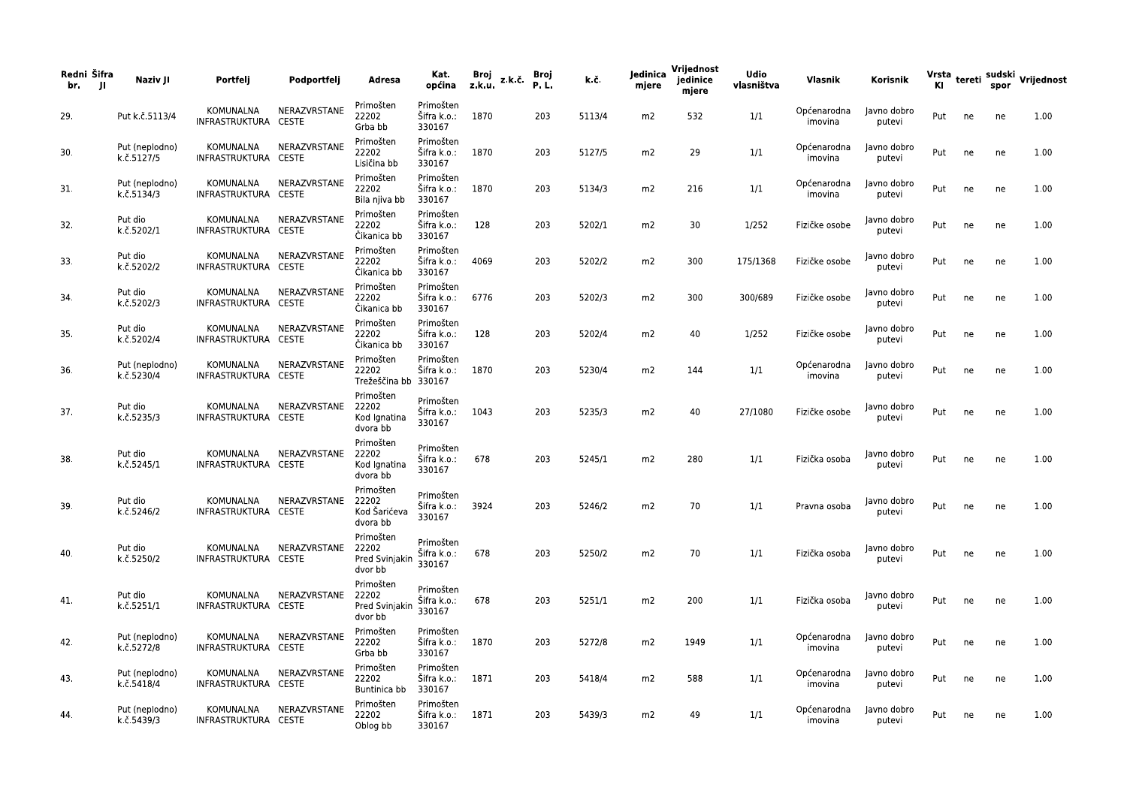| Redni Šifra<br>br.<br>- 11 | Naziv JI                     | Portfelj                          | Podportfelj  | Adresa                                          | Kat.<br>općina                          | Broj<br>z.k.u. | z.k.č. | Broj<br>P.L. | k.č.   | Jedinica<br>mjere | Vrijednost<br>jedinice<br>mjere | <b>Udio</b><br>vlasništva | Vlasnik                | Korisnik              | ΚI  |    | spor | Vrsta tereti sudski Vrijednost |
|----------------------------|------------------------------|-----------------------------------|--------------|-------------------------------------------------|-----------------------------------------|----------------|--------|--------------|--------|-------------------|---------------------------------|---------------------------|------------------------|-----------------------|-----|----|------|--------------------------------|
| 29.                        | Put k.č.5113/4               | KOMUNALNA<br>INFRASTRUKTURA CESTE | NERAZVRSTANE | Primošten<br>22202<br>Grba bb                   | Primošten<br>Šifra k.o.:<br>330167      | 1870           |        | 203          | 5113/4 | m2                | 532                             | 1/1                       | Općenarodna<br>imovina | Javno dobro<br>putevi | Put | ne | ne   | 1.00                           |
| 30.                        | Put (neplodno)<br>k.č.5127/5 | KOMUNALNA<br>INFRASTRUKTURA CESTE | NERAZVRSTANE | Primošten<br>22202<br>Lisičina bb               | Primošten<br>Šifra k.o.:<br>330167      | 1870           |        | 203          | 5127/5 | m2                | 29                              | 1/1                       | Općenarodna<br>imovina | Javno dobro<br>putevi | Put | ne | ne   | 1.00                           |
| 31.                        | Put (neplodno)<br>k.č.5134/3 | KOMUNALNA<br>INFRASTRUKTURA CESTE | NERAZVRSTANE | Primošten<br>22202<br>Bila njiva bb             | Primošten<br>Šifra k.o.:<br>330167      | 1870           |        | 203          | 5134/3 | m2                | 216                             | 1/1                       | Općenarodna<br>imovina | Javno dobro<br>putevi | Put | ne | ne   | 1.00                           |
| 32.                        | Put dio<br>k.č.5202/1        | KOMUNALNA<br>INFRASTRUKTURA CESTE | NERAZVRSTANE | Primošten<br>22202<br>Čikanica bb               | Primošten<br>Šifra k.o.:<br>330167      | 128            |        | 203          | 5202/1 | m2                | 30                              | 1/252                     | Fizičke osobe          | Javno dobro<br>putevi | Put | ne | ne   | 1.00                           |
| 33.                        | Put dio<br>k.č.5202/2        | KOMUNALNA<br>INFRASTRUKTURA CESTE | NERAZVRSTANE | Primošten<br>22202<br>Čikanica bb               | Primošten<br>Šifra k.o.:<br>330167      | 4069           |        | 203          | 5202/2 | m2                | 300                             | 175/1368                  | Fizičke osobe          | Javno dobro<br>putevi | Put | ne | ne   | 1.00                           |
| 34.                        | Put dio<br>k.č.5202/3        | KOMUNALNA<br>INFRASTRUKTURA CESTE | NERAZVRSTANE | Primošten<br>22202<br>Čikanica bb               | Primošten<br>Šifra k.o.:<br>330167      | 6776           |        | 203          | 5202/3 | m2                | 300                             | 300/689                   | Fizičke osobe          | Javno dobro<br>putevi | Put | ne | ne   | 1.00                           |
| 35.                        | Put dio<br>k.č.5202/4        | KOMUNALNA<br>INFRASTRUKTURA CESTE | NERAZVRSTANE | Primošten<br>22202<br>Čikanica bb               | Primošten<br>Šifra k.o.:<br>330167      | 128            |        | 203          | 5202/4 | m2                | 40                              | 1/252                     | Fizičke osobe          | Javno dobro<br>putevi | Put | ne | ne   | 1.00                           |
| 36.                        | Put (neplodno)<br>k.č.5230/4 | KOMUNALNA<br>INFRASTRUKTURA CESTE | NERAZVRSTANE | Primošten<br>22202<br>Trežeščina bb 330167      | Primošten<br>Šifra k.o.:                | 1870           |        | 203          | 5230/4 | m2                | 144                             | 1/1                       | Općenarodna<br>imovina | Javno dobro<br>putevi | Put | ne | ne   | 1.00                           |
| 37.                        | Put dio<br>k.č.5235/3        | KOMUNALNA<br>INFRASTRUKTURA CESTE | NERAZVRSTANE | Primošten<br>22202<br>Kod Ignatina<br>dvora bb  | Primošten<br>Šifra k.o.: 1043<br>330167 |                |        | 203          | 5235/3 | m2                | 40                              | 27/1080                   | Fizičke osobe          | Javno dobro<br>putevi | Put | ne | ne   | 1.00                           |
| 38.                        | Put dio<br>k.č.5245/1        | KOMUNALNA<br>INFRASTRUKTURA CESTE | NERAZVRSTANE | Primošten<br>22202<br>Kod Ignatina<br>dvora bb  | Primošten<br>Šifra k.o.:<br>330167      | 678            |        | 203          | 5245/1 | m2                | 280                             | 1/1                       | Fizička osoba          | Javno dobro<br>putevi | Put | ne | ne   | 1.00                           |
| 39.                        | Put dio<br>k.č.5246/2        | KOMUNALNA<br>INFRASTRUKTURA CESTE | NERAZVRSTANE | Primošten<br>22202<br>Kod Šarićeva<br>dvora bb  | Primošten<br>Šifra k.o.: 3924<br>330167 |                |        | 203          | 5246/2 | m2                | 70                              | 1/1                       | Pravna osoba           | Javno dobro<br>putevi | Put | ne | ne   | 1.00                           |
| 40.                        | Put dio<br>k.č.5250/2        | KOMUNALNA<br>INFRASTRUKTURA CESTE | NERAZVRSTANE | Primošten<br>22202<br>Pred Svinjakin<br>dvor bb | Primošten<br>Šifra k.o.:<br>330167      | 678            |        | 203          | 5250/2 | m2                | 70                              | 1/1                       | Fizička osoba          | Javno dobro<br>putevi | Put | ne | ne   | 1.00                           |
| 41.                        | Put dio<br>k.č.5251/1        | KOMUNALNA<br>INFRASTRUKTURA CESTE | NERAZVRSTANE | Primošten<br>22202<br>Pred Svinjakin<br>dvor bb | Primošten<br>Šifra k.o.:<br>330167      | 678            |        | 203          | 5251/1 | m2                | 200                             | 1/1                       | Fizička osoba          | Javno dobro<br>putevi | Put | ne | ne   | 1.00                           |
| 42.                        | Put (neplodno)<br>k.č.5272/8 | KOMUNALNA<br>INFRASTRUKTURA CESTE | NERAZVRSTANE | Primošten<br>22202<br>Grba bb                   | Primošten<br>Šifra k.o.: 1870<br>330167 |                |        | 203          | 5272/8 | m2                | 1949                            | 1/1                       | Općenarodna<br>imovina | Javno dobro<br>putevi | Put | ne | ne   | 1.00                           |
| 43.                        | Put (neplodno)<br>k.č.5418/4 | KOMUNALNA<br>INFRASTRUKTURA CESTE | NERAZVRSTANE | Primošten<br>22202<br>Buntinica bb              | Primošten<br>Šifra k.o.:<br>330167      | 1871           |        | 203          | 5418/4 | m2                | 588                             | 1/1                       | Općenarodna<br>imovina | Javno dobro<br>putevi | Put | ne | ne   | 1.00                           |
| 44.                        | Put (neplodno)<br>k.č.5439/3 | KOMUNALNA<br>INFRASTRUKTURA CESTE | NERAZVRSTANE | Primošten<br>22202<br>Oblog bb                  | Primošten<br>Šifra k.o.:<br>330167      | 1871           |        | 203          | 5439/3 | m2                | 49                              | 1/1                       | Općenarodna<br>imovina | Javno dobro<br>putevi | Put | ne | ne   | 1.00                           |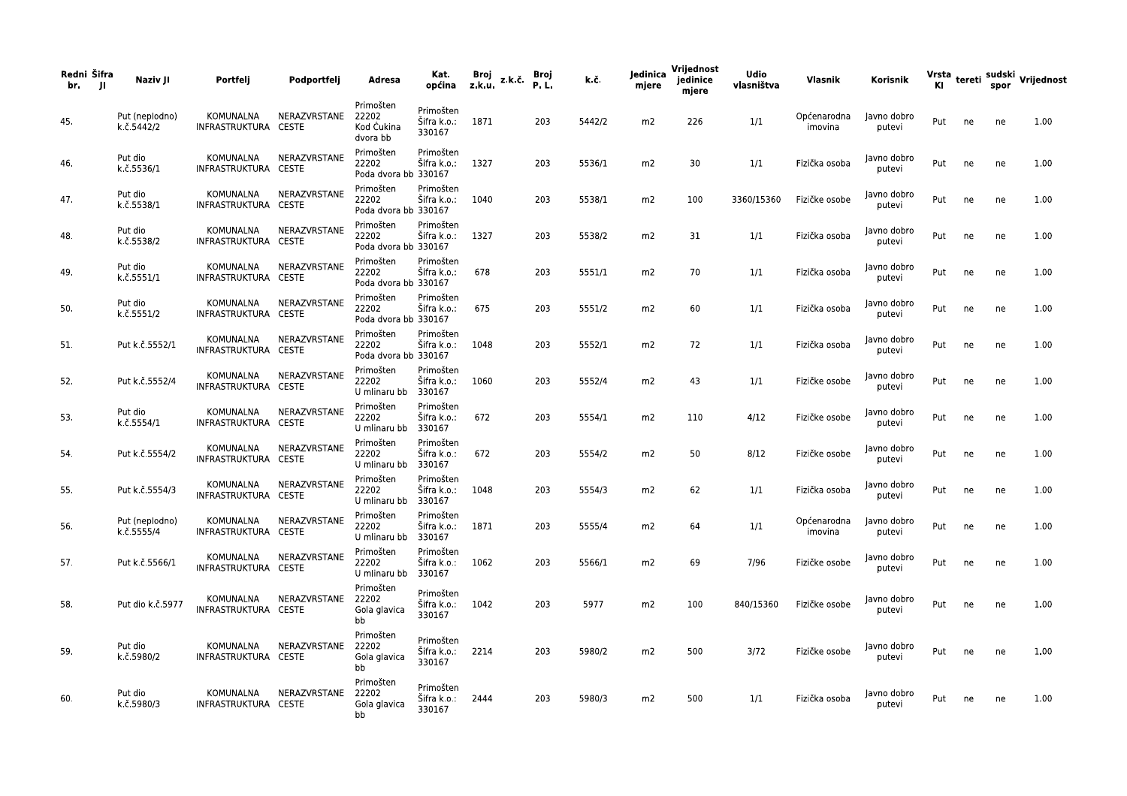| Redni Šifra<br>- JI<br>br. | Naziv JI                     | Portfeli                          | Podportfelj                  | Adresa                                       | Kat.<br>općina                     | Broj<br>$z, k, u, z, k, \zeta$ | <b>Broj</b><br>P.L. | k.č.   | ledinica<br>mjere | Vrijednost<br>jedinice<br>mjere | <b>Udio</b><br>vlasništva | Vlasnik                | Korisnik              |     |    |    | Vrsta tereti sudski Vrijednost<br>Kl |
|----------------------------|------------------------------|-----------------------------------|------------------------------|----------------------------------------------|------------------------------------|--------------------------------|---------------------|--------|-------------------|---------------------------------|---------------------------|------------------------|-----------------------|-----|----|----|--------------------------------------|
| 45.                        | Put (neplodno)<br>k.č.5442/2 | KOMUNALNA<br>INFRASTRUKTURA       | NERAZVRSTANE<br><b>CESTE</b> | Primošten<br>22202<br>Kod Ćukina<br>dvora bb | Primošten<br>Šifra k.o.:<br>330167 | 1871                           | 203                 | 5442/2 | m2                | 226                             | 1/1                       | Općenarodna<br>imovina | Javno dobro<br>putevi | Put | ne | ne | 1.00                                 |
| 46.                        | Put dio<br>k.č.5536/1        | KOMUNALNA<br>INFRASTRUKTURA CESTE | NERAZVRSTANE                 | Primošten<br>22202<br>Poda dvora bb 330167   | Primošten<br>Šifra k.o.:           | 1327                           | 203                 | 5536/1 | m <sub>2</sub>    | 30                              | 1/1                       | Fizička osoba          | Javno dobro<br>putevi | Put | ne | ne | 1.00                                 |
| 47.                        | Put dio<br>k.č.5538/1        | KOMUNALNA<br>INFRASTRUKTURA CESTE | NERAZVRSTANE                 | Primošten<br>22202<br>Poda dvora bb 330167   | Primošten<br>Sifra k.o.:           | 1040                           | 203                 | 5538/1 | m2                | 100                             | 3360/15360                | Fizičke osobe          | Javno dobro<br>putevi | Put | ne | ne | 1.00                                 |
| 48.                        | Put dio<br>k.č.5538/2        | KOMUNALNA<br>INFRASTRUKTURA CESTE | NERAZVRSTANE                 | Primošten<br>22202<br>Poda dvora bb 330167   | Primošten<br>Sifra k.o.:           | 1327                           | 203                 | 5538/2 | m <sub>2</sub>    | 31                              | 1/1                       | Fizička osoba          | Javno dobro<br>putevi | Put | ne | ne | 1.00                                 |
| 49.                        | Put dio<br>k.č.5551/1        | KOMUNALNA<br>INFRASTRUKTURA CESTE | NERAZVRSTANE                 | Primošten<br>22202<br>Poda dvora bb 330167   | Primošten<br>Šifra k.o.:           | 678                            | 203                 | 5551/1 | m <sub>2</sub>    | 70                              | 1/1                       | Fizička osoba          | Javno dobro<br>putevi | Put | ne | ne | 1.00                                 |
| 50.                        | Put dio<br>k.č.5551/2        | KOMUNALNA<br>INFRASTRUKTURA CESTE | NERAZVRSTANE                 | Primošten<br>22202<br>Poda dvora bb 330167   | Primošten<br>Sifra k.o.:           | 675                            | 203                 | 5551/2 | m2                | 60                              | 1/1                       | Fizička osoba          | Javno dobro<br>putevi | Put | ne | ne | 1.00                                 |
| 51.                        | Put k.č.5552/1               | KOMUNALNA<br>INFRASTRUKTURA CESTE | NERAZVRSTANE                 | Primošten<br>22202<br>Poda dvora bb 330167   | Primošten<br>Sifra k.o.:           | 1048                           | 203                 | 5552/1 | m2                | 72                              | 1/1                       | Fizička osoba          | Javno dobro<br>putevi | Put | ne | ne | 1.00                                 |
| 52.                        | Put k.č.5552/4               | KOMUNALNA<br>INFRASTRUKTURA CESTE | NERAZVRSTANE                 | Primošten<br>22202<br>U mlinaru bb           | Primošten<br>Šifra k.o.:<br>330167 | 1060                           | 203                 | 5552/4 | m2                | 43                              | 1/1                       | Fizičke osobe          | Javno dobro<br>putevi | Put | ne | ne | 1.00                                 |
| 53.                        | Put dio<br>k.č.5554/1        | KOMUNALNA<br>INFRASTRUKTURA       | NERAZVRSTANE<br><b>CESTE</b> | Primošten<br>22202<br>U mlinaru bb           | Primošten<br>Sifra k.o.:<br>330167 | 672                            | 203                 | 5554/1 | m2                | 110                             | 4/12                      | Fizičke osobe          | Javno dobro<br>putevi | Put | ne | ne | 1.00                                 |
| 54.                        | Put k.č.5554/2               | KOMUNALNA<br>INFRASTRUKTURA CESTE | NERAZVRSTANE                 | Primošten<br>22202<br>U mlinaru bb           | Primošten<br>Šifra k.o.:<br>330167 | 672                            | 203                 | 5554/2 | m2                | 50                              | 8/12                      | Fizičke osobe          | Javno dobro<br>putevi | Put | ne | ne | 1.00                                 |
| 55.                        | Put k.č.5554/3               | KOMUNALNA<br>INFRASTRUKTURA CESTE | NERAZVRSTANE                 | Primošten<br>22202<br>U mlinaru bb           | Primošten<br>Sifra k.o.:<br>330167 | 1048                           | 203                 | 5554/3 | m2                | 62                              | 1/1                       | Fizička osoba          | Javno dobro<br>putevi | Put | ne | ne | 1.00                                 |
| 56.                        | Put (neplodno)<br>k.č.5555/4 | KOMUNALNA<br>INFRASTRUKTURA CESTE | NERAZVRSTANE                 | Primošten<br>22202<br>U mlinaru bb           | Primošten<br>Sifra k.o.:<br>330167 | 1871                           | 203                 | 5555/4 | m <sub>2</sub>    | 64                              | 1/1                       | Općenarodna<br>imovina | Javno dobro<br>putevi | Put | ne | ne | 1.00                                 |
| 57.                        | Put k.č.5566/1               | KOMUNALNA<br>INFRASTRUKTURA CESTE | NERAZVRSTANE                 | Primošten<br>22202<br>U mlinaru bb           | Primošten<br>Šifra k.o.:<br>330167 | 1062                           | 203                 | 5566/1 | m2                | 69                              | 7/96                      | Fizičke osobe          | Javno dobro<br>putevi | Put | ne | ne | 1.00                                 |
| 58.                        | Put dio k.č.5977             | KOMUNALNA<br>INFRASTRUKTURA CESTE | NERAZVRSTANE                 | Primošten<br>22202<br>Gola glavica<br>bb     | Primošten<br>Sifra k.o.:<br>330167 | 1042                           | 203                 | 5977   | m2                | 100                             | 840/15360                 | Fizičke osobe          | Javno dobro<br>putevi | Put | ne | ne | 1.00                                 |
| 59.                        | Put dio<br>k.č.5980/2        | KOMUNALNA<br>INFRASTRUKTURA CESTE | NERAZVRSTANE                 | Primošten<br>22202<br>Gola glavica<br>bb     | Primošten<br>Šifra k.o.:<br>330167 | 2214                           | 203                 | 5980/2 | m <sub>2</sub>    | 500                             | 3/72                      | Fizičke osobe          | Javno dobro<br>putevi | Put | ne | ne | 1.00                                 |
| 60.                        | Put dio<br>k.č.5980/3        | KOMUNALNA<br>INFRASTRUKTURA CESTE | NERAZVRSTANE                 | Primošten<br>22202<br>Gola glavica<br>bb     | Primošten<br>Sifra k.o.:<br>330167 | 2444                           | 203                 | 5980/3 | m2                | 500                             | 1/1                       | Fizička osoba          | Javno dobro<br>putevi | Put | ne | ne | 1.00                                 |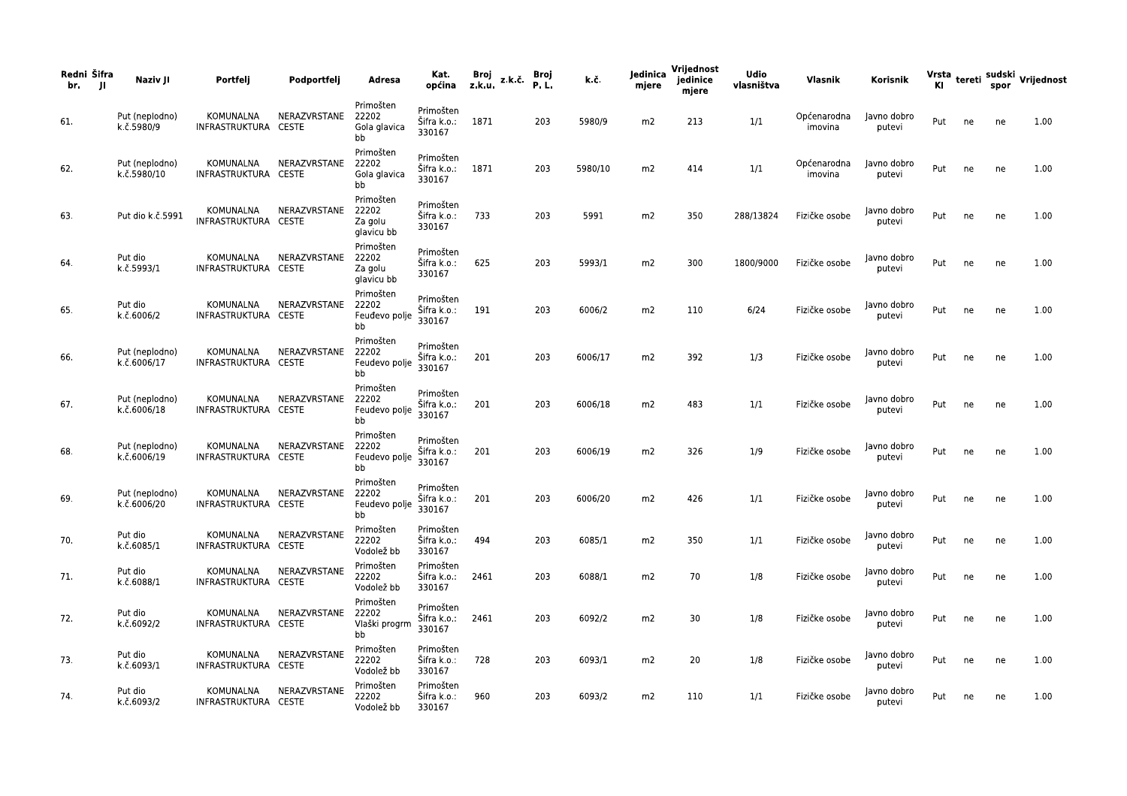| Redni Šifra<br>br.<br>- JI | Naziv JI                      | Portfelj                          | Podportfelj            | Adresa                                      | Kat.<br>općina z.k.u.                   | Broj | z.k.č. | Broj<br><b>P.L.</b> | k.č.    | Jedinica<br>mjere | Vrijednost<br>jedinice<br>mjere | <b>Udio</b><br>vlasništva | Vlasnik                | Korisnik              |     |    |    | Vrsta <sub>tereti</sub> sudski <sub>V</sub> rijednost<br>Kl |
|----------------------------|-------------------------------|-----------------------------------|------------------------|---------------------------------------------|-----------------------------------------|------|--------|---------------------|---------|-------------------|---------------------------------|---------------------------|------------------------|-----------------------|-----|----|----|-------------------------------------------------------------|
| 61.                        | Put (neplodno)<br>k.č.5980/9  | KOMUNALNA<br>INFRASTRUKTURA CESTE | NERAZVRSTANE           | Primošten<br>22202<br>Gola glavica<br>bb    | Primošten<br>Šifra k.o.: 1871<br>330167 |      |        | 203                 | 5980/9  | m2                | 213                             | 1/1                       | Općenarodna<br>imovina | Javno dobro<br>putevi | Put | ne | ne | 1.00                                                        |
| 62.                        | Put (neplodno)<br>k.č.5980/10 | KOMUNALNA<br>INFRASTRUKTURA CESTE | NERAZVRSTANE           | Primošten<br>22202<br>Gola glavica<br>bb    | Primošten<br>Šifra k.o.: 1871<br>330167 |      |        | 203                 | 5980/10 | m2                | 414                             | 1/1                       | Općenarodna<br>imovina | Javno dobro<br>putevi | Put | ne | ne | 1.00                                                        |
| 63.                        | Put dio k.č.5991              | KOMUNALNA<br>INFRASTRUKTURA CESTE | NERAZVRSTANE           | Primošten<br>22202<br>Za golu<br>glavicu bb | Primošten<br>Sifra k.o.:<br>330167      | 733  |        | 203                 | 5991    | m2                | 350                             | 288/13824                 | Fizičke osobe          | Javno dobro<br>putevi | Put | ne | ne | 1.00                                                        |
| 64.                        | Put dio<br>k.č.5993/1         | KOMUNALNA<br>INFRASTRUKTURA CESTE | NERAZVRSTANE           | Primošten<br>22202<br>Za golu<br>glavicu bb | Primošten<br>Sifra k.o.:<br>330167      | 625  |        | 203                 | 5993/1  | m2                | 300                             | 1800/9000                 | Fizičke osobe          | Javno dobro<br>putevi | Put | ne | ne | 1.00                                                        |
| 65.                        | Put dio<br>k.č.6006/2         | KOMUNALNA<br>INFRASTRUKTURA CESTE | NERAZVRSTANE           | Primošten<br>22202<br>Feudevo polje<br>bb   | Primošten<br>Šifra k.o.:<br>330167      | 191  |        | 203                 | 6006/2  | m2                | 110                             | 6/24                      | Fizičke osobe          | Javno dobro<br>putevi | Put | ne | ne | 1.00                                                        |
| 66.                        | Put (neplodno)<br>k.č.6006/17 | KOMUNALNA<br>INFRASTRUKTURA CESTE | NERAZVRSTANE           | Primošten<br>22202<br>Feudevo polje<br>bb   | Primošten<br>Šifra k.o.:<br>330167      | 201  |        | 203                 | 6006/17 | m2                | 392                             | 1/3                       | Fizičke osobe          | Javno dobro<br>putevi | Put | ne | ne | 1.00                                                        |
| 67.                        | Put (neplodno)<br>k.č.6006/18 | KOMUNALNA<br>INFRASTRUKTURA CESTE | NERAZVRSTANE           | Primošten<br>22202<br>Feudevo polje<br>bb   | Primošten<br>Šifra k.o.:<br>330167      | 201  |        | 203                 | 6006/18 | m2                | 483                             | 1/1                       | Fizičke osobe          | Javno dobro<br>putevi | Put | ne | ne | 1.00                                                        |
| 68.                        | Put (neplodno)<br>k.č.6006/19 | KOMUNALNA<br>INFRASTRUKTURA CESTE | NERAZVRSTANE           | Primošten<br>22202<br>Feudevo polje<br>bb   | Primošten<br>Šifra k.o.:<br>330167      | 201  |        | 203                 | 6006/19 | m2                | 326                             | 1/9                       | Fizičke osobe          | Javno dobro<br>putevi | Put | ne | ne | 1.00                                                        |
| 69.                        | Put (neplodno)<br>k.č.6006/20 | KOMUNALNA<br>INFRASTRUKTURA CESTE | NERAZVRSTANE           | Primošten<br>22202<br>Feudevo polje<br>bb   | Primošten<br>Šifra k.o.:<br>330167      | 201  |        | 203                 | 6006/20 | m2                | 426                             | 1/1                       | Fizičke osobe          | Javno dobro<br>putevi | Put | ne | ne | 1.00                                                        |
| 70.                        | Put dio<br>k.č.6085/1         | KOMUNALNA<br>INFRASTRUKTURA CESTE | NERAZVRSTANE           | Primošten<br>22202<br>Vodolež bb            | Primošten<br>Sifra k.o.:<br>330167      | 494  |        | 203                 | 6085/1  | m2                | 350                             | 1/1                       | Fizičke osobe          | Javno dobro<br>putevi | Put | ne | ne | 1.00                                                        |
| 71.                        | Put dio<br>k.č.6088/1         | INFRASTRUKTURA CESTE              | KOMUNALNA NERAZVRSTANE | Primošten<br>22202<br>Vodolež bb            | Primošten<br>Šifra k.o.: 2461<br>330167 |      |        | 203                 | 6088/1  | m2                | 70                              | 1/8                       | Fizičke osobe          | Javno dobro<br>putevi | Put | ne | ne | 1.00                                                        |
| 72.                        | Put dio<br>k.č.6092/2         | KOMUNALNA<br>INFRASTRUKTURA CESTE | NERAZVRSTANE           | Primošten<br>22202<br>Vlaški progrm<br>bb   | Primošten<br>Šifra k.o.: 2461<br>330167 |      |        | 203                 | 6092/2  | m2                | 30                              | 1/8                       | Fizičke osobe          | Javno dobro<br>putevi | Put | ne | ne | 1.00                                                        |
| 73.                        | Put dio<br>k.č.6093/1         | KOMUNALNA<br>INFRASTRUKTURA CESTE | NERAZVRSTANE           | Primošten<br>22202<br>Vodolež bb            | Primošten<br>Šifra k.o.: 728<br>330167  |      |        | 203                 | 6093/1  | m2                | 20                              | 1/8                       | Fizičke osobe          | Javno dobro<br>putevi | Put | ne | ne | 1.00                                                        |
| 74.                        | Put dio<br>k.č.6093/2         | KOMUNALNA<br>INFRASTRUKTURA CESTE | NERAZVRSTANE           | Primošten<br>22202<br>Vodolež bb            | Primošten<br>Šifra k.o.:<br>330167      | 960  |        | 203                 | 6093/2  | m2                | 110                             | 1/1                       | Fizičke osobe          | Javno dobro<br>putevi | Put | ne | ne | 1.00                                                        |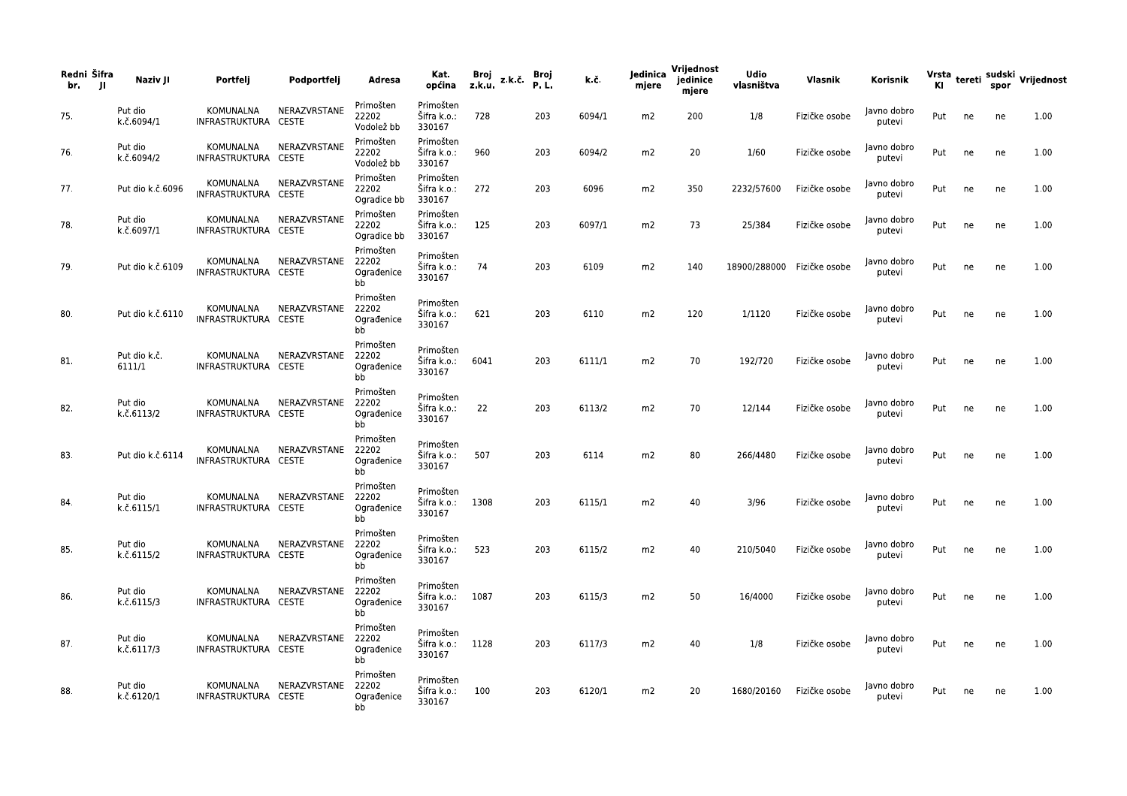| Redni Šifra<br>br.<br>- 11 | Naziv JI               | Portfelj                          | Podportfelj        | Adresa                                 | Kat.<br>općina                          | Broj<br>z.k.u. | z.k.č. | Broj<br>P.L | k.č.   | Jedinica<br>mjere | Vrijednost<br>jedinice<br>mjere | <b>Udio</b><br>vlasništva | Vlasnik                    | Korisnik              |     |    |    | Vrsta <sub>tereti</sub> sudski Vrijednost<br>Kl |
|----------------------------|------------------------|-----------------------------------|--------------------|----------------------------------------|-----------------------------------------|----------------|--------|-------------|--------|-------------------|---------------------------------|---------------------------|----------------------------|-----------------------|-----|----|----|-------------------------------------------------|
| 75.                        | Put dio<br>k.č.6094/1  | KOMUNALNA<br>INFRASTRUKTURA CESTE | NERAZVRSTANE       | Primošten<br>22202<br>Vodolež bb       | Primošten<br>Šifra k.o.:<br>330167      | 728            |        | 203         | 6094/1 | m2                | 200                             | 1/8                       | Fizičke osobe              | Javno dobro<br>putevi | Put | ne | ne | 1.00                                            |
| 76.                        | Put dio<br>k.č.6094/2  | KOMUNALNA<br>INFRASTRUKTURA CESTE | NERAZVRSTANE       | Primošten<br>22202<br>Vodolež bb       | Primošten<br>Šifra k.o.:<br>330167      | 960            |        | 203         | 6094/2 | m2                | 20                              | 1/60                      | Fizičke osobe              | Javno dobro<br>putevi | Put | ne | ne | 1.00                                            |
| 77.                        | Put dio k.č.6096       | KOMUNALNA<br>INFRASTRUKTURA CESTE | NERAZVRSTANE       | Primošten<br>22202<br>Ogradice bb      | Primošten<br>Šifra k.o.:<br>330167      | 272            |        | 203         | 6096   | m2                | 350                             | 2232/57600                | Fizičke osobe              | Javno dobro<br>putevi | Put | ne | ne | 1.00                                            |
| 78.                        | Put dio<br>k.č.6097/1  | KOMUNALNA<br>INFRASTRUKTURA CESTE | NERAZVRSTANE       | Primošten<br>22202<br>Ogradice bb      | Primošten<br>Šifra k.o.:<br>330167      | 125            |        | 203         | 6097/1 | m2                | 73                              | 25/384                    | Fizičke osobe              | Javno dobro<br>putevi | Put | ne | ne | 1.00                                            |
| 79.                        | Put dio k.č.6109       | KOMUNALNA<br>INFRASTRUKTURA CESTE | NERAZVRSTANE       | Primošten<br>22202<br>Ograđenice<br>bb | Primošten<br>Šifra k.o.:<br>330167      | 74             |        | 203         | 6109   | m2                | 140                             |                           | 18900/288000 Fizičke osobe | Javno dobro<br>putevi | Put | ne | ne | 1.00                                            |
| 80.                        | Put dio k.č.6110       | KOMUNALNA<br>INFRASTRUKTURA CESTE | NERAZVRSTANE       | Primošten<br>22202<br>Ograđenice<br>bb | Primošten<br>Šifra k.o.:<br>330167      | 621            |        | 203         | 6110   | m2                | 120                             | 1/1120                    | Fizičke osobe              | Javno dobro<br>putevi | Put | ne | ne | 1.00                                            |
| 81.                        | Put dio k.č.<br>6111/1 | KOMUNALNA<br>INFRASTRUKTURA CESTE | NERAZVRSTANE       | Primošten<br>22202<br>Ograđenice<br>bb | Primošten<br>Šifra k.o.: 6041<br>330167 |                |        | 203         | 6111/1 | m2                | 70                              | 192/720                   | Fizičke osobe              | Javno dobro<br>putevi | Put | ne | ne | 1.00                                            |
| 82.                        | Put dio<br>k.č.6113/2  | KOMUNALNA<br>INFRASTRUKTURA CESTE | NERAZVRSTANE       | Primošten<br>22202<br>Ograđenice<br>bb | Primošten<br>Šifra k.o.:<br>330167      | 22             |        | 203         | 6113/2 | m2                | 70                              | 12/144                    | Fizičke osobe              | Javno dobro<br>putevi | Put | ne | ne | 1.00                                            |
| 83.                        | Put dio k.č.6114       | KOMUNALNA<br>INFRASTRUKTURA CESTE | NERAZVRSTANE       | Primošten<br>22202<br>Ograđenice<br>bb | Primošten<br>Šifra k.o.:<br>330167      | 507            |        | 203         | 6114   | m2                | 80                              | 266/4480                  | Fizičke osobe              | Javno dobro<br>putevi | Put | ne | ne | 1.00                                            |
| 84.                        | Put dio<br>k.č.6115/1  | KOMUNALNA<br>INFRASTRUKTURA CESTE | NERAZVRSTANE       | Primošten<br>22202<br>Ograđenice<br>bb | Primošten<br>Šifra k.o.: 1308<br>330167 |                |        | 203         | 6115/1 | m2                | 40                              | 3/96                      | Fizičke osobe              | Javno dobro<br>putevi | Put | ne | ne | 1.00                                            |
| 85.                        | Put dio<br>k.č.6115/2  | KOMUNALNA<br>INFRASTRUKTURA CESTE | NERAZVRSTANE       | Primošten<br>22202<br>Ograđenice<br>bb | Primošten<br>Šifra k.o.:<br>330167      | 523            |        | 203         | 6115/2 | m2                | 40                              | 210/5040                  | Fizičke osobe              | Javno dobro<br>putevi | Put | ne | ne | 1.00                                            |
| 86.                        | Put dio<br>k.č.6115/3  | KOMUNALNA<br>INFRASTRUKTURA CESTE | NERAZVRSTANE 22202 | Primošten<br>Ograđenice<br>bb          | Primošten<br>Šifra k.o.: 1087<br>330167 |                |        | 203         | 6115/3 | m2                | 50                              | 16/4000                   | Fizičke osobe              | Javno dobro<br>putevi | Put | ne | ne | 1.00                                            |
| 87.                        | Put dio<br>k.č.6117/3  | KOMUNALNA<br>INFRASTRUKTURA CESTE | NERAZVRSTANE       | Primošten<br>22202<br>Ograđenice<br>bb | Primošten<br>Šifra k.o.: 1128<br>330167 |                |        | 203         | 6117/3 | m2                | 40                              | 1/8                       | Fizičke osobe              | Javno dobro<br>putevi | Put | ne | ne | 1.00                                            |
| 88.                        | Put dio<br>k.č.6120/1  | KOMUNALNA<br>INFRASTRUKTURA CESTE | NERAZVRSTANE       | Primošten<br>22202<br>Ograđenice<br>bb | Primošten<br>Šifra k.o.: 100<br>330167  |                |        | 203         | 6120/1 | m2                | 20                              |                           | 1680/20160 Fizičke osobe   | Javno dobro<br>putevi | Put | ne | ne | 1.00                                            |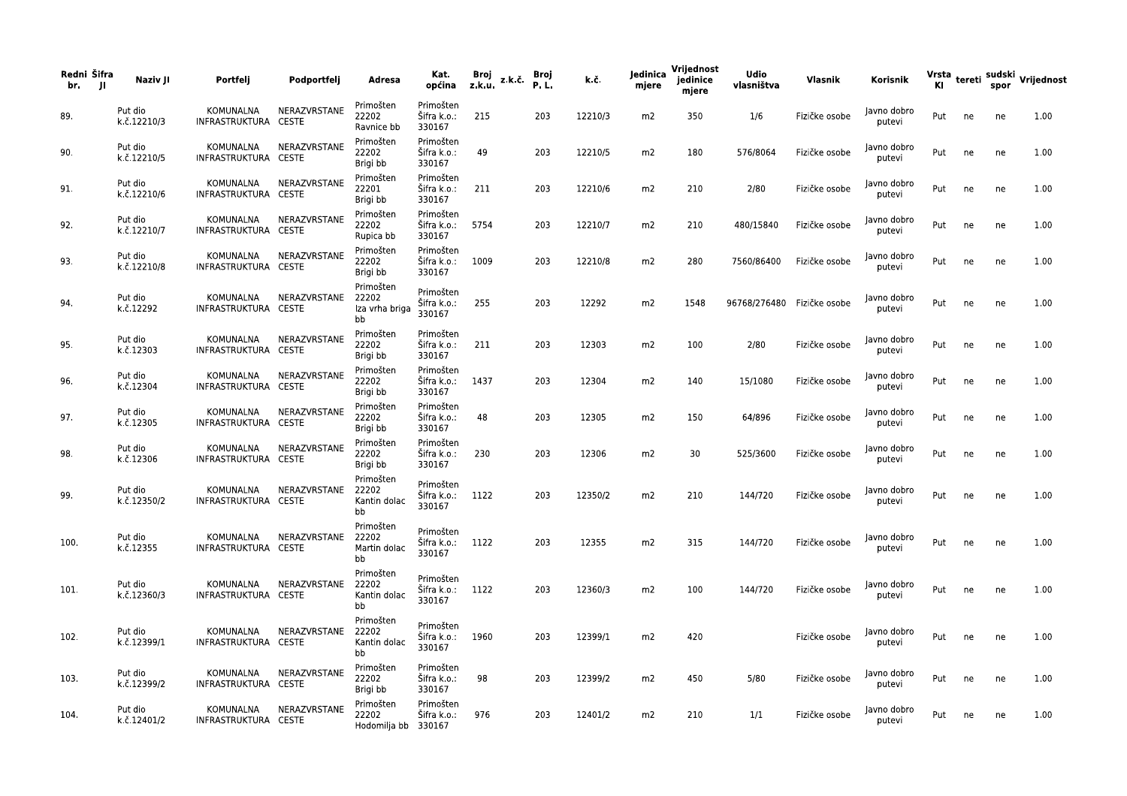| Redni Šifra<br>br.<br>- JI | Naziv JI               | Portfelj                          | Podportfelj            | Adresa                                    | Kat.<br>općina                          | Broj<br>z.k.u. | z.k.č. Broj | P.L. | k.č.    | Jedinica<br>mjere | Vrijednost<br>jedinice<br>mjere | <b>Udio</b><br>vlasništva  | Vlasnik       | Korisnik              |     |    |    | Vrsta tereti sudski Vrijednost<br>Kl spor |
|----------------------------|------------------------|-----------------------------------|------------------------|-------------------------------------------|-----------------------------------------|----------------|-------------|------|---------|-------------------|---------------------------------|----------------------------|---------------|-----------------------|-----|----|----|-------------------------------------------|
| 89.                        | Put dio<br>k.č.12210/3 | KOMUNALNA<br>INFRASTRUKTURA CESTE | NERAZVRSTANE           | Primošten<br>22202<br>Ravnice bb          | Primošten<br>Šifra k.o.:<br>330167      | 215            |             | 203  | 12210/3 | m2                | 350                             | 1/6                        | Fizičke osobe | Javno dobro<br>putevi | Put | ne | ne | 1.00                                      |
| 90.                        | Put dio<br>k.č.12210/5 | KOMUNALNA<br>INFRASTRUKTURA CESTE | NERAZVRSTANE           | Primošten<br>22202<br>Brigi bb            | Primošten<br>Šifra k.o.:<br>330167      | 49             |             | 203  | 12210/5 | m2                | 180                             | 576/8064                   | Fizičke osobe | Javno dobro<br>putevi | Put | ne | ne | 1.00                                      |
| 91.                        | Put dio<br>k.č.12210/6 | KOMUNALNA<br>INFRASTRUKTURA CESTE | NERAZVRSTANE           | Primošten<br>22201<br>Brigi bb            | Primošten<br>Šifra k.o.:<br>330167      | 211            |             | 203  | 12210/6 | m2                | 210                             | 2/80                       | Fizičke osobe | Javno dobro<br>putevi | Put | ne | ne | 1.00                                      |
| 92.                        | Put dio<br>k.č.12210/7 | KOMUNALNA<br>INFRASTRUKTURA CESTE | NERAZVRSTANE           | Primošten<br>22202<br>Rupica bb           | Primošten<br>Šifra k.o.: 5754<br>330167 |                |             | 203  | 12210/7 | m2                | 210                             | 480/15840                  | Fizičke osobe | Javno dobro<br>putevi | Put | ne | ne | 1.00                                      |
| 93.                        | Put dio<br>k.č.12210/8 | KOMUNALNA<br>INFRASTRUKTURA CESTE | NERAZVRSTANE           | Primošten<br>22202<br>Brigi bb            | Primošten<br>Šifra k.o.:<br>330167      | 1009           |             | 203  | 12210/8 | m2                | 280                             | 7560/86400                 | Fizičke osobe | Javno dobro<br>putevi | Put | ne | ne | 1.00                                      |
| 94.                        | Put dio<br>k.č.12292   | KOMUNALNA<br>INFRASTRUKTURA CESTE | NERAZVRSTANE 22202     | Primošten<br>Iza vrha briga<br>bb         | Primošten<br>Šifra k.o.:<br>330167      | 255            |             | 203  | 12292   | m2                | 1548                            | 96768/276480 Fizičke osobe |               | Javno dobro<br>putevi | Put | ne | ne | 1.00                                      |
| 95.                        | Put dio<br>k.č.12303   | KOMUNALNA<br>INFRASTRUKTURA CESTE | NERAZVRSTANE           | Primošten<br>22202<br>Brigi bb            | Primošten<br>Šifra k.o.:<br>330167      | 211            |             | 203  | 12303   | m2                | 100                             | 2/80                       | Fizičke osobe | Javno dobro<br>putevi | Put | ne | ne | 1.00                                      |
| 96.                        | Put dio<br>k.č.12304   | KOMUNALNA<br>INFRASTRUKTURA CESTE | NERAZVRSTANE           | Primošten<br>22202<br>Brigi bb            | Primošten<br>Sifra k.o.:<br>330167      | 1437           |             | 203  | 12304   | m2                | 140                             | 15/1080                    | Fizičke osobe | Javno dobro<br>putevi | Put | ne | ne | 1.00                                      |
| 97.                        | Put dio<br>k.č.12305   | KOMUNALNA<br>INFRASTRUKTURA CESTE | NERAZVRSTANE           | Primošten<br>22202<br>Brigi bb            | Primošten<br>Sifra k.o.:<br>330167      | 48             |             | 203  | 12305   | m2                | 150                             | 64/896                     | Fizičke osobe | Javno dobro<br>putevi | Put | ne | ne | 1.00                                      |
| 98.                        | Put dio<br>k.č.12306   | KOMUNALNA<br>INFRASTRUKTURA CESTE | NERAZVRSTANE           | Primošten<br>22202<br>Brigi bb            | Primošten<br>Sifra k.o.:<br>330167      | 230            |             | 203  | 12306   | m2                | 30                              | 525/3600                   | Fizičke osobe | Javno dobro<br>putevi | Put | ne | ne | 1.00                                      |
| 99.                        | Put dio<br>k.č.12350/2 | KOMUNALNA<br>INFRASTRUKTURA CESTE | NERAZVRSTANE 22202     | Primošten<br>Kantin dolac<br>bb           | Primošten<br>Šifra k.o.: 1122<br>330167 |                |             | 203  | 12350/2 | m2                | 210                             | 144/720                    | Fizičke osobe | Javno dobro<br>putevi | Put | ne | ne | 1.00                                      |
| 100.                       | Put dio<br>k.č.12355   | KOMUNALNA<br>INFRASTRUKTURA CESTE | NERAZVRSTANE           | Primošten<br>22202<br>Martin dolac<br>bb  | Primošten<br>Šifra k.o.: 1122<br>330167 |                |             | 203  | 12355   | m2                | 315                             | 144/720                    | Fizičke osobe | Javno dobro<br>putevi | Put | ne | ne | 1.00                                      |
| 101.                       | Put dio<br>k.č.12360/3 | INFRASTRUKTURA CESTE              | KOMUNALNA NERAZVRSTANE | Primošten<br>22202<br>Kantin dolac<br>bb  | Primošten<br>Šifra k.o.: 1122<br>330167 |                |             | 203  | 12360/3 | m2                | 100                             | 144/720                    | Fizičke osobe | Javno dobro<br>putevi | Put | ne | ne | 1.00                                      |
| 102.                       | Put dio<br>k.č.12399/1 | KOMUNALNA<br>INFRASTRUKTURA CESTE | NERAZVRSTANE           | Primošten<br>22202<br>Kantin dolac        | Primošten<br>Šifra k.o.: 1960<br>330167 |                |             | 203  | 12399/1 | m2                | 420                             |                            | Fizičke osobe | Javno dobro<br>putevi | Put | ne | ne | 1.00                                      |
| 103.                       | Put dio<br>k.č.12399/2 | KOMUNALNA<br>INFRASTRUKTURA CESTE | NERAZVRSTANE           | bb<br>Primošten<br>22202<br>Brigi bb      | Primošten<br>Šifra k.o.:<br>330167      | 98             |             | 203  | 12399/2 | m2                | 450                             | 5/80                       | Fizičke osobe | Javno dobro<br>putevi | Put | ne | ne | 1.00                                      |
| 104.                       | Put dio<br>k.č.12401/2 | KOMUNALNA<br>INFRASTRUKTURA CESTE | NERAZVRSTANE           | Primošten<br>22202<br>Hodomilja bb 330167 | Primošten<br>Šifra k.o.:                | 976            |             | 203  | 12401/2 | m2                | 210                             | 1/1                        | Fizičke osobe | Javno dobro<br>putevi | Put | ne | ne | 1.00                                      |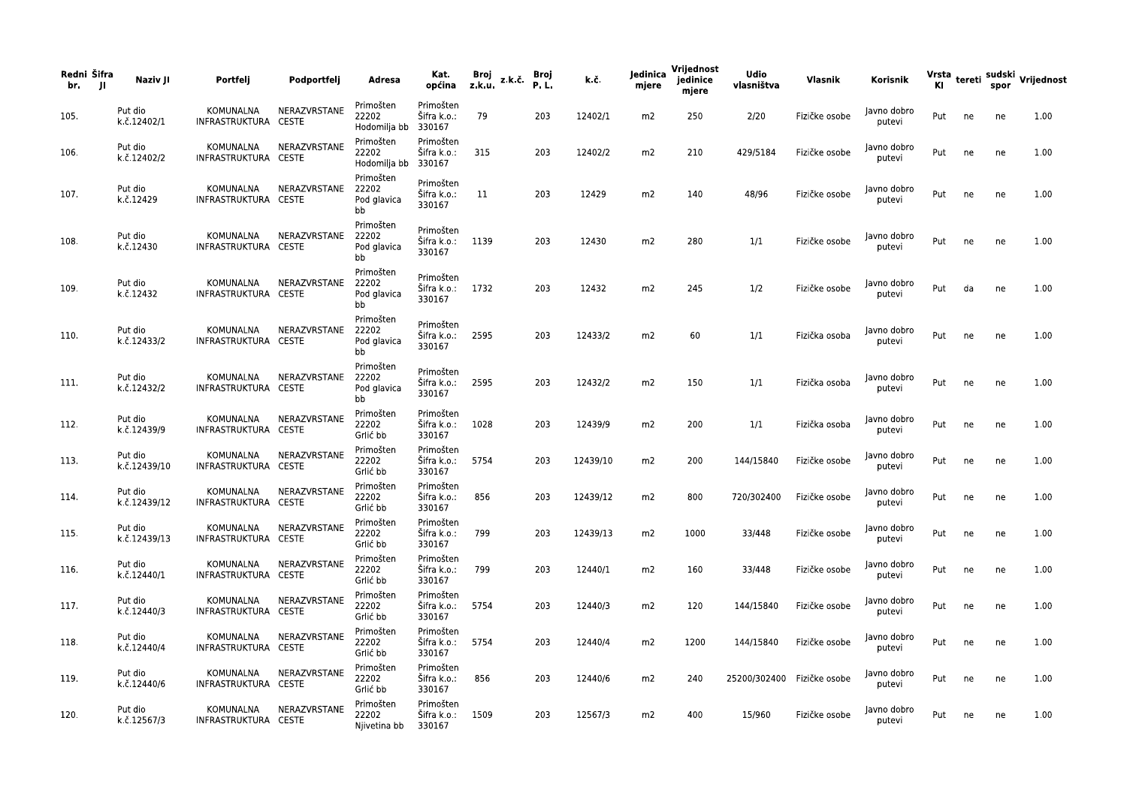| Redni Šifra<br>br.<br>- JI | Naziv JI                | Portfelj                          | Podportfelj  | Adresa                                  | Kat.<br>općina                          | Broj<br>z.k.u. | z.k.č. | Broj<br>P.L. | k.č.     | Jedinica<br>mjere | Vrijednost<br>jedinice<br>mjere | <b>Udio</b><br>vlasništva  | Vlasnik       | Korisnik              |     |    |    | Vrsta <sub>tereti</sub> sudski <sub>V</sub> rijednost<br>Kl |
|----------------------------|-------------------------|-----------------------------------|--------------|-----------------------------------------|-----------------------------------------|----------------|--------|--------------|----------|-------------------|---------------------------------|----------------------------|---------------|-----------------------|-----|----|----|-------------------------------------------------------------|
| 105.                       | Put dio<br>k.č.12402/1  | KOMUNALNA<br>INFRASTRUKTURA CESTE | NERAZVRSTANE | Primošten<br>22202<br>Hodomilja bb      | Primošten<br>Šifra k.o.:<br>330167      | 79             |        | 203          | 12402/1  | m2                | 250                             | 2/20                       | Fizičke osobe | Javno dobro<br>putevi | Put | ne | ne | 1.00                                                        |
| 106.                       | Put dio<br>k.č.12402/2  | KOMUNALNA<br>INFRASTRUKTURA CESTE | NERAZVRSTANE | Primošten<br>22202<br>Hodomilja bb      | Primošten<br>Šifra k.o.:<br>330167      | 315            |        | 203          | 12402/2  | m2                | 210                             | 429/5184                   | Fizičke osobe | lavno dobro<br>putevi | Put | ne | ne | 1.00                                                        |
| 107.                       | Put dio<br>k.č.12429    | KOMUNALNA<br>INFRASTRUKTURA CESTE | NERAZVRSTANE | Primošten<br>22202<br>Pod glavica<br>bb | Primošten<br>Šifra k.o.:<br>330167      | 11             |        | 203          | 12429    | m2                | 140                             | 48/96                      | Fizičke osobe | Javno dobro<br>putevi | Put | ne | ne | 1.00                                                        |
| 108.                       | Put dio<br>k.č.12430    | KOMUNALNA<br>INFRASTRUKTURA CESTE | NERAZVRSTANE | Primošten<br>22202<br>Pod glavica<br>bb | Primošten<br>Šifra k.o.: 1139<br>330167 |                |        | 203          | 12430    | m2                | 280                             | 1/1                        | Fizičke osobe | Javno dobro<br>putevi | Put | ne | ne | 1.00                                                        |
| 109.                       | Put dio<br>k.č.12432    | KOMUNALNA<br>INFRASTRUKTURA CESTE | NERAZVRSTANE | Primošten<br>22202<br>Pod glavica<br>bb | Primošten<br>Šifra k.o.: 1732<br>330167 |                |        | 203          | 12432    | m2                | 245                             | 1/2                        | Fizičke osobe | lavno dobro<br>putevi | Put | da | ne | 1.00                                                        |
| 110.                       | Put dio<br>k.č.12433/2  | KOMUNALNA<br>INFRASTRUKTURA CESTE | NERAZVRSTANE | Primošten<br>22202<br>Pod glavica<br>bb | Primošten<br>Šifra k.o.: 2595<br>330167 |                |        | 203          | 12433/2  | m2                | 60                              | 1/1                        | Fizička osoba | Javno dobro<br>putevi | Put | ne | ne | 1.00                                                        |
| 111.                       | Put dio<br>k.č.12432/2  | KOMUNALNA<br>INFRASTRUKTURA CESTE | NERAZVRSTANE | Primošten<br>22202<br>Pod glavica<br>bb | Primošten<br>Šifra k.o.:<br>330167      | 2595           |        | 203          | 12432/2  | m2                | 150                             | 1/1                        | Fizička osoba | Javno dobro<br>putevi | Put | ne | ne | 1.00                                                        |
| 112.                       | Put dio<br>k.č.12439/9  | KOMUNALNA<br>INFRASTRUKTURA CESTE | NERAZVRSTANE | Primošten<br>22202<br>Grlić bb          | Primošten<br>Šifra k.o.:<br>330167      | 1028           |        | 203          | 12439/9  | m2                | 200                             | 1/1                        | Fizička osoba | Javno dobro<br>putevi | Put | ne | ne | 1.00                                                        |
| 113.                       | Put dio<br>k.č.12439/10 | KOMUNALNA<br>INFRASTRUKTURA CESTE | NERAZVRSTANE | Primošten<br>22202<br>Grlić bb          | Primošten<br>Šifra k.o.:<br>330167      | 5754           |        | 203          | 12439/10 | m2                | 200                             | 144/15840                  | Fizičke osobe | Javno dobro<br>putevi | Put | ne | ne | 1.00                                                        |
| 114.                       | Put dio<br>k.č.12439/12 | KOMUNALNA<br>INFRASTRUKTURA CESTE | NERAZVRSTANE | Primošten<br>22202<br>Grlić bb          | Primošten<br>Šifra k.o.:<br>330167      | 856            |        | 203          | 12439/12 | m2                | 800                             | 720/302400                 | Fizičke osobe | Javno dobro<br>putevi | Put | ne | ne | 1.00                                                        |
| 115.                       | Put dio<br>k.č.12439/13 | KOMUNALNA<br>INFRASTRUKTURA CESTE | NERAZVRSTANE | Primošten<br>22202<br>Grlić bb          | Primošten<br>Šifra k.o.:<br>330167      | 799            |        | 203          | 12439/13 | m2                | 1000                            | 33/448                     | Fizičke osobe | Javno dobro<br>putevi | Put | ne | ne | 1.00                                                        |
| 116.                       | Put dio<br>k.č.12440/1  | KOMUNALNA<br>INFRASTRUKTURA CESTE | NERAZVRSTANE | Primošten<br>22202<br>Grlić bb          | Primošten<br>Šifra k.o.:<br>330167      | 799            |        | 203          | 12440/1  | m2                | 160                             | 33/448                     | Fizičke osobe | Javno dobro<br>putevi | Put | ne | ne | 1.00                                                        |
| 117.                       | Put dio<br>k.č.12440/3  | KOMUNALNA<br>INFRASTRUKTURA CESTE | NERAZVRSTANE | Primošten<br>22202<br>Grlić bb          | Primošten<br>Šifra k.o.: 5754<br>330167 |                |        | 203          | 12440/3  | m2                | 120                             | 144/15840                  | Fizičke osobe | Javno dobro<br>putevi | Put | ne | ne | 1.00                                                        |
| 118.                       | Put dio<br>k.č.12440/4  | KOMUNALNA<br>INFRASTRUKTURA CESTE | NERAZVRSTANE | Primošten<br>22202<br>Grlić bb          | Primošten<br>Šifra k.o.: 5754<br>330167 |                |        | 203          | 12440/4  | m2                | 1200                            | 144/15840                  | Fizičke osobe | Javno dobro<br>putevi | Put | ne | ne | 1.00                                                        |
| 119.                       | Put dio<br>k.č.12440/6  | KOMUNALNA<br>INFRASTRUKTURA CESTE | NERAZVRSTANE | Primošten<br>22202<br>Grlić bb          | Primošten<br>Šifra k.o.:<br>330167      | 856            |        | 203          | 12440/6  | m2                | 240                             | 25200/302400 Fizičke osobe |               | Javno dobro<br>putevi | Put | ne | ne | 1.00                                                        |
| 120.                       | Put dio<br>k.č.12567/3  | KOMUNALNA<br>INFRASTRUKTURA CESTE | NERAZVRSTANE | Primošten<br>22202<br>Njivetina bb      | Primošten<br>Sifra k.o.:<br>330167      | 1509           |        | 203          | 12567/3  | m2                | 400                             | 15/960                     | Fizičke osobe | Javno dobro<br>putevi | Put | ne | ne | 1.00                                                        |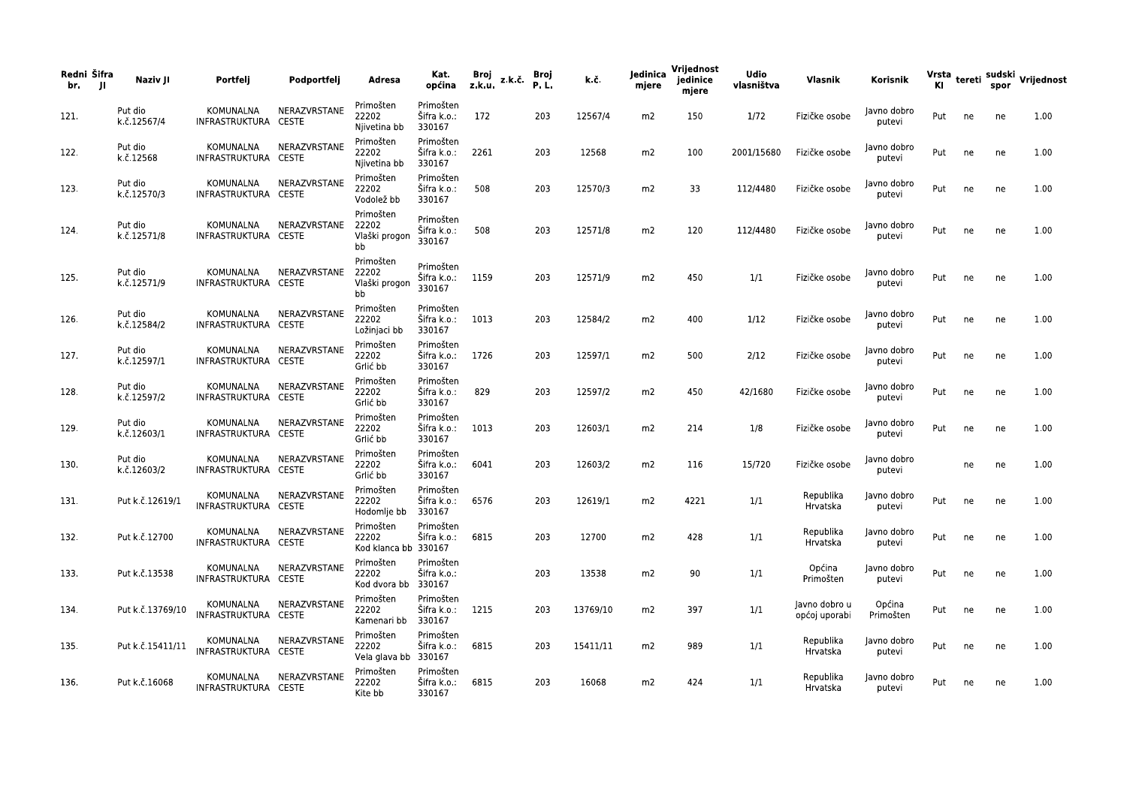| Redni Šifra<br>br.<br>-JI | Naziv JI               | Portfelj                          | Podportfelj  | Adresa                                     | Kat.<br>općina                          | Broj<br>z.k.u. | z.k.č. | Broj<br>P.L. | k.č.     | Jedinica<br>mjere | Vrijednost<br>jedinice<br>mjere | Udio<br>vlasništva | Vlasnik                        | Korisnik              |     |    |    | Vrsta <sub>tereti</sub> sudski <sub>V</sub> rijednost<br>Kl |
|---------------------------|------------------------|-----------------------------------|--------------|--------------------------------------------|-----------------------------------------|----------------|--------|--------------|----------|-------------------|---------------------------------|--------------------|--------------------------------|-----------------------|-----|----|----|-------------------------------------------------------------|
| 121.                      | Put dio<br>k.č.12567/4 | KOMUNALNA<br>INFRASTRUKTURA CESTE | NERAZVRSTANE | Primošten<br>22202<br>Njivetina bb         | Primošten<br>Šifra k.o.:<br>330167      | 172            |        | 203          | 12567/4  | m2                | 150                             | 1/72               | Fizičke osobe                  | Javno dobro<br>putevi | Put | ne | ne | 1.00                                                        |
| 122.                      | Put dio<br>k.č.12568   | KOMUNALNA<br>INFRASTRUKTURA CESTE | NERAZVRSTANE | Primošten<br>22202<br>Njivetina bb         | Primošten<br>Šifra k.o.:<br>330167      | 2261           |        | 203          | 12568    | m2                | 100                             | 2001/15680         | Fizičke osobe                  | Javno dobro<br>putevi | Put | ne | ne | 1.00                                                        |
| 123.                      | Put dio<br>k.č.12570/3 | KOMUNALNA<br>INFRASTRUKTURA CESTE | NERAZVRSTANE | Primošten<br>22202<br>Vodolež bb           | Primošten<br>Šifra k.o.:<br>330167      | 508            |        | 203          | 12570/3  | m2                | 33                              | 112/4480           | Fizičke osobe                  | Javno dobro<br>putevi | Put | ne | ne | 1.00                                                        |
| 124.                      | Put dio<br>k.č.12571/8 | KOMUNALNA<br>INFRASTRUKTURA CESTE | NERAZVRSTANE | Primošten<br>22202<br>Vlaški progon<br>bb  | Primošten<br>Šifra k.o.:<br>330167      | 508            |        | 203          | 12571/8  | m2                | 120                             | 112/4480           | Fizičke osobe                  | Javno dobro<br>putevi | Put | ne | ne | 1.00                                                        |
| 125.                      | Put dio<br>k.č.12571/9 | KOMUNALNA<br>INFRASTRUKTURA CESTE | NERAZVRSTANE | Primošten<br>22202<br>Vlaški progon<br>bb  | Primošten<br>Šifra k.o.:<br>330167      | 1159           |        | 203          | 12571/9  | m2                | 450                             | 1/1                | Fizičke osobe                  | Javno dobro<br>putevi | Put | ne | ne | 1.00                                                        |
| 126.                      | Put dio<br>k.č.12584/2 | KOMUNALNA<br>INFRASTRUKTURA CESTE | NERAZVRSTANE | Primošten<br>22202<br>Ložinjaci bb         | Primošten<br>Šifra k.o.:<br>330167      | 1013           |        | 203          | 12584/2  | m2                | 400                             | 1/12               | Fizičke osobe                  | Javno dobro<br>putevi | Put | ne | ne | 1.00                                                        |
| 127.                      | Put dio<br>k.č.12597/1 | KOMUNALNA<br>INFRASTRUKTURA CESTE | NERAZVRSTANE | Primošten<br>22202<br>Grlić bb             | Primošten<br>Šifra k.o.:<br>330167      | 1726           |        | 203          | 12597/1  | m2                | 500                             | 2/12               | Fizičke osobe                  | Javno dobro<br>putevi | Put | ne | ne | 1.00                                                        |
| 128.                      | Put dio<br>k.č.12597/2 | KOMUNALNA<br>INFRASTRUKTURA CESTE | NERAZVRSTANE | Primošten<br>22202<br>Grlić bb             | Primošten<br>Sifra k.o.:<br>330167      | 829            |        | 203          | 12597/2  | m2                | 450                             | 42/1680            | Fizičke osobe                  | Javno dobro<br>putevi | Put | ne | ne | 1.00                                                        |
| 129.                      | Put dio<br>k.č.12603/1 | KOMUNALNA<br>INFRASTRUKTURA CESTE | NERAZVRSTANE | Primošten<br>22202<br>Grlić bb             | Primošten<br>Sifra k.o.:<br>330167      | 1013           |        | 203          | 12603/1  | m2                | 214                             | 1/8                | Fizičke osobe                  | Javno dobro<br>putevi | Put | ne | ne | 1.00                                                        |
| 130.                      | Put dio<br>k.č.12603/2 | KOMUNALNA<br>INFRASTRUKTURA CESTE | NERAZVRSTANE | Primošten<br>22202<br>Grlić bb             | Primošten<br>Šifra k.o.:<br>330167      | 6041           |        | 203          | 12603/2  | m2                | 116                             | 15/720             | Fizičke osobe                  | Javno dobro<br>putevi |     | ne | ne | 1.00                                                        |
| 131.                      | Put k.č.12619/1        | KOMUNALNA<br>INFRASTRUKTURA CESTE | NERAZVRSTANE | Primošten<br>22202<br>Hodomlje bb          | Primošten<br>Šifra k.o.:<br>330167      | 6576           |        | 203          | 12619/1  | m2                | 4221                            | 1/1                | Republika<br>Hrvatska          | Javno dobro<br>putevi | Put | ne | ne | 1.00                                                        |
| 132.                      | Put k.č.12700          | KOMUNALNA<br>INFRASTRUKTURA CESTE | NERAZVRSTANE | Primošten<br>22202<br>Kod klanca bb 330167 | Primošten<br>Šifra k.o.:                | 6815           |        | 203          | 12700    | m2                | 428                             | 1/1                | Republika<br>Hrvatska          | Javno dobro<br>putevi | Put | ne | ne | 1.00                                                        |
| 133.                      | Put k.č.13538          | KOMUNALNA<br>INFRASTRUKTURA CESTE | NERAZVRSTANE | Primošten<br>22202<br>Kod dvora bb         | Primošten<br>Šifra k.o.:<br>330167      |                |        | 203          | 13538    | m2                | 90                              | 1/1                | Općina<br>Primošten            | Javno dobro<br>putevi | Put | ne | ne | 1.00                                                        |
| 134.                      | Put k.č.13769/10       | KOMUNALNA<br>INFRASTRUKTURA CESTE | NERAZVRSTANE | Primošten<br>22202<br>Kamenari bb          | Primošten<br>Šifra k.o.: 1215<br>330167 |                |        | 203          | 13769/10 | m2                | 397                             | 1/1                | Javno dobro u<br>općoj uporabi | Općina<br>Primošten   | Put | ne | ne | 1.00                                                        |
| 135.                      | Put k.č.15411/11       | KOMUNALNA<br>INFRASTRUKTURA CESTE | NERAZVRSTANE | Primošten<br>22202<br>Vela glava bb 330167 | Primošten<br>Šifra k.o.:                | 6815           |        | 203          | 15411/11 | m2                | 989                             | 1/1                | Republika<br>Hrvatska          | Javno dobro<br>putevi | Put | ne | ne | 1.00                                                        |
| 136.                      | Put k.č.16068          | KOMUNALNA<br>INFRASTRUKTURA CESTE | NERAZVRSTANE | Primošten<br>22202<br>Kite bb              | Primošten<br>Šifra k.o.: 6815<br>330167 |                |        | 203          | 16068    | m2                | 424                             | 1/1                | Republika<br>Hrvatska          | Javno dobro<br>putevi | Put | ne | ne | 1.00                                                        |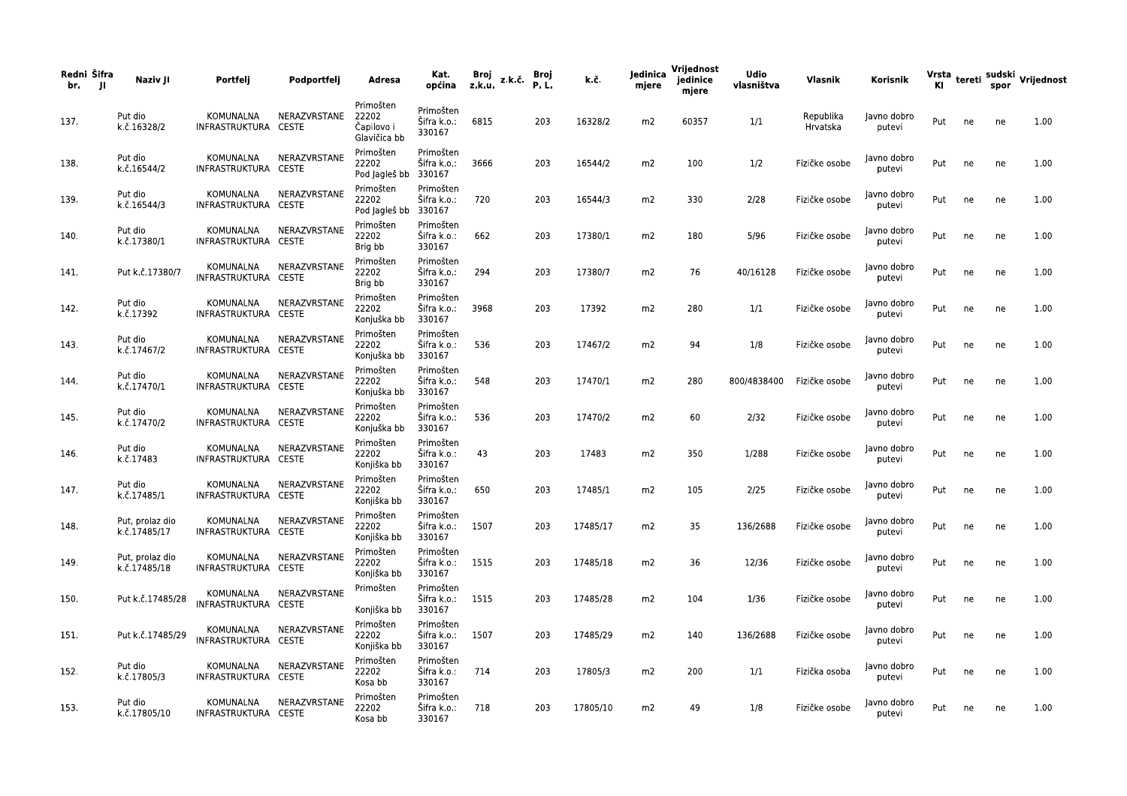| Redni Šifra<br>br.<br>-JI | Naziv JI                        | Portfelj                          | Podportfelj  | Adresa                                           | Kat.<br>općina                                  | Broj<br>z.k.u. | z.k.č. | Broj<br>P.L. | k.č.     | Jedinica<br>mjere | Vrijednost<br>jedinice<br>mjere | <b>Udio</b><br>vlasništva | Vlasnik               | Korisnik              |     |    | spor | Vrsta tereti sudski Vrijednost |
|---------------------------|---------------------------------|-----------------------------------|--------------|--------------------------------------------------|-------------------------------------------------|----------------|--------|--------------|----------|-------------------|---------------------------------|---------------------------|-----------------------|-----------------------|-----|----|------|--------------------------------|
| 137.                      | Put dio<br>k.č.16328/2          | KOMUNALNA<br>INFRASTRUKTURA CESTE | NERAZVRSTANE | Primošten<br>22202<br>Čapilovo i<br>Glavičica bb | Primošten<br>Šifra k.o.:<br>330167              | 6815           |        | 203          | 16328/2  | m2                | 60357                           | 1/1                       | Republika<br>Hrvatska | Javno dobro<br>putevi | Put | ne | ne   | 1.00                           |
| 138.                      | Put dio<br>k.č.16544/2          | KOMUNALNA<br>INFRASTRUKTURA CESTE | NERAZVRSTANE | Primošten<br>22202<br>Pod Jagleš bb              | Primošten<br>Šifra k.o.:<br>330167              | 3666           |        | 203          | 16544/2  | m2                | 100                             | 1/2                       | Fizičke osobe         | Javno dobro<br>putevi | Put | ne | ne   | 1.00                           |
| 139.                      | Put dio<br>k.č.16544/3          | KOMUNALNA<br>INFRASTRUKTURA CESTE | NERAZVRSTANE | Primošten<br>22202<br>Pod Jagleš bb              | Primošten<br>Šifra k.o.:<br>330167              | 720            |        | 203          | 16544/3  | m2                | 330                             | 2/28                      | Fizičke osobe         | Javno dobro<br>putevi | Put | ne | ne   | 1.00                           |
| 140.                      | Put dio<br>k.č.17380/1          | KOMUNALNA<br>INFRASTRUKTURA CESTE | NERAZVRSTANE | Primošten<br>22202<br>Brig bb                    | Primošten<br>Sifra k.o.:<br>330167              | 662            |        | 203          | 17380/1  | m2                | 180                             | 5/96                      | Fizičke osobe         | Javno dobro<br>putevi | Put | ne | ne   | 1.00                           |
| 141.                      | Put k.č.17380/7                 | KOMUNALNA<br>INFRASTRUKTURA CESTE | NERAZVRSTANE | Primošten<br>22202<br>Brig bb                    | Primošten<br>Šifra k.o.:<br>330167              | 294            |        | 203          | 17380/7  | m2                | 76                              | 40/16128                  | Fizičke osobe         | Javno dobro<br>putevi | Put | ne | ne   | 1.00                           |
| 142.                      | Put dio<br>k.č.17392            | KOMUNALNA<br>INFRASTRUKTURA CESTE | NERAZVRSTANE | Primošten<br>22202<br>Konjuška bb                | Primošten<br>Šifra k.o.:<br>330167              | 3968           |        | 203          | 17392    | m2                | 280                             | 1/1                       | Fizičke osobe         | Javno dobro<br>putevi | Put | ne | ne   | 1.00                           |
| 143.                      | Put dio<br>k.č.17467/2          | KOMUNALNA<br>INFRASTRUKTURA CESTE | NERAZVRSTANE | Primošten<br>22202<br>Konjuška bb                | Primošten<br>Šifra k.o.:<br>330167              | 536            |        | 203          | 17467/2  | m2                | 94                              | 1/8                       | Fizičke osobe         | Javno dobro<br>putevi | Put | ne | ne   | 1.00                           |
| 144.                      | Put dio<br>k.č.17470/1          | KOMUNALNA<br>INFRASTRUKTURA CESTE | NERAZVRSTANE | Primošten<br>22202<br>Konjuška bb                | Primošten<br>Šifra k.o.:<br>330167              | 548            |        | 203          | 17470/1  | m2                | 280                             | 800/4838400               | Fizičke osobe         | Javno dobro<br>putevi | Put | ne | ne   | 1.00                           |
| 145.                      | Put dio<br>k.č.17470/2          | KOMUNALNA<br>INFRASTRUKTURA CESTE | NERAZVRSTANE | Primošten<br>22202<br>Konjuška bb<br>Primošten   | Primošten<br>Šifra k.o.:<br>330167              | 536            |        | 203          | 17470/2  | m2                | 60                              | 2/32                      | Fizičke osobe         | Javno dobro<br>putevi | Put | ne | ne   | 1.00                           |
| 146.                      | Put dio<br>k.č.17483            | KOMUNALNA<br>INFRASTRUKTURA CESTE | NERAZVRSTANE | 22202<br>Konjiška bb<br>Primošten                | Primošten<br>Šifra k.o.:<br>330167<br>Primošten | 43             |        | 203          | 17483    | m2                | 350                             | 1/288                     | Fizičke osobe         | Javno dobro<br>putevi | Put | ne | ne   | 1.00                           |
| 147.                      | Put dio<br>k.č.17485/1          | KOMUNALNA<br>INFRASTRUKTURA CESTE | NERAZVRSTANE | 22202<br>Konjiška bb<br>Primošten                | Šifra k.o.:<br>330167<br>Primošten              | 650            |        | 203          | 17485/1  | m2                | 105                             | 2/25                      | Fizičke osobe         | Javno dobro<br>putevi | Put | ne | ne   | 1.00                           |
| 148.                      | Put, prolaz dio<br>k.č.17485/17 | KOMUNALNA<br>INFRASTRUKTURA CESTE | NERAZVRSTANE | 22202<br>Konjiška bb<br>Primošten                | Sifra k.o.:<br>330167<br>Primošten              | 1507           |        | 203          | 17485/17 | m2                | 35                              | 136/2688                  | Fizičke osobe         | Javno dobro<br>putevi | Put | ne | ne   | 1.00                           |
| 149.                      | Put, prolaz dio<br>k.č.17485/18 | KOMUNALNA<br>INFRASTRUKTURA CESTE | NERAZVRSTANE | 22202<br>Konjiška bb<br>Primošten                | Šifra k.o.:<br>330167<br>Primošten              | 1515           |        | 203          | 17485/18 | m2                | 36                              | 12/36                     | Fizičke osobe         | lavno dobro<br>putevi | Put | ne | ne   | 1.00                           |
| 150.                      | Put k.č.17485/28                | KOMUNALNA<br>INFRASTRUKTURA CESTE | NERAZVRSTANE | Konjiška bb<br>Primošten                         | Šifra k.o.: 1515<br>330167<br>Primošten         |                |        | 203          | 17485/28 | m2                | 104                             | 1/36                      | Fizičke osobe         | Javno dobro<br>putevi | Put | ne | ne   | 1.00                           |
| 151.                      | Put k.č.17485/29                | KOMUNALNA<br>INFRASTRUKTURA CESTE | NERAZVRSTANE | 22202<br>Konjiška bb<br>Primošten                | Šifra k.o.: 1507<br>330167<br>Primošten         |                |        | 203          | 17485/29 | m2                | 140                             | 136/2688                  | Fizičke osobe         | Javno dobro<br>putevi | Put | ne | ne   | 1.00                           |
| 152.                      | Put dio<br>k.č.17805/3          | KOMUNALNA<br>INFRASTRUKTURA CESTE | NERAZVRSTANE | 22202<br>Kosa bb<br>Primošten                    | Sifra k.o.:<br>330167<br>Primošten              | 714            |        | 203          | 17805/3  | m2                | 200                             | 1/1                       | Fizička osoba         | Javno dobro<br>putevi | Put | ne | ne   | 1.00                           |
| 153.                      | Put dio<br>k.č.17805/10         | KOMUNALNA<br>INFRASTRUKTURA CESTE | NERAZVRSTANE | 22202<br>Kosa bb                                 | Šifra k.o.:<br>330167                           | 718            |        | 203          | 17805/10 | m2                | 49                              | 1/8                       | Fizičke osobe         | Javno dobro<br>putevi | Put | ne | ne   | 1.00                           |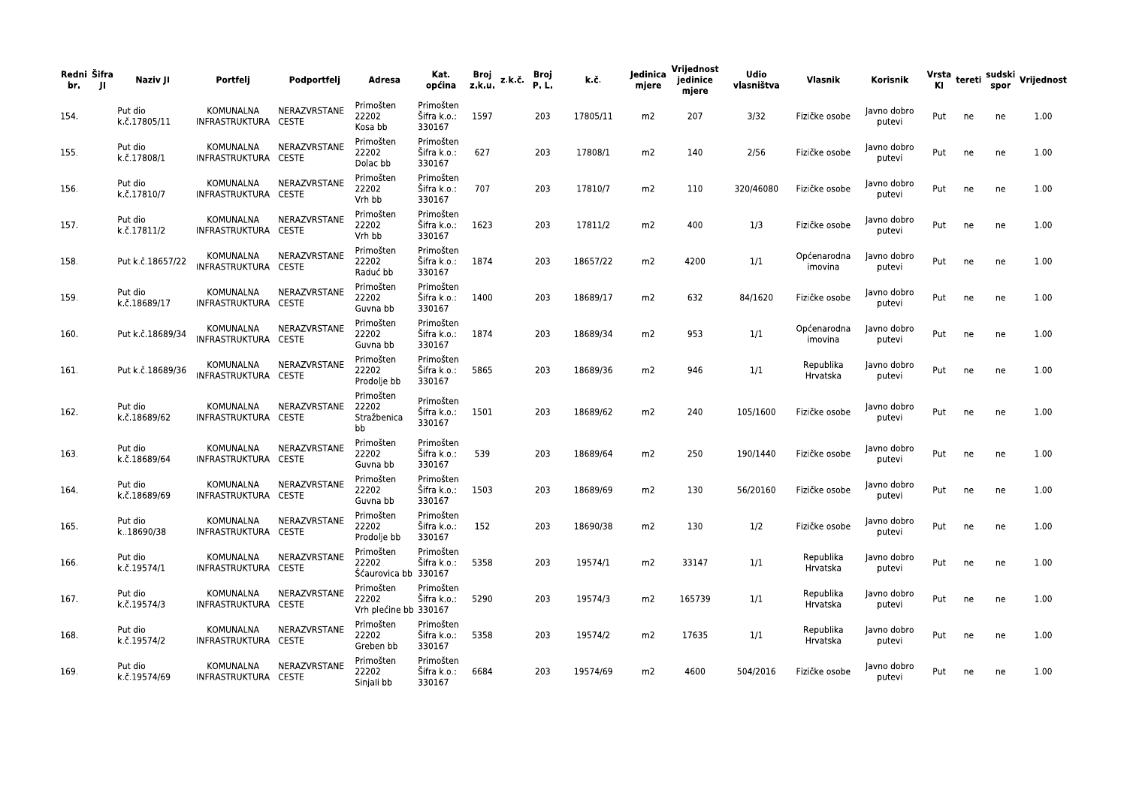| Redni Šifra<br>br. | Naziv JI<br>- 11        | Portfelj                          | Podportfelj  | Adresa                                      | Kat.<br>općina                     | Broj<br>z.k.u. | z.k.č. | Broj<br>P.L. | k.č.     | Jedinica<br>mjere | Vrijednost<br>jedinice<br>mjere | <b>Udio</b><br>vlasništva | Vlasnik                | Korisnik              | KI. |    | spor | Vrsta tereti sudski Vrijednost |
|--------------------|-------------------------|-----------------------------------|--------------|---------------------------------------------|------------------------------------|----------------|--------|--------------|----------|-------------------|---------------------------------|---------------------------|------------------------|-----------------------|-----|----|------|--------------------------------|
| 154.               | Put dio<br>k.č.17805/11 | KOMUNALNA<br>INFRASTRUKTURA CESTE | NERAZVRSTANE | Primošten<br>22202<br>Kosa bb               | Primošten<br>Šifra k.o.:<br>330167 | 1597           |        | 203          | 17805/11 | m2                | 207                             | 3/32                      | Fizičke osobe          | Javno dobro<br>putevi | Put | ne | ne   | 1.00                           |
| 155.               | Put dio<br>k.č.17808/1  | KOMUNALNA<br>INFRASTRUKTURA CESTE | NERAZVRSTANE | Primošten<br>22202<br>Dolac bb              | Primošten<br>Šifra k.o.:<br>330167 | 627            |        | 203          | 17808/1  | m2                | 140                             | 2/56                      | Fizičke osobe          | Javno dobro<br>putevi | Put | ne | ne   | 1.00                           |
| 156.               | Put dio<br>k.č.17810/7  | KOMUNALNA<br>INFRASTRUKTURA CESTE | NERAZVRSTANE | Primošten<br>22202<br>Vrh bb                | Primošten<br>Šifra k.o.:<br>330167 | 707            |        | 203          | 17810/7  | m2                | 110                             | 320/46080                 | Fizičke osobe          | Javno dobro<br>putevi | Put | ne | ne   | 1.00                           |
| 157.               | Put dio<br>k.č.17811/2  | KOMUNALNA<br>INFRASTRUKTURA CESTE | NERAZVRSTANE | Primošten<br>22202<br>Vrh bb                | Primošten<br>Šifra k.o.:<br>330167 | 1623           |        | 203          | 17811/2  | m2                | 400                             | 1/3                       | Fizičke osobe          | Javno dobro<br>putevi | Put | ne | ne   | 1.00                           |
| 158.               | Put k.č.18657/22        | KOMUNALNA<br>INFRASTRUKTURA CESTE | NERAZVRSTANE | Primošten<br>22202<br>Raduć bb              | Primošten<br>Šifra k.o.:<br>330167 | 1874           |        | 203          | 18657/22 | m2                | 4200                            | 1/1                       | Općenarodna<br>imovina | Javno dobro<br>putevi | Put | ne | ne   | 1.00                           |
| 159.               | Put dio<br>k.č.18689/17 | KOMUNALNA<br>INFRASTRUKTURA CESTE | NERAZVRSTANE | Primošten<br>22202<br>Guvna bb              | Primošten<br>Šifra k.o.:<br>330167 | 1400           |        | 203          | 18689/17 | m2                | 632                             | 84/1620                   | Fizičke osobe          | Javno dobro<br>putevi | Put | ne | ne   | 1.00                           |
| 160.               | Put k.č.18689/34        | KOMUNALNA<br>INFRASTRUKTURA CESTE | NERAZVRSTANE | Primošten<br>22202<br>Guvna bb              | Primošten<br>Šifra k.o.:<br>330167 | 1874           |        | 203          | 18689/34 | m2                | 953                             | 1/1                       | Općenarodna<br>imovina | Javno dobro<br>putevi | Put | ne | ne   | 1.00                           |
| 161.               | Put k.č.18689/36        | KOMUNALNA<br>INFRASTRUKTURA CESTE | NERAZVRSTANE | Primošten<br>22202<br>Prodolje bb           | Primošten<br>Šifra k.o.:<br>330167 | 5865           |        | 203          | 18689/36 | m2                | 946                             | 1/1                       | Republika<br>Hrvatska  | Javno dobro<br>putevi | Put | ne | ne   | 1.00                           |
| 162.               | Put dio<br>k.č.18689/62 | KOMUNALNA<br>INFRASTRUKTURA CESTE | NERAZVRSTANE | Primošten<br>22202<br>Stražbenica<br>bb     | Primošten<br>Šifra k.o.:<br>330167 | 1501           |        | 203          | 18689/62 | m2                | 240                             | 105/1600                  | Fizičke osobe          | Javno dobro<br>putevi | Put | ne | ne   | 1.00                           |
| 163.               | Put dio<br>k.č.18689/64 | KOMUNALNA<br>INFRASTRUKTURA CESTE | NERAZVRSTANE | Primošten<br>22202<br>Guvna bb              | Primošten<br>Šifra k.o.:<br>330167 | 539            |        | 203          | 18689/64 | m2                | 250                             | 190/1440                  | Fizičke osobe          | Javno dobro<br>putevi | Put | ne | ne   | 1.00                           |
| 164.               | Put dio<br>k.č.18689/69 | KOMUNALNA<br>INFRASTRUKTURA CESTE | NERAZVRSTANE | Primošten<br>22202<br>Guvna bb              | Primošten<br>Šifra k.o.:<br>330167 | 1503           |        | 203          | 18689/69 | m2                | 130                             | 56/20160                  | Fizičke osobe          | Javno dobro<br>putevi | Put | ne | ne   | 1.00                           |
| 165.               | Put dio<br>k18690/38    | KOMUNALNA<br>INFRASTRUKTURA CESTE | NERAZVRSTANE | Primošten<br>22202<br>Prodolje bb           | Primošten<br>Sifra k.o.:<br>330167 | 152            |        | 203          | 18690/38 | m2                | 130                             | 1/2                       | Fizičke osobe          | Javno dobro<br>putevi | Put | ne | ne   | 1.00                           |
| 166.               | Put dio<br>k.č.19574/1  | KOMUNALNA<br>INFRASTRUKTURA CESTE | NERAZVRSTANE | Primošten<br>22202<br>Sćaurovica bb 330167  | Primošten<br>Šifra k.o.:           | 5358           |        | 203          | 19574/1  | m2                | 33147                           | 1/1                       | Republika<br>Hrvatska  | Javno dobro<br>putevi | Put | ne | ne   | 1.00                           |
| 167.               | Put dio<br>k.č.19574/3  | KOMUNALNA<br>INFRASTRUKTURA CESTE | NERAZVRSTANE | Primošten<br>22202<br>Vrh plećine bb 330167 | Primošten<br>Šifra k.o.:           | 5290           |        | 203          | 19574/3  | m2                | 165739                          | 1/1                       | Republika<br>Hrvatska  | Javno dobro<br>putevi | Put | ne | ne   | 1.00                           |
| 168.               | Put dio<br>k.č.19574/2  | KOMUNALNA<br>INFRASTRUKTURA CESTE | NERAZVRSTANE | Primošten<br>22202<br>Greben bb             | Primošten<br>Šifra k.o.:<br>330167 | 5358           |        | 203          | 19574/2  | m2                | 17635                           | 1/1                       | Republika<br>Hrvatska  | Javno dobro<br>putevi | Put | ne | ne   | 1.00                           |
| 169.               | Put dio<br>k.č.19574/69 | KOMUNALNA<br>INFRASTRUKTURA CESTE | NERAZVRSTANE | Primošten<br>22202<br>Sinjali bb            | Primošten<br>Šifra k.o.:<br>330167 | 6684           |        | 203          | 19574/69 | m2                | 4600                            | 504/2016                  | Fizičke osobe          | Javno dobro<br>putevi | Put | ne | ne   | 1.00                           |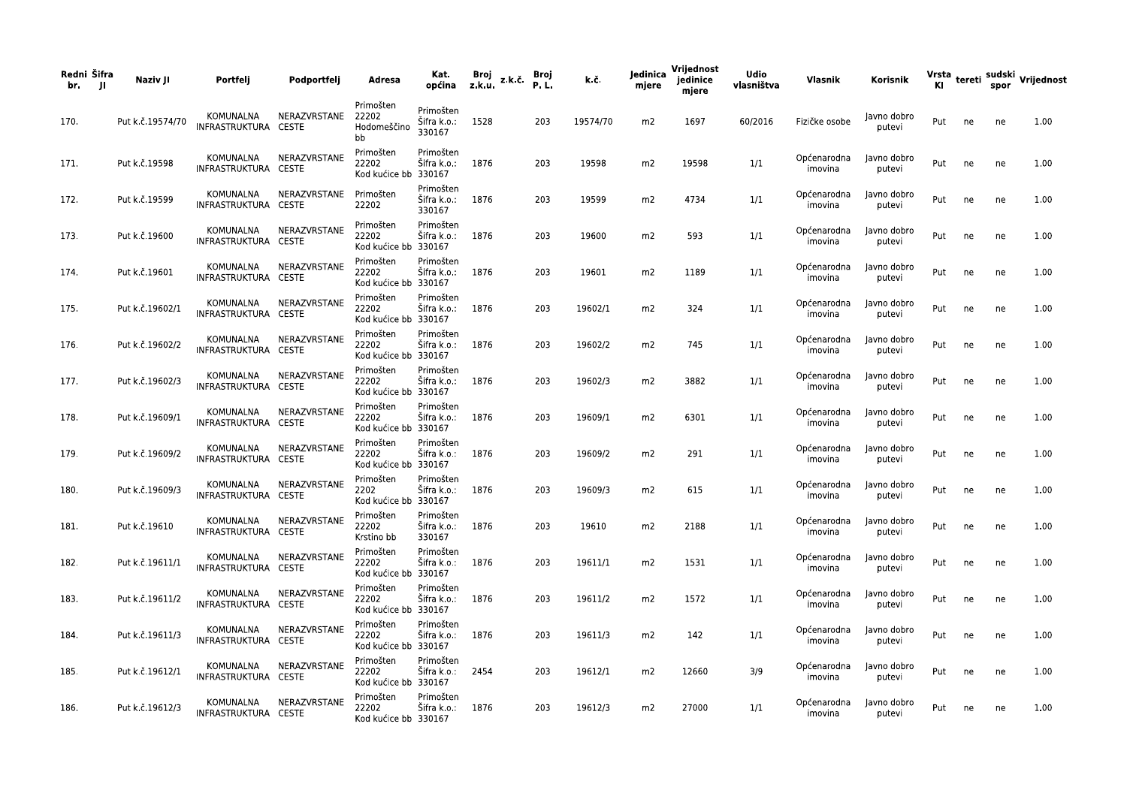| Redni Šifra<br>br.<br>- 11 | Naziv JI         | Portfelj                          | Podportfelj  | Adresa                                     | Kat.<br>općina                     | Broj<br>z.k.u. | z.k.č. | Broj<br>P.L. | k.č.     | Jedinica<br>mjere | Vrijednost<br>jedinice<br>mjere | <b>Udio</b><br>vlasništva | Vlasnik                | Korisnik              |     |    |    | Vrsta tereti sudski Vrijednost<br>Kl spor |
|----------------------------|------------------|-----------------------------------|--------------|--------------------------------------------|------------------------------------|----------------|--------|--------------|----------|-------------------|---------------------------------|---------------------------|------------------------|-----------------------|-----|----|----|-------------------------------------------|
| 170.                       | Put k.č.19574/70 | KOMUNALNA<br>INFRASTRUKTURA CESTE | NERAZVRSTANE | Primošten<br>22202<br>Hodomeščino<br>bb    | Primošten<br>Šifra k.o.:<br>330167 | 1528           |        | 203          | 19574/70 | m2                | 1697                            | 60/2016                   | Fizičke osobe          | Javno dobro<br>putevi | Put | ne | ne | 1.00                                      |
| 171.                       | Put k.č.19598    | KOMUNALNA<br>INFRASTRUKTURA CESTE | NERAZVRSTANE | Primošten<br>22202<br>Kod kućice bb 330167 | Primošten<br>Šifra k.o.:           | 1876           |        | 203          | 19598    | m2                | 19598                           | 1/1                       | Općenarodna<br>imovina | Javno dobro<br>putevi | Put | ne | ne | 1.00                                      |
| 172.                       | Put k.č.19599    | KOMUNALNA<br>INFRASTRUKTURA CESTE | NERAZVRSTANE | Primošten<br>22202                         | Primošten<br>Šifra k.o.:<br>330167 | 1876           |        | 203          | 19599    | m2                | 4734                            | 1/1                       | Općenarodna<br>imovina | Javno dobro<br>putevi | Put | ne | ne | 1.00                                      |
| 173.                       | Put k.č.19600    | KOMUNALNA<br>INFRASTRUKTURA CESTE | NERAZVRSTANE | Primošten<br>22202<br>Kod kućice bb 330167 | Primošten<br>Sifra k.o.:           | 1876           |        | 203          | 19600    | m <sub>2</sub>    | 593                             | 1/1                       | Općenarodna<br>imovina | Javno dobro<br>putevi | Put | ne | ne | 1.00                                      |
| 174.                       | Put k.č.19601    | KOMUNALNA<br>INFRASTRUKTURA CESTE | NERAZVRSTANE | Primošten<br>22202<br>Kod kućice bb 330167 | Primošten<br>Šifra k.o.:           | 1876           |        | 203          | 19601    | m2                | 1189                            | 1/1                       | Općenarodna<br>imovina | Javno dobro<br>putevi | Put | ne | ne | 1.00                                      |
| 175.                       | Put k.č.19602/1  | KOMUNALNA<br>INFRASTRUKTURA CESTE | NERAZVRSTANE | Primošten<br>22202<br>Kod kućice bb 330167 | Primošten<br>Šifra k.o.:           | 1876           |        | 203          | 19602/1  | m2                | 324                             | 1/1                       | Općenarodna<br>imovina | Javno dobro<br>putevi | Put | ne | ne | 1.00                                      |
| 176.                       | Put k.č.19602/2  | KOMUNALNA<br>INFRASTRUKTURA CESTE | NERAZVRSTANE | Primošten<br>22202<br>Kod kućice bb 330167 | Primošten<br>Šifra k.o.:           | 1876           |        | 203          | 19602/2  | m <sub>2</sub>    | 745                             | 1/1                       | Općenarodna<br>imovina | Javno dobro<br>putevi | Put | ne | ne | 1.00                                      |
| 177.                       | Put k.č.19602/3  | KOMUNALNA<br>INFRASTRUKTURA CESTE | NERAZVRSTANE | Primošten<br>22202<br>Kod kućice bb 330167 | Primošten<br>Šifra k.o.:           | 1876           |        | 203          | 19602/3  | m2                | 3882                            | 1/1                       | Općenarodna<br>imovina | Javno dobro<br>putevi | Put | ne | ne | 1.00                                      |
| 178.                       | Put k.č.19609/1  | KOMUNALNA<br>INFRASTRUKTURA CESTE | NERAZVRSTANE | Primošten<br>22202<br>Kod kućice bb 330167 | Primošten<br>Šifra k.o.:           | 1876           |        | 203          | 19609/1  | m2                | 6301                            | 1/1                       | Općenarodna<br>imovina | Javno dobro<br>putevi | Put | ne | ne | 1.00                                      |
| 179.                       | Put k.č.19609/2  | KOMUNALNA<br>INFRASTRUKTURA CESTE | NERAZVRSTANE | Primošten<br>22202<br>Kod kućice bb 330167 | Primošten<br>Šifra k.o.:           | 1876           |        | 203          | 19609/2  | m2                | 291                             | 1/1                       | Općenarodna<br>imovina | Javno dobro<br>putevi | Put | ne | ne | 1.00                                      |
| 180.                       | Put k.č.19609/3  | KOMUNALNA<br>INFRASTRUKTURA CESTE | NERAZVRSTANE | Primošten<br>2202<br>Kod kućice bb 330167  | Primošten<br>Šifra k.o.:           | 1876           |        | 203          | 19609/3  | m2                | 615                             | 1/1                       | Općenarodna<br>imovina | Javno dobro<br>putevi | Put | ne | ne | 1.00                                      |
| 181.                       | Put k.č.19610    | KOMUNALNA<br>INFRASTRUKTURA CESTE | NERAZVRSTANE | Primošten<br>22202<br>Krstino bb           | Primošten<br>Sifra k.o.:<br>330167 | 1876           |        | 203          | 19610    | m2                | 2188                            | 1/1                       | Općenarodna<br>imovina | Javno dobro<br>putevi | Put | ne | ne | 1.00                                      |
| 182.                       | Put k.č.19611/1  | KOMUNALNA<br>INFRASTRUKTURA CESTE | NERAZVRSTANE | Primošten<br>22202<br>Kod kućice bb 330167 | Primošten<br>Šifra k.o.:           | 1876           |        | 203          | 19611/1  | m2                | 1531                            | 1/1                       | Općenarodna<br>imovina | Javno dobro<br>putevi | Put | ne | ne | 1.00                                      |
| 183.                       | Put k.č.19611/2  | KOMUNALNA<br>INFRASTRUKTURA CESTE | NERAZVRSTANE | Primošten<br>22202<br>Kod kućice bb 330167 | Primošten<br>Šifra k.o.: 1876      |                |        | 203          | 19611/2  | m2                | 1572                            | 1/1                       | Općenarodna<br>imovina | Javno dobro<br>putevi | Put | ne | ne | 1.00                                      |
| 184.                       | Put k.č.19611/3  | KOMUNALNA<br>INFRASTRUKTURA CESTE | NERAZVRSTANE | Primošten<br>22202<br>Kod kućice bb 330167 | Primošten<br>Šifra k.o.: 1876      |                |        | 203          | 19611/3  | m2                | 142                             | 1/1                       | Općenarodna<br>imovina | Javno dobro<br>putevi | Put | ne | ne | 1.00                                      |
| 185.                       | Put k.č.19612/1  | KOMUNALNA<br>INFRASTRUKTURA CESTE | NERAZVRSTANE | Primošten<br>22202<br>Kod kućice bb 330167 | Primošten<br>Šifra k.o.:           | 2454           |        | 203          | 19612/1  | m2                | 12660                           | 3/9                       | Općenarodna<br>imovina | Javno dobro<br>putevi | Put | ne | ne | 1.00                                      |
| 186.                       | Put k.č.19612/3  | KOMUNALNA<br>INFRASTRUKTURA CESTE | NERAZVRSTANE | Primošten<br>22202<br>Kod kućice bb 330167 | Primošten<br>Šifra k.o.: 1876      |                |        | 203          | 19612/3  | m2                | 27000                           | 1/1                       | Općenarodna<br>imovina | Javno dobro<br>putevi | Put | ne | ne | 1.00                                      |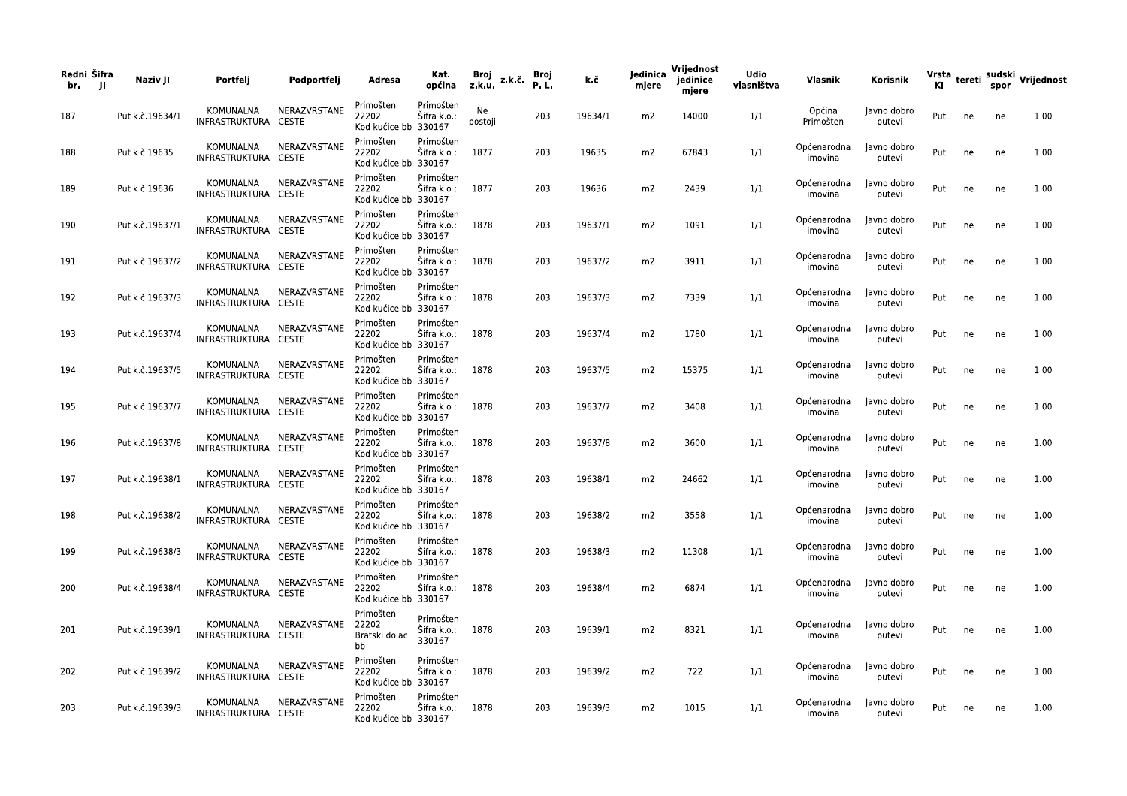| Redni Šifra<br>br.<br>-JI | Naziv JI        | Portfelj                          | Podportfelj            | Adresa                                     | Kat.<br>općina                          | Broj<br>z.k.u. | z.k.č | Broj<br>P.L. | k.č.    | Jedinica<br>mjere | Vrijednost<br>jedinice<br>mjere | <b>Udio</b><br>vlasništva | Vlasnik                            | Korisnik              |     |        |    | Vrsta <sub>tereti</sub> sudski <sub>V</sub> rijednost<br>Kl |
|---------------------------|-----------------|-----------------------------------|------------------------|--------------------------------------------|-----------------------------------------|----------------|-------|--------------|---------|-------------------|---------------------------------|---------------------------|------------------------------------|-----------------------|-----|--------|----|-------------------------------------------------------------|
| 187.                      | Put k.č.19634/1 | KOMUNALNA<br>INFRASTRUKTURA CESTE | NERAZVRSTANE           | Primošten<br>22202<br>Kod kućice bb 330167 | Primošten<br>Šifra k.o.:                | Ne<br>postoji  |       | 203          | 19634/1 | m2                | 14000                           | 1/1                       | Općina<br>Primošten                | Javno dobro<br>putevi | Put | ne     | ne | 1.00                                                        |
| 188.                      | Put k.č.19635   | KOMUNALNA<br>INFRASTRUKTURA CESTE | NERAZVRSTANE           | Primošten<br>22202<br>Kod kućice bb 330167 | Primošten<br>Šifra k.o.:                | 1877           |       | 203          | 19635   | m2                | 67843                           | 1/1                       | Općenarodna<br>imovina             | Javno dobro<br>putevi | Put | ne     | ne | 1.00                                                        |
| 189.                      | Put k.č.19636   | KOMUNALNA<br>INFRASTRUKTURA CESTE | NERAZVRSTANE           | Primošten<br>22202<br>Kod kućice bb 330167 | Primošten<br>Šifra k.o.:                | 1877           |       | 203          | 19636   | m2                | 2439                            | 1/1                       | Općenarodna<br>imovina             | Javno dobro<br>putevi | Put | ne     | ne | 1.00                                                        |
| 190.                      | Put k.č.19637/1 | KOMUNALNA<br>INFRASTRUKTURA CESTE | NERAZVRSTANE           | Primošten<br>22202<br>Kod kućice bb 330167 | Primošten<br>Šifra k.o.:                | 1878           |       | 203          | 19637/1 | m2                | 1091                            | 1/1                       | Općenarodna<br>imovina             | Javno dobro<br>putevi | Put | ne     | ne | 1.00                                                        |
| 191.                      | Put k.č.19637/2 | KOMUNALNA<br>INFRASTRUKTURA CESTE | NERAZVRSTANE           | Primošten<br>22202<br>Kod kućice bb 330167 | Primošten<br>Šifra k.o.:                | 1878           |       | 203          | 19637/2 | m2                | 3911                            | 1/1                       | Općenarodna<br>imovina             | Javno dobro<br>putevi | Put | ne     | ne | 1.00                                                        |
| 192.                      | Put k.č.19637/3 | KOMUNALNA<br>INFRASTRUKTURA CESTE | NERAZVRSTANE           | Primošten<br>22202<br>Kod kućice bb 330167 | Primošten<br>Šifra k.o.:                | 1878           |       | 203          | 19637/3 | m2                | 7339                            | 1/1                       | Općenarodna<br>imovina             | Javno dobro<br>putevi | Put | ne     | ne | 1.00                                                        |
| 193.                      | Put k.č.19637/4 | KOMUNALNA<br>INFRASTRUKTURA CESTE | NERAZVRSTANE           | Primošten<br>22202<br>Kod kućice bb 330167 | Primošten<br>Šifra k.o.:                | 1878           |       | 203          | 19637/4 | m2                | 1780                            | 1/1                       | Općenarodna<br>imovina             | Javno dobro<br>putevi | Put | ne     | ne | 1.00                                                        |
| 194.                      | Put k.č.19637/5 | KOMUNALNA<br>INFRASTRUKTURA CESTE | NERAZVRSTANE           | Primošten<br>22202<br>Kod kućice bb 330167 | Primošten<br>Šifra k.o.:                | 1878           |       | 203          | 19637/5 | m2                | 15375                           | 1/1                       | Općenarodna<br>imovina             | Javno dobro<br>putevi | Put | ne     | ne | 1.00                                                        |
| 195.                      | Put k.č.19637/7 | KOMUNALNA<br>INFRASTRUKTURA CESTE | NERAZVRSTANE           | Primošten<br>22202<br>Kod kućice bb 330167 | Primošten<br>Šifra k.o.:                | 1878           |       | 203          | 19637/7 | m2                | 3408                            | 1/1                       | Općenarodna<br>imovina             | Javno dobro<br>putevi | Put | ne     | ne | 1.00                                                        |
| 196.                      | Put k.č.19637/8 | KOMUNALNA<br>INFRASTRUKTURA CESTE | NERAZVRSTANE           | Primošten<br>22202<br>Kod kućice bb 330167 | Primošten<br>Šifra k.o.:                | 1878           |       | 203          | 19637/8 | m2                | 3600                            | 1/1                       | Općenarodna<br>imovina             | Javno dobro<br>putevi | Put | ne     | ne | 1.00                                                        |
| 197.                      | Put k.č.19638/1 | KOMUNALNA<br>INFRASTRUKTURA CESTE | NERAZVRSTANE           | Primošten<br>22202<br>Kod kućice bb 330167 | Primošten<br>Sifra k.o.:                | 1878           |       | 203          | 19638/1 | m2                | 24662                           | 1/1                       | Općenarodna<br>imovina             | Javno dobro<br>putevi | Put | ne     | ne | 1.00                                                        |
| 198.                      | Put k.č.19638/2 | KOMUNALNA<br>INFRASTRUKTURA CESTE | NERAZVRSTANE           | Primošten<br>22202<br>Kod kućice bb 330167 | Primošten<br>Šifra k.o.:                | 1878           |       | 203          | 19638/2 | m2                | 3558                            | 1/1                       | Općenarodna<br>imovina             | Javno dobro<br>putevi | Put | ne     | ne | 1.00                                                        |
| 199.                      | Put k.č.19638/3 | KOMUNALNA<br>INFRASTRUKTURA CESTE | NERAZVRSTANE           | Primošten<br>22202<br>Kod kućice bb 330167 | Primošten<br>Sifra k.o.:                | 1878           |       | 203          | 19638/3 | m2                | 11308                           | 1/1                       | Općenarodna<br>imovina             | Javno dobro<br>putevi | Put | ne     | ne | 1.00                                                        |
| 200.                      | Put k.č.19638/4 | INFRASTRUKTURA CESTE              | KOMUNALNA NERAZVRSTANE | Primošten<br>22202<br>Kod kućice bb 330167 | Primošten<br>Sifra k.o.: 1878           |                |       | 203          | 19638/4 | m2                | 6874                            | 1/1                       | Općenarodna Javno dobro<br>imovina | putevi                |     | Put ne | ne | 1.00                                                        |
| 201.                      | Put k.č.19639/1 | INFRASTRUKTURA CESTE              | KOMUNALNA NERAZVRSTANE | Primošten<br>22202<br>Bratski dolac<br>bb  | Primošten<br>Šifra k.o.: 1878<br>330167 |                |       | 203          | 19639/1 | m2                | 8321                            | 1/1                       | Općenarodna<br>imovina             | Javno dobro<br>putevi | Put | ne     | ne | 1.00                                                        |
| 202.                      | Put k.č.19639/2 | KOMUNALNA<br>INFRASTRUKTURA CESTE | NERAZVRSTANE           | Primošten<br>22202<br>Kod kućice bb 330167 | Primošten<br>Šifra k.o.: 1878           |                |       | 203          | 19639/2 | m2                | 722                             | 1/1                       | Općenarodna<br>imovina             | Javno dobro<br>putevi | Put | ne     | ne | 1.00                                                        |
| 203.                      | Put k.č.19639/3 | KOMUNALNA<br>INFRASTRUKTURA CESTE | NERAZVRSTANE           | Primošten<br>22202<br>Kod kućice bb 330167 | Primošten<br>Šifra k.o.: 1878           |                |       | 203          | 19639/3 | m2                | 1015                            | 1/1                       | Općenarodna<br>imovina             | Javno dobro<br>putevi | Put | ne     | ne | 1.00                                                        |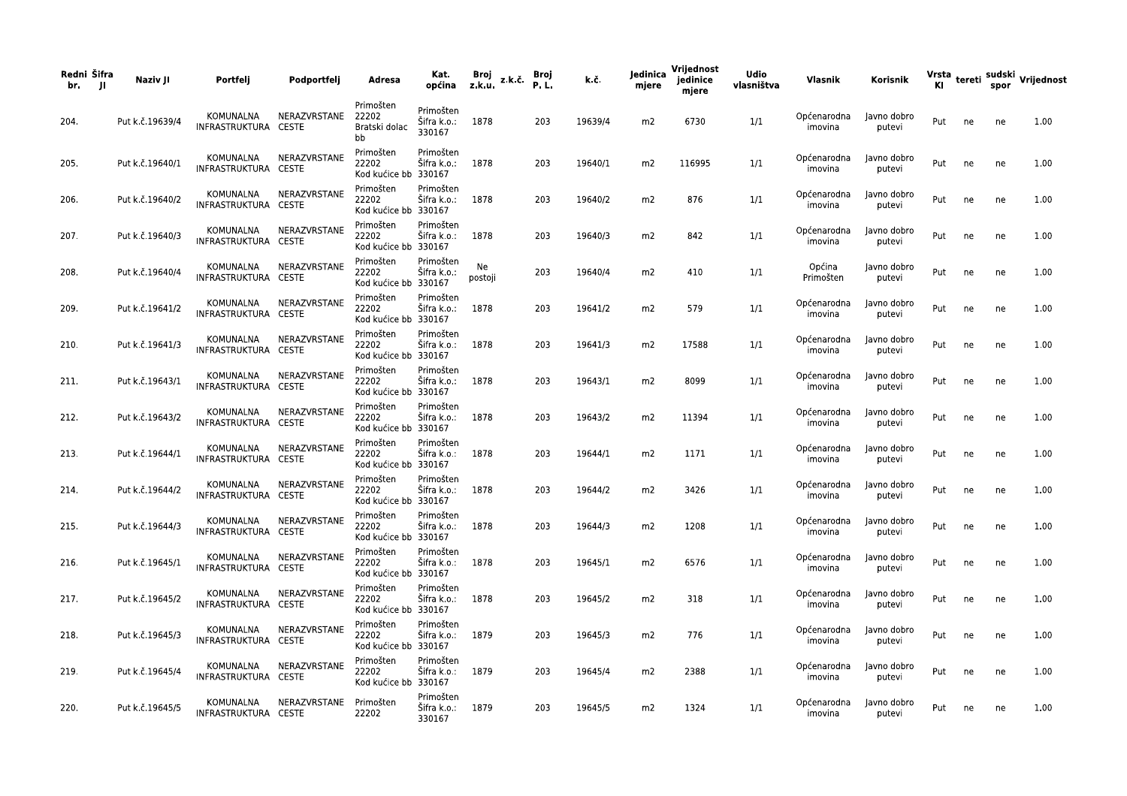| Redni Šifra<br>br.<br>- 11 | Naziv JI        | Portfelj                          | Podportfelj            | Adresa                                     | Kat.<br>općina                          | Broj<br>z.k.u. | z.k.č. | Broj<br>P.L. | k.č.    | Jedinica<br>mjere | Vrijednost<br>jedinice<br>mjere | <b>Udio</b><br>vlasništva | Vlasnik                | Korisnik              |     |    |    | Vrsta tereti sudski Vrijednost<br>Kl spor |
|----------------------------|-----------------|-----------------------------------|------------------------|--------------------------------------------|-----------------------------------------|----------------|--------|--------------|---------|-------------------|---------------------------------|---------------------------|------------------------|-----------------------|-----|----|----|-------------------------------------------|
| 204.                       | Put k.č.19639/4 | KOMUNALNA<br>INFRASTRUKTURA CESTE | NERAZVRSTANE           | Primošten<br>22202<br>Bratski dolac<br>bb  | Primošten<br>Šifra k.o.:<br>330167      | 1878           |        | 203          | 19639/4 | m2                | 6730                            | 1/1                       | Općenarodna<br>imovina | Javno dobro<br>putevi | Put | ne | ne | 1.00                                      |
| 205.                       | Put k.č.19640/1 | KOMUNALNA<br>INFRASTRUKTURA CESTE | NERAZVRSTANE           | Primošten<br>22202<br>Kod kućice bb 330167 | Primošten<br>Šifra k.o.:                | 1878           |        | 203          | 19640/1 | m2                | 116995                          | 1/1                       | Općenarodna<br>imovina | Javno dobro<br>putevi | Put | ne | ne | 1.00                                      |
| 206.                       | Put k.č.19640/2 | KOMUNALNA<br>INFRASTRUKTURA CESTE | NERAZVRSTANE           | Primošten<br>22202<br>Kod kućice bb 330167 | Primošten<br>Sifra k.o.:                | 1878           |        | 203          | 19640/2 | m2                | 876                             | 1/1                       | Općenarodna<br>imovina | Javno dobro<br>putevi | Put | ne | ne | 1.00                                      |
| 207.                       | Put k.č.19640/3 | KOMUNALNA<br>INFRASTRUKTURA CESTE | NERAZVRSTANE           | Primošten<br>22202<br>Kod kućice bb 330167 | Primošten<br>Šifra k.o.:                | 1878           |        | 203          | 19640/3 | m <sub>2</sub>    | 842                             | 1/1                       | Općenarodna<br>imovina | Javno dobro<br>putevi | Put | ne | ne | 1.00                                      |
| 208.                       | Put k.č.19640/4 | KOMUNALNA<br>INFRASTRUKTURA CESTE | NERAZVRSTANE           | Primošten<br>22202<br>Kod kućice bb 330167 | Primošten<br>Šifra k.o.:                | Ne<br>postoji  |        | 203          | 19640/4 | m2                | 410                             | 1/1                       | Općina<br>Primošten    | Javno dobro<br>putevi | Put | ne | ne | 1.00                                      |
| 209.                       | Put k.č.19641/2 | KOMUNALNA<br>INFRASTRUKTURA CESTE | NERAZVRSTANE           | Primošten<br>22202<br>Kod kućice bb 330167 | Primošten<br>Šifra k.o.:                | 1878           |        | 203          | 19641/2 | m2                | 579                             | 1/1                       | Općenarodna<br>imovina | Javno dobro<br>putevi | Put | ne | ne | 1.00                                      |
| 210.                       | Put k.č.19641/3 | KOMUNALNA<br>INFRASTRUKTURA CESTE | NERAZVRSTANE           | Primošten<br>22202<br>Kod kućice bb 330167 | Primošten<br>Šifra k.o.:                | 1878           |        | 203          | 19641/3 | m2                | 17588                           | 1/1                       | Općenarodna<br>imovina | Javno dobro<br>putevi | Put | ne | ne | 1.00                                      |
| 211.                       | Put k.č.19643/1 | KOMUNALNA<br>INFRASTRUKTURA CESTE | NERAZVRSTANE           | Primošten<br>22202<br>Kod kućice bb 330167 | Primošten<br>Šifra k.o.:                | 1878           |        | 203          | 19643/1 | m2                | 8099                            | 1/1                       | Općenarodna<br>imovina | Javno dobro<br>putevi | Put | ne | ne | 1.00                                      |
| 212.                       | Put k.č.19643/2 | KOMUNALNA<br>INFRASTRUKTURA CESTE | NERAZVRSTANE           | Primošten<br>22202<br>Kod kućice bb 330167 | Primošten<br>Šifra k.o.:                | 1878           |        | 203          | 19643/2 | m2                | 11394                           | 1/1                       | Općenarodna<br>imovina | Javno dobro<br>putevi | Put | ne | ne | 1.00                                      |
| 213.                       | Put k.č.19644/1 | KOMUNALNA<br>INFRASTRUKTURA CESTE | NERAZVRSTANE           | Primošten<br>22202<br>Kod kućice bb 330167 | Primošten<br>Šifra k.o.:                | 1878           |        | 203          | 19644/1 | m2                | 1171                            | 1/1                       | Općenarodna<br>imovina | Javno dobro<br>putevi | Put | ne | ne | 1.00                                      |
| 214.                       | Put k.č.19644/2 | KOMUNALNA<br>INFRASTRUKTURA CESTE | NERAZVRSTANE           | Primošten<br>22202<br>Kod kućice bb 330167 | Primošten<br>Šifra k.o.:                | 1878           |        | 203          | 19644/2 | m2                | 3426                            | 1/1                       | Općenarodna<br>imovina | Javno dobro<br>putevi | Put | ne | ne | 1.00                                      |
| 215.                       | Put k.č.19644/3 | KOMUNALNA<br>INFRASTRUKTURA CESTE | NERAZVRSTANE           | Primošten<br>22202<br>Kod kućice bb 330167 | Primošten<br>Šifra k.o.:                | 1878           |        | 203          | 19644/3 | m2                | 1208                            | 1/1                       | Općenarodna<br>imovina | Javno dobro<br>putevi | Put | ne | ne | 1.00                                      |
| 216.                       | Put k.č.19645/1 | KOMUNALNA<br>INFRASTRUKTURA CESTE | NERAZVRSTANE           | Primošten<br>22202<br>Kod kućice bb 330167 | Primošten<br>Šifra k.o.:                | 1878           |        | 203          | 19645/1 | m2                | 6576                            | 1/1                       | Općenarodna<br>imovina | Javno dobro<br>putevi | Put | ne | ne | 1.00                                      |
| 217.                       | Put k.č.19645/2 | KOMUNALNA<br>INFRASTRUKTURA CESTE | NERAZVRSTANE           | Primošten<br>22202<br>Kod kućice bb 330167 | Primošten<br>Šifra k.o.: 1878           |                |        | 203          | 19645/2 | m2                | 318                             | 1/1                       | Općenarodna<br>imovina | Javno dobro<br>putevi | Put | ne | ne | 1.00                                      |
| 218.                       | Put k.č.19645/3 | KOMUNALNA<br>INFRASTRUKTURA CESTE | NERAZVRSTANE           | Primošten<br>22202<br>Kod kućice bb 330167 | Primošten<br>Šifra k.o.: 1879           |                |        | 203          | 19645/3 | m2                | 776                             | 1/1                       | Općenarodna<br>imovina | Javno dobro<br>putevi | Put | ne | ne | 1.00                                      |
| 219.                       | Put k.č.19645/4 | KOMUNALNA<br>INFRASTRUKTURA CESTE | NERAZVRSTANE           | Primošten<br>22202<br>Kod kućice bb 330167 | Primošten<br>Šifra k.o.:                | 1879           |        | 203          | 19645/4 | m2                | 2388                            | 1/1                       | Općenarodna<br>imovina | Javno dobro<br>putevi | Put | ne | ne | 1.00                                      |
| 220.                       | Put k.č.19645/5 | KOMUNALNA<br>INFRASTRUKTURA CESTE | NERAZVRSTANE Primošten | 22202                                      | Primošten<br>Sifra k.o.: 1879<br>330167 |                |        | 203          | 19645/5 | m2                | 1324                            | 1/1                       | Općenarodna<br>imovina | Javno dobro<br>putevi | Put | ne | ne | 1.00                                      |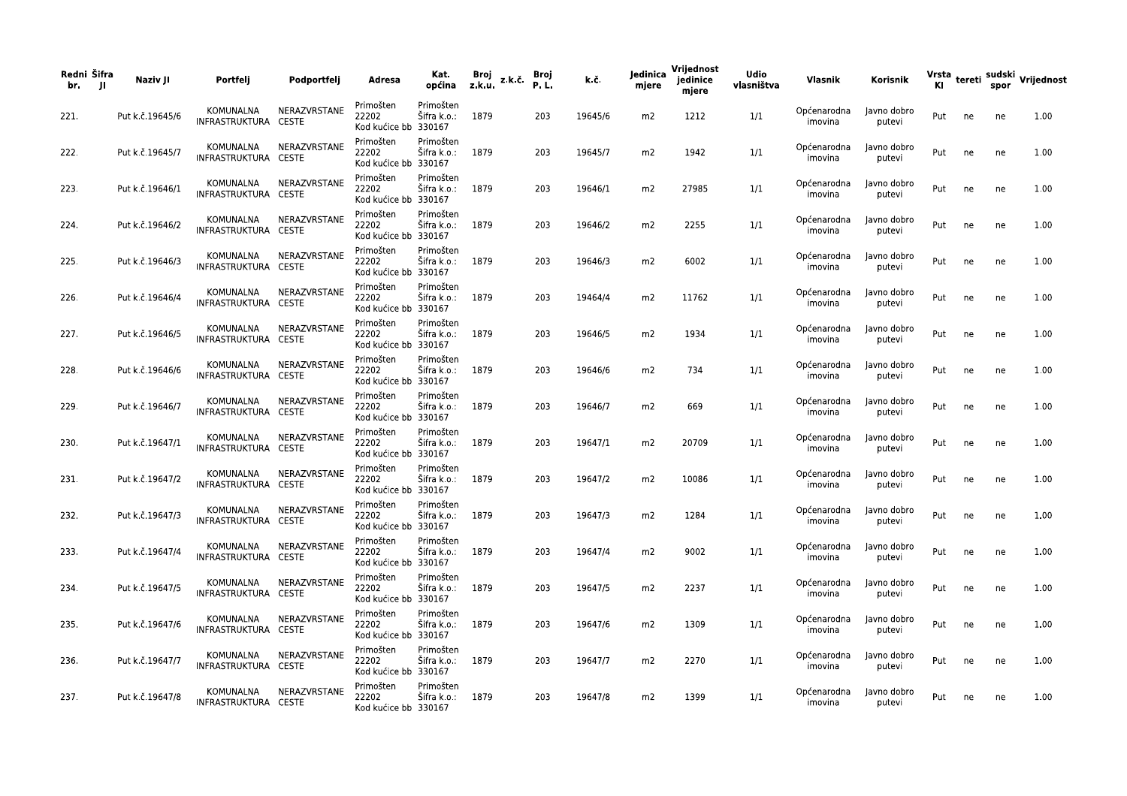| Redni Šifra<br>br.<br>-JI | Naziv JI        | Portfelj                                       | Podportfelj            | Adresa                                     | Kat.<br>općina                | Broj<br>z.k.u. | z.k.č. | Broj<br>P.L. | k.č.    | Jedinica<br>mjere | Vrijednost<br>jedinice<br>mjere | <b>Udio</b><br>vlasništva | Vlasnik                            | Korisnik              |     |    |    | Vrsta <sub>tereti</sub> sudski <sub>V</sub> rijednost<br>Kl |
|---------------------------|-----------------|------------------------------------------------|------------------------|--------------------------------------------|-------------------------------|----------------|--------|--------------|---------|-------------------|---------------------------------|---------------------------|------------------------------------|-----------------------|-----|----|----|-------------------------------------------------------------|
| 221.                      | Put k.č.19645/6 | KOMUNALNA<br>INFRASTRUKTURA CESTE              | NERAZVRSTANE           | Primošten<br>22202<br>Kod kućice bb 330167 | Primošten<br>Šifra k.o.:      | 1879           |        | 203          | 19645/6 | m2                | 1212                            | 1/1                       | Općenarodna<br>imovina             | Javno dobro<br>putevi | Put | ne | ne | 1.00                                                        |
| 222.                      | Put k.č.19645/7 | KOMUNALNA<br>INFRASTRUKTURA CESTE              | NERAZVRSTANE           | Primošten<br>22202<br>Kod kućice bb 330167 | Primošten<br>Šifra k.o.:      | 1879           |        | 203          | 19645/7 | m2                | 1942                            | 1/1                       | Općenarodna<br>imovina             | Javno dobro<br>putevi | Put | ne | ne | 1.00                                                        |
| 223.                      | Put k.č.19646/1 | KOMUNALNA<br>INFRASTRUKTURA CESTE              | NERAZVRSTANE           | Primošten<br>22202<br>Kod kućice bb 330167 | Primošten<br>Šifra k.o.:      | 1879           |        | 203          | 19646/1 | m2                | 27985                           | 1/1                       | Općenarodna<br>imovina             | Javno dobro<br>putevi | Put | ne | ne | 1.00                                                        |
| 224.                      | Put k.č.19646/2 | KOMUNALNA<br>INFRASTRUKTURA CESTE              | NERAZVRSTANE           | Primošten<br>22202<br>Kod kućice bb 330167 | Primošten<br>Šifra k.o.:      | 1879           |        | 203          | 19646/2 | m2                | 2255                            | 1/1                       | Općenarodna<br>imovina             | Javno dobro<br>putevi | Put | ne | ne | 1.00                                                        |
| 225.                      | Put k.č.19646/3 | KOMUNALNA<br>INFRASTRUKTURA CESTE              | NERAZVRSTANE           | Primošten<br>22202<br>Kod kućice bb 330167 | Primošten<br>Šifra k.o.:      | 1879           |        | 203          | 19646/3 | m2                | 6002                            | 1/1                       | Općenarodna<br>imovina             | Javno dobro<br>putevi | Put | ne | ne | 1.00                                                        |
| 226.                      | Put k.č.19646/4 | KOMUNALNA<br>INFRASTRUKTURA CESTE              | NERAZVRSTANE           | Primošten<br>22202<br>Kod kućice bb 330167 | Primošten<br>Šifra k.o.:      | 1879           |        | 203          | 19464/4 | m2                | 11762                           | 1/1                       | Općenarodna<br>imovina             | Javno dobro<br>putevi | Put | ne | ne | 1.00                                                        |
| 227.                      | Put k.č.19646/5 | KOMUNALNA<br>INFRASTRUKTURA CESTE              | NERAZVRSTANE           | Primošten<br>22202<br>Kod kućice bb 330167 | Primošten<br>Šifra k.o.:      | 1879           |        | 203          | 19646/5 | m2                | 1934                            | 1/1                       | Općenarodna<br>imovina             | Javno dobro<br>putevi | Put | ne | ne | 1.00                                                        |
| 228.                      | Put k.č.19646/6 | KOMUNALNA<br>INFRASTRUKTURA CESTE              | NERAZVRSTANE           | Primošten<br>22202<br>Kod kućice bb 330167 | Primošten<br>Šifra k.o.:      | 1879           |        | 203          | 19646/6 | m2                | 734                             | 1/1                       | Općenarodna<br>imovina             | Javno dobro<br>putevi | Put | ne | ne | 1.00                                                        |
| 229.                      | Put k.č.19646/7 | KOMUNALNA<br>INFRASTRUKTURA CESTE              | NERAZVRSTANE           | Primošten<br>22202<br>Kod kućice bb 330167 | Primošten<br>Šifra k.o.:      | 1879           |        | 203          | 19646/7 | m2                | 669                             | 1/1                       | Općenarodna<br>imovina             | Javno dobro<br>putevi | Put | ne | ne | 1.00                                                        |
| 230.                      | Put k.č.19647/1 | KOMUNALNA<br>INFRASTRUKTURA CESTE              | NERAZVRSTANE           | Primošten<br>22202<br>Kod kućice bb 330167 | Primošten<br>Šifra k.o.:      | 1879           |        | 203          | 19647/1 | m2                | 20709                           | 1/1                       | Općenarodna<br>imovina             | Javno dobro<br>putevi | Put | ne | ne | 1.00                                                        |
| 231.                      | Put k.č.19647/2 | KOMUNALNA<br>INFRASTRUKTURA CESTE              | NERAZVRSTANE           | Primošten<br>22202<br>Kod kućice bb 330167 | Primošten<br>Sifra k.o.:      | 1879           |        | 203          | 19647/2 | m2                | 10086                           | 1/1                       | Općenarodna<br>imovina             | Javno dobro<br>putevi | Put | ne | ne | 1.00                                                        |
| 232.                      | Put k.č.19647/3 | KOMUNALNA<br>INFRASTRUKTURA CESTE              | NERAZVRSTANE           | Primošten<br>22202<br>Kod kućice bb 330167 | Primošten<br>Šifra k.o.:      | 1879           |        | 203          | 19647/3 | m2                | 1284                            | 1/1                       | Općenarodna<br>imovina             | Javno dobro<br>putevi | Put | ne | ne | 1.00                                                        |
| 233.                      | Put k.č.19647/4 | KOMUNALNA<br>INFRASTRUKTURA CESTE              | NERAZVRSTANE           | Primošten<br>22202<br>Kod kućice bb 330167 | Primošten<br>Sifra k.o.:      | 1879           |        | 203          | 19647/4 | m2                | 9002                            | 1/1                       | Općenarodna<br>imovina             | Javno dobro<br>putevi | Put | ne | ne | 1.00                                                        |
| 234.                      | Put k.č.19647/5 | INFRASTRUKTURA CESTE                           | KOMUNALNA NERAZVRSTANE | Primošten<br>22202<br>Kod kućice bb 330167 | Primošten<br>Šifra k.o.: 1879 |                |        | 203          | 19647/5 | m2                | 2237                            | 1/1                       | Općenarodna Javno dobro<br>imovina | putevi                | Put | ne | ne | 1.00                                                        |
| 235.                      | Put k.č.19647/6 | KOMUNALNA NERAZVRSTANE<br>INFRASTRUKTURA CESTE |                        | Primošten<br>22202<br>Kod kućice bb 330167 | Primošten<br>Šifra k.o.: 1879 |                |        | 203          | 19647/6 | m2                | 1309                            | 1/1                       | Općenarodna<br>imovina             | Javno dobro<br>putevi | Put | ne | ne | 1.00                                                        |
| 236.                      | Put k.č.19647/7 | KOMUNALNA NERAZVRSTANE<br>INFRASTRUKTURA CESTE |                        | Primošten<br>22202<br>Kod kućice bb 330167 | Primošten<br>Sifra k.o.: 1879 |                |        | 203          | 19647/7 | m2                | 2270                            | 1/1                       | Općenarodna<br>imovina             | Javno dobro<br>putevi | Put | ne | ne | 1.00                                                        |
| 237.                      | Put k.č.19647/8 | INFRASTRUKTURA CESTE                           | KOMUNALNA NERAZVRSTANE | Primošten<br>22202<br>Kod kućice bb 330167 | Primošten<br>Šifra k.o.: 1879 |                |        | 203          | 19647/8 | m2                | 1399                            | 1/1                       | Općenarodna<br>imovina             | Javno dobro<br>putevi | Put | ne | ne | 1.00                                                        |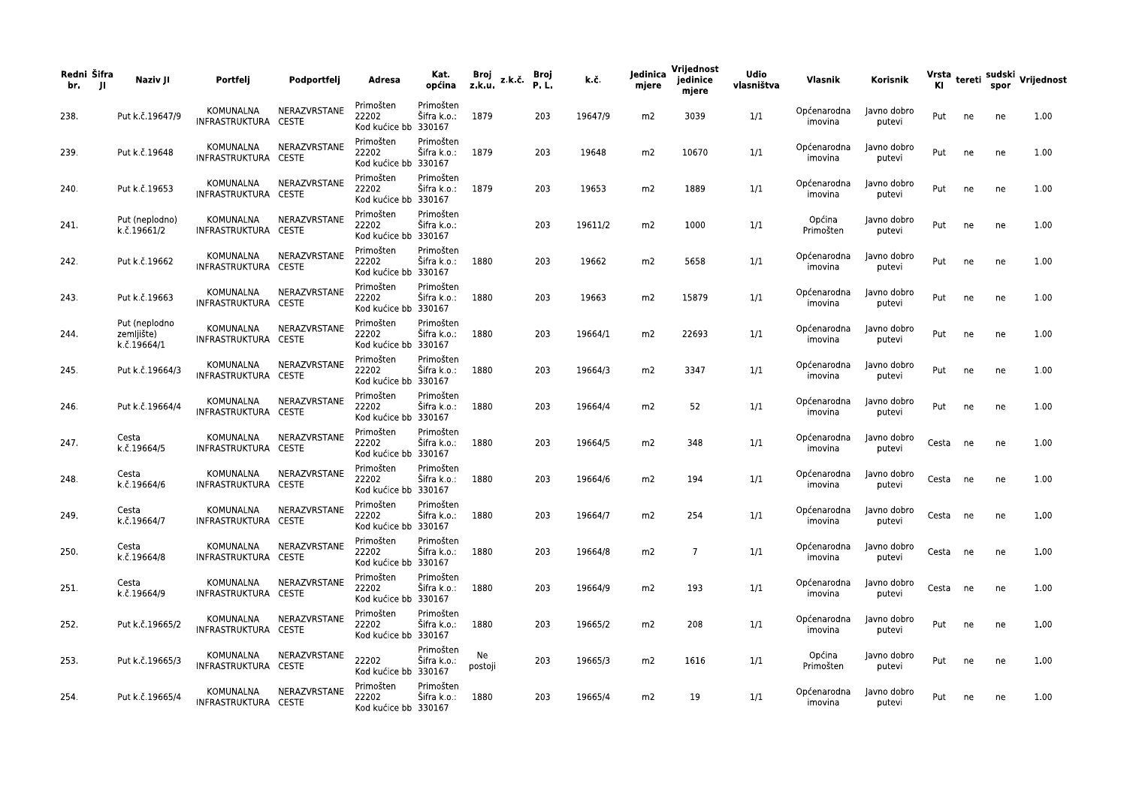| Redni Šifra<br>br.<br>- 11 | Naziv JI                                   | Portfelj                          | Podportfelj            | Adresa                                     | Kat.<br>općina                | Broj<br>z.k.u. | z.k.č | Broj<br>P.L. | k.č.    | Jedinica<br>mjere | Vrijednost<br>jedinice<br>mjere | <b>Udio</b><br>vlasništva | Vlasnik                            | Korisnik              | Vrsta    |    | spor | tereti sudski Vrijednost |
|----------------------------|--------------------------------------------|-----------------------------------|------------------------|--------------------------------------------|-------------------------------|----------------|-------|--------------|---------|-------------------|---------------------------------|---------------------------|------------------------------------|-----------------------|----------|----|------|--------------------------|
| 238.                       | Put k.č.19647/9                            | KOMUNALNA<br>INFRASTRUKTURA CESTE | NERAZVRSTANE           | Primošten<br>22202<br>Kod kućice bb 330167 | Primošten<br>Šifra k.o.:      | 1879           |       | 203          | 19647/9 | m2                | 3039                            | 1/1                       | Općenarodna<br>imovina             | Javno dobro<br>putevi | Put      | ne | ne   | 1.00                     |
| 239.                       | Put k.č.19648                              | KOMUNALNA<br>INFRASTRUKTURA CESTE | NERAZVRSTANE           | Primošten<br>22202<br>Kod kućice bb 330167 | Primošten<br>Šifra k.o.:      | 1879           |       | 203          | 19648   | m2                | 10670                           | 1/1                       | Općenarodna<br>imovina             | Javno dobro<br>putevi | Put      | ne | ne   | 1.00                     |
| 240.                       | Put k.č.19653                              | KOMUNALNA<br>INFRASTRUKTURA CESTE | NERAZVRSTANE           | Primošten<br>22202<br>Kod kućice bb 330167 | Primošten<br>Šifra k.o.:      | 1879           |       | 203          | 19653   | m2                | 1889                            | 1/1                       | Općenarodna<br>imovina             | Javno dobro<br>putevi | Put      | ne | ne   | 1.00                     |
| 241.                       | Put (neplodno)<br>k.č.19661/2              | KOMUNALNA<br>INFRASTRUKTURA CESTE | NERAZVRSTANE           | Primošten<br>22202<br>Kod kućice bb 330167 | Primošten<br>Šifra k.o.:      |                |       | 203          | 19611/2 | m2                | 1000                            | 1/1                       | Općina<br>Primošten                | Javno dobro<br>putevi | Put      | ne | ne   | 1.00                     |
| 242.                       | Put k.č.19662                              | KOMUNALNA<br>INFRASTRUKTURA CESTE | NERAZVRSTANE           | Primošten<br>22202<br>Kod kućice bb 330167 | Primošten<br>Šifra k.o.:      | 1880           |       | 203          | 19662   | m2                | 5658                            | 1/1                       | Općenarodna<br>imovina             | Javno dobro<br>putevi | Put      | ne | ne   | 1.00                     |
| 243.                       | Put k.č.19663                              | KOMUNALNA<br>INFRASTRUKTURA CESTE | NERAZVRSTANE           | Primošten<br>22202<br>Kod kućice bb 330167 | Primošten<br>Šifra k.o.:      | 1880           |       | 203          | 19663   | m2                | 15879                           | 1/1                       | Općenarodna<br>imovina             | Javno dobro<br>putevi | Put      | ne | ne   | 1.00                     |
| 244.                       | Put (neplodno<br>zemljište)<br>k.č.19664/1 | KOMUNALNA<br>INFRASTRUKTURA CESTE | NERAZVRSTANE           | Primošten<br>22202<br>Kod kućice bb 330167 | Primošten<br>Šifra k.o.:      | 1880           |       | 203          | 19664/1 | m2                | 22693                           | 1/1                       | Općenarodna<br>imovina             | Javno dobro<br>putevi | Put      | ne | ne   | 1.00                     |
| 245.                       | Put k.č.19664/3                            | KOMUNALNA<br>INFRASTRUKTURA CESTE | NERAZVRSTANE           | Primošten<br>22202<br>Kod kućice bb 330167 | Primošten<br>Šifra k.o.:      | 1880           |       | 203          | 19664/3 | m2                | 3347                            | 1/1                       | Općenarodna<br>imovina             | Javno dobro<br>putevi | Put      | ne | ne   | 1.00                     |
| 246.                       | Put k.č.19664/4                            | KOMUNALNA<br>INFRASTRUKTURA CESTE | NERAZVRSTANE           | Primošten<br>22202<br>Kod kućice bb 330167 | Primošten<br>Šifra k.o.:      | 1880           |       | 203          | 19664/4 | m2                | 52                              | 1/1                       | Općenarodna<br>imovina             | Javno dobro<br>putevi | Put      | ne | ne   | 1.00                     |
| 247.                       | Cesta<br>k.č.19664/5                       | KOMUNALNA<br>INFRASTRUKTURA CESTE | NERAZVRSTANE           | Primošten<br>22202<br>Kod kućice bb 330167 | Primošten<br>Šifra k.o.:      | 1880           |       | 203          | 19664/5 | m2                | 348                             | 1/1                       | Općenarodna<br>imovina             | Javno dobro<br>putevi | Cesta    | ne | ne   | 1.00                     |
| 248.                       | Cesta<br>k.č.19664/6                       | KOMUNALNA<br>INFRASTRUKTURA CESTE | NERAZVRSTANE           | Primošten<br>22202<br>Kod kućice bb 330167 | Primošten<br>Sifra k.o.:      | 1880           |       | 203          | 19664/6 | m2                | 194                             | 1/1                       | Općenarodna<br>imovina             | Javno dobro<br>putevi | Cesta    | ne | ne   | 1.00                     |
| 249.                       | Cesta<br>k.č.19664/7                       | KOMUNALNA<br>INFRASTRUKTURA CESTE | NERAZVRSTANE           | Primošten<br>22202<br>Kod kućice bb 330167 | Primošten<br>Šifra k.o.:      | 1880           |       | 203          | 19664/7 | m2                | 254                             | 1/1                       | Općenarodna<br>imovina             | Javno dobro<br>putevi | Cesta    | ne | ne   | 1.00                     |
| 250.                       | Cesta<br>k.č.19664/8                       | KOMUNALNA<br>INFRASTRUKTURA CESTE | NERAZVRSTANE           | Primošten<br>22202<br>Kod kućice bb 330167 | Primošten<br>Sifra k.o.:      | 1880           |       | 203          | 19664/8 | m2                | 7                               | 1/1                       | Općenarodna<br>imovina             | Javno dobro<br>putevi | Cesta    | ne | ne   | 1.00                     |
| 251.                       | Cesta<br>k.č.19664/9                       | INFRASTRUKTURA CESTE              | KOMUNALNA NERAZVRSTANE | Primošten<br>22202<br>Kod kućice bb 330167 | Primošten<br>Sifra k.o.: 1880 |                |       | 203          | 19664/9 | m2                | 193                             | 1/1                       | Općenarodna Javno dobro<br>imovina | putevi                | Cesta ne |    | ne   | 1.00                     |
| 252.                       | Put k.č.19665/2                            | INFRASTRUKTURA CESTE              | KOMUNALNA NERAZVRSTANE | Primošten<br>22202<br>Kod kućice bb 330167 | Primošten<br>Šifra k.o.:      | 1880           |       | 203          | 19665/2 | m2                | 208                             | 1/1                       | Općenarodna<br>imovina             | Javno dobro<br>putevi | Put      | ne | ne   | 1.00                     |
| 253.                       | Put k.č.19665/3                            | INFRASTRUKTURA CESTE              | KOMUNALNA NERAZVRSTANE | 22202<br>Kod kućice bb 330167              | Primošten<br>Šifra k.o.:      | Ne<br>postoji  |       | 203          | 19665/3 | m2                | 1616                            | 1/1                       | Općina<br>Primošten                | Javno dobro<br>putevi | Put      | ne | ne   | $1.00\,$                 |
| 254.                       | Put k.č.19665/4                            | INFRASTRUKTURA CESTE              | KOMUNALNA NERAZVRSTANE | Primošten<br>22202<br>Kod kućice bb 330167 | Primošten<br>Šifra k.o.: 1880 |                |       | 203          | 19665/4 | m2                | 19                              | 1/1                       | Općenarodna<br>imovina             | Javno dobro<br>putevi | Put      | ne | ne   | 1.00                     |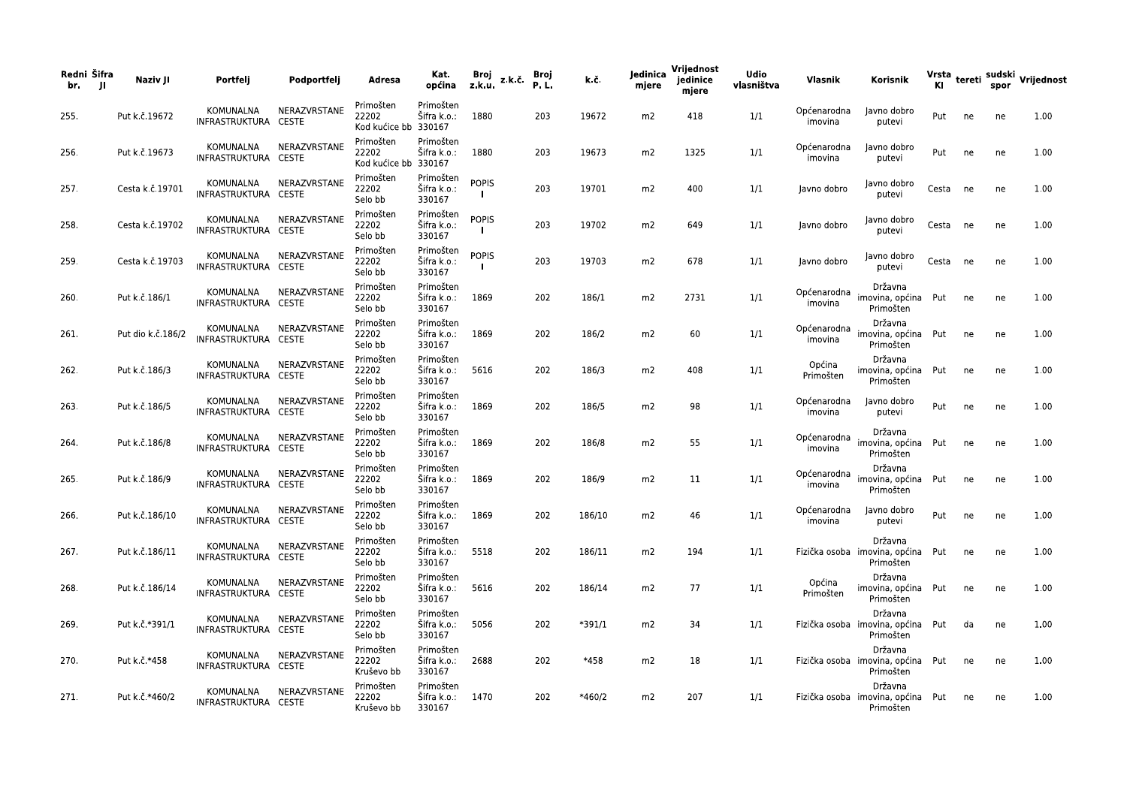| Redni Šifra<br>JI.<br>br. | Naziv JI          | Portfeli                                 | Podportfelj                  | <b>Adresa</b>                              | Kat.<br>općina                     | Broj<br>z.k.u.               | z.k.č. | Broj<br><b>P.L.</b> | k.č.     | ledinica<br>mjere | Vrijednost<br>jedinice<br>mjere | <b>Udio</b><br>vlasništva | Vlasnik                | Korisnik                                                  | <b>KI</b> |    | spor | Vrsta tereti sudski Vrijednost |
|---------------------------|-------------------|------------------------------------------|------------------------------|--------------------------------------------|------------------------------------|------------------------------|--------|---------------------|----------|-------------------|---------------------------------|---------------------------|------------------------|-----------------------------------------------------------|-----------|----|------|--------------------------------|
| 255.                      | Put k.č.19672     | <b>KOMUNALNA</b><br>INFRASTRUKTURA CESTE | NERAZVRSTANE                 | Primošten<br>22202<br>Kod kućice bb 330167 | Primošten<br>Šifra k.o.:           | 1880                         |        | 203                 | 19672    | m <sub>2</sub>    | 418                             | 1/1                       | Općenarodna<br>imovina | Javno dobro<br>putevi                                     | Put       | ne | ne   | 1.00                           |
| 256.                      | Put k.č.19673     | KOMUNALNA<br>INFRASTRUKTURA CESTE        | NERAZVRSTANE                 | Primošten<br>22202<br>Kod kućice bb 330167 | Primošten<br>Šifra k.o.:           | 1880                         |        | 203                 | 19673    | m <sub>2</sub>    | 1325                            | 1/1                       | Općenarodna<br>imovina | Javno dobro<br>putevi                                     | Put       | ne | ne   | 1.00                           |
| 257.                      | Cesta k.č.19701   | KOMUNALNA<br>INFRASTRUKTURA              | NERAZVRSTANE<br><b>CESTE</b> | Primošten<br>22202<br>Selo bb              | Primošten<br>Šifra k.o.:<br>330167 | <b>POPIS</b><br>$\mathbf{I}$ |        | 203                 | 19701    | m <sub>2</sub>    | 400                             | 1/1                       | Javno dobro            | Javno dobro<br>putevi                                     | Cesta     | ne | ne   | 1.00                           |
| 258.                      | Cesta k.č.19702   | KOMUNALNA<br>INFRASTRUKTURA CESTE        | NERAZVRSTANE                 | Primošten<br>22202<br>Selo bb              | Primošten<br>Šifra k.o.:<br>330167 | <b>POPIS</b><br>$\mathbf{I}$ |        | 203                 | 19702    | m2                | 649                             | 1/1                       | Javno dobro            | Javno dobro<br>putevi                                     | Cesta     | ne | ne   | 1.00                           |
| 259.                      | Cesta k.č.19703   | KOMUNALNA<br>INFRASTRUKTURA CESTE        | NERAZVRSTANE                 | Primošten<br>22202<br>Selo bb              | Primošten<br>Sifra k.o.:<br>330167 | <b>POPIS</b>                 |        | 203                 | 19703    | m2                | 678                             | 1/1                       | Javno dobro            | Javno dobro<br>putevi                                     | Cesta     | ne | ne   | 1.00                           |
| 260.                      | Put k.č.186/1     | <b>KOMUNALNA</b><br>INFRASTRUKTURA CESTE | NERAZVRSTANE                 | Primošten<br>22202<br>Selo bb              | Primošten<br>Šifra k.o.:<br>330167 | 1869                         |        | 202                 | 186/1    | m <sub>2</sub>    | 2731                            | 1/1                       | Općenarodna<br>imovina | Državna<br>imovina, općina<br>Primošten                   | Put       | ne | ne   | 1.00                           |
| 261.                      | Put dio k.č.186/2 | KOMUNALNA<br>INFRASTRUKTURA CESTE        | NERAZVRSTANE                 | Primošten<br>22202<br>Selo bb              | Primošten<br>Sifra k.o.:<br>330167 | 1869                         |        | 202                 | 186/2    | m <sub>2</sub>    | 60                              | 1/1                       | Općenarodna<br>imovina | Državna<br>imovina, općina Put<br>Primošten               |           | ne | ne   | 1.00                           |
| 262.                      | Put k.č.186/3     | KOMUNALNA<br>INFRASTRUKTURA CESTE        | NERAZVRSTANE                 | Primošten<br>22202<br>Selo bb              | Primošten<br>Šifra k.o.:<br>330167 | 5616                         |        | 202                 | 186/3    | m <sub>2</sub>    | 408                             | 1/1                       | Općina<br>Primošten    | Državna<br>imovina, općina Put<br>Primošten               |           | ne | ne   | 1.00                           |
| 263.                      | Put k.č.186/5     | KOMUNALNA<br>INFRASTRUKTURA CESTE        | NERAZVRSTANE                 | Primošten<br>22202<br>Selo bb              | Primošten<br>Šifra k.o.:<br>330167 | 1869                         |        | 202                 | 186/5    | m <sub>2</sub>    | 98                              | 1/1                       | Općenarodna<br>imovina | Javno dobro<br>putevi                                     | Put       | ne | ne   | 1.00                           |
| 264.                      | Put k.č.186/8     | KOMUNALNA<br>INFRASTRUKTURA CESTE        | NERAZVRSTANE                 | Primošten<br>22202<br>Selo bb              | Primošten<br>Šifra k.o.:<br>330167 | 1869                         |        | 202                 | 186/8    | m2                | 55                              | 1/1                       | Općenarodna<br>imovina | Državna<br>imovina, općina Put<br>Primošten               |           | ne | ne   | 1.00                           |
| 265.                      | Put k.č.186/9     | KOMUNALNA<br>INFRASTRUKTURA CESTE        | NERAZVRSTANE                 | Primošten<br>22202<br>Selo bb              | Primošten<br>Šifra k.o.:<br>330167 | 1869                         |        | 202                 | 186/9    | m <sub>2</sub>    | 11                              | 1/1                       | Općenarodna<br>imovina | Državna<br>imovina, općina<br>Primošten                   | Put       | ne | ne   | 1.00                           |
| 266.                      | Put k.č.186/10    | KOMUNALNA<br>INFRASTRUKTURA CESTE        | NERAZVRSTANE                 | Primošten<br>22202<br>Selo bb              | Primošten<br>Sifra k.o.:<br>330167 | 1869                         |        | 202                 | 186/10   | m2                | 46                              | 1/1                       | Općenarodna<br>imovina | Javno dobro<br>putevi                                     | Put       | ne | ne   | 1.00                           |
| 267.                      | Put k.č.186/11    | KOMUNALNA<br>INFRASTRUKTURA CESTE        | NERAZVRSTANE                 | Primošten<br>22202<br>Selo bb              | Primošten<br>Šifra k.o.:<br>330167 | 5518                         |        | 202                 | 186/11   | m <sub>2</sub>    | 194                             | 1/1                       |                        | Državna<br>Fizička osoba imovina, općina Put<br>Primošten |           | ne | ne   | 1.00                           |
| 268.                      | Put k.č.186/14    | KOMUNALNA<br>INFRASTRUKTURA CESTE        | NERAZVRSTANE                 | Primošten<br>22202<br>Selo bb              | Primošten<br>Šifra k.o.:<br>330167 | 5616                         |        | 202                 | 186/14   | m <sub>2</sub>    | 77                              | 1/1                       | Općina<br>Primošten    | Državna<br>imovina, općina Put<br>Primošten               |           | ne | ne   | 1.00                           |
| 269.                      | Put k.č.*391/1    | KOMUNALNA<br>INFRASTRUKTURA CESTE        | NERAZVRSTANE                 | Primošten<br>22202<br>Selo bb              | Primošten<br>Šifra k.o.:<br>330167 | 5056                         |        | 202                 | $*391/1$ | m <sub>2</sub>    | 34                              | 1/1                       |                        | Državna<br>Fizička osoba imovina, općina Put<br>Primošten |           | da | ne   | 1.00                           |
| 270.                      | Put k.č.*458      | KOMUNALNA<br>INFRASTRUKTURA CESTE        | NERAZVRSTANE                 | Primošten<br>22202<br>Kruševo bb           | Primošten<br>Šifra k.o.:<br>330167 | 2688                         |        | 202                 | *458     | m <sub>2</sub>    | 18                              | 1/1                       |                        | Državna<br>Fizička osoba imovina, općina Put<br>Primošten |           | ne | ne   | 1.00                           |
| 271.                      | Put k.č.*460/2    | KOMUNALNA<br>INFRASTRUKTURA CESTE        | NERAZVRSTANE                 | Primošten<br>22202<br>Kruševo bb           | Primošten<br>Sifra k.o.:<br>330167 | 1470                         |        | 202                 | *460/2   | m <sub>2</sub>    | 207                             | 1/1                       |                        | Državna<br>Fizička osoba imovina, općina Put<br>Primošten |           | ne | ne   | 1.00                           |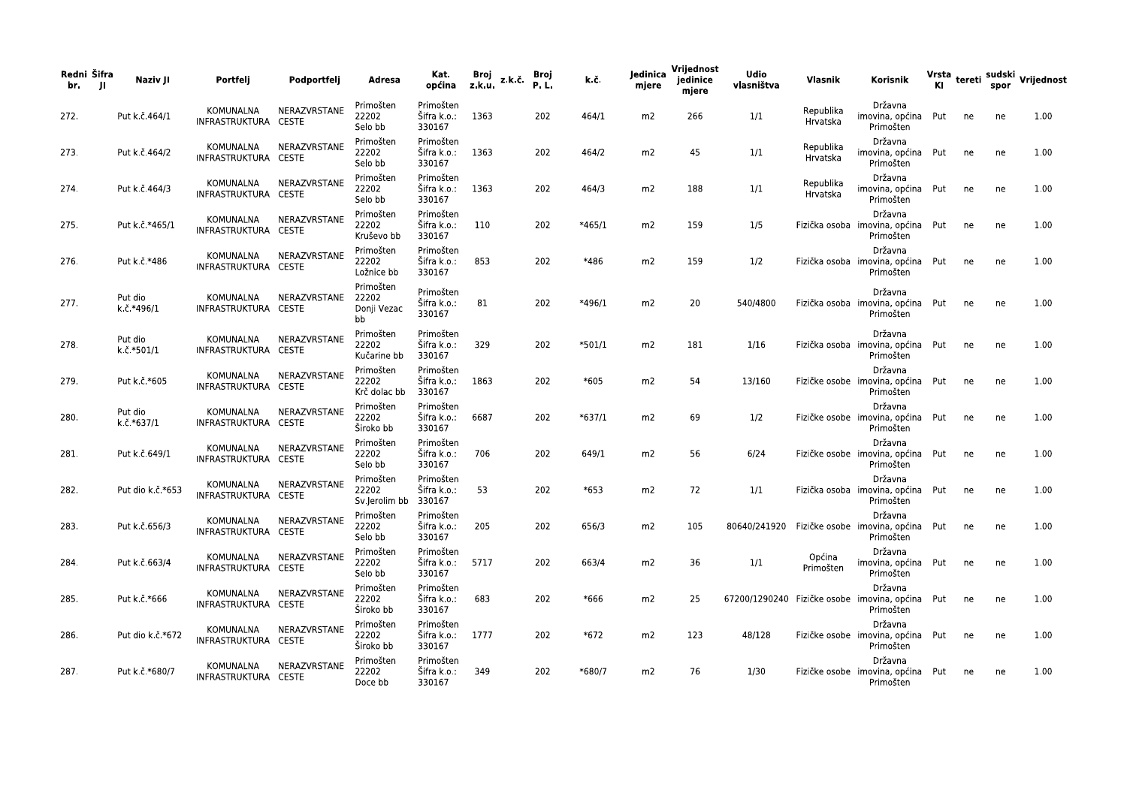| Redni Šifra<br>JI.<br>br. | Naziv JI              | Portfeli                          | Podportfeli  | Adresa                                  | Kat.<br>općina                     | Broj<br>z.k.č.<br>z.k.u. | <b>Broj</b><br><b>P.L.</b> | k.č.     | ledinica<br>mjere | Vrijednost<br>jedinice<br>mjere | <b>Udio</b><br>vlasništva | Vlasnik               | Korisnik                                                  | ΚI  |    | spor | Vrsta tereti sudski Vrijednost |
|---------------------------|-----------------------|-----------------------------------|--------------|-----------------------------------------|------------------------------------|--------------------------|----------------------------|----------|-------------------|---------------------------------|---------------------------|-----------------------|-----------------------------------------------------------|-----|----|------|--------------------------------|
| 272.                      | Put k.č.464/1         | KOMUNALNA<br>INFRASTRUKTURA CESTE | NERAZVRSTANE | Primošten<br>22202<br>Selo bb           | Primošten<br>Šifra k.o.:<br>330167 | 1363                     | 202                        | 464/1    | m <sub>2</sub>    | 266                             | 1/1                       | Republika<br>Hrvatska | Državna<br>imovina, općina<br>Primošten                   | Put | ne | ne   | 1.00                           |
| 273.                      | Put k.č.464/2         | KOMUNALNA<br>INFRASTRUKTURA CESTE | NERAZVRSTANE | Primošten<br>22202<br>Selo bb           | Primošten<br>Šifra k.o.:<br>330167 | 1363                     | 202                        | 464/2    | m <sub>2</sub>    | 45                              | 1/1                       | Republika<br>Hrvatska | Državna<br>imovina, općina Put<br>Primošten               |     | ne | ne   | 1.00                           |
| 274.                      | Put k.č.464/3         | KOMUNALNA<br>INFRASTRUKTURA CESTE | NERAZVRSTANE | Primošten<br>22202<br>Selo bb           | Primošten<br>Šifra k.o.:<br>330167 | 1363                     | 202                        | 464/3    | m2                | 188                             | 1/1                       | Republika<br>Hrvatska | Državna<br>imovina, općina Put<br>Primošten               |     | ne | ne   | 1.00                           |
| 275.                      | Put k.č.*465/1        | KOMUNALNA<br>INFRASTRUKTURA CESTE | NERAZVRSTANE | Primošten<br>22202<br>Kruševo bb        | Primošten<br>Šifra k.o.:<br>330167 | 110                      | 202                        | $*465/1$ | m <sub>2</sub>    | 159                             | 1/5                       |                       | Državna<br>Fizička osoba imovina, općina Put<br>Primošten |     | ne | ne   | 1.00                           |
| 276.                      | Put k.č.*486          | KOMUNALNA<br>INFRASTRUKTURA CESTE | NERAZVRSTANE | Primošten<br>22202<br>Ložnice bb        | Primošten<br>Šifra k.o.:<br>330167 | 853                      | 202                        | *486     | m <sub>2</sub>    | 159                             | 1/2                       |                       | Državna<br>Fizička osoba imovina, općina Put<br>Primošten |     | ne | ne   | 1.00                           |
| 277.                      | Put dio<br>k č *496/1 | KOMUNALNA<br>INFRASTRUKTURA CESTE | NERAZVRSTANE | Primošten<br>22202<br>Donji Vezac<br>bb | Primošten<br>Šifra k.o.:<br>330167 | 81                       | 202                        | *496/1   | m <sub>2</sub>    | 20                              | 540/4800                  |                       | Državna<br>Fizička osoba imovina, općina Put<br>Primošten |     | ne | ne   | 1.00                           |
| 278.                      | Put dio<br>k.č.*501/1 | KOMUNALNA<br>INFRASTRUKTURA CESTE | NERAZVRSTANE | Primošten<br>22202<br>Kučarine bb       | Primošten<br>Šifra k.o.:<br>330167 | 329                      | 202                        | *501/1   | m <sub>2</sub>    | 181                             | 1/16                      |                       | Državna<br>Fizička osoba imovina, općina Put<br>Primošten |     | ne | ne   | 1.00                           |
| 279.                      | Put k.č.*605          | KOMUNALNA<br>INFRASTRUKTURA CESTE | NERAZVRSTANE | Primošten<br>22202<br>Krč dolac bb      | Primošten<br>Šifra k.o.:<br>330167 | 1863                     | 202                        | $*605$   | m <sub>2</sub>    | 54                              | 13/160                    |                       | Državna<br>Fizičke osobe imovina, općina<br>Primošten     | Put | ne | ne   | 1.00                           |
| 280.                      | Put dio<br>k.č.*637/1 | KOMUNALNA<br>INFRASTRUKTURA CESTE | NERAZVRSTANE | Primošten<br>22202<br>Široko bb         | Primošten<br>Šifra k.o.:<br>330167 | 6687                     | 202                        | *637/1   | m <sub>2</sub>    | 69                              | 1/2                       |                       | Državna<br>Fizičke osobe imovina, općina Put<br>Primošten |     | ne | ne   | 1.00                           |
| 281.                      | Put k.č.649/1         | KOMUNALNA<br>INFRASTRUKTURA CESTE | NERAZVRSTANE | Primošten<br>22202<br>Selo bb           | Primošten<br>Šifra k.o.:<br>330167 | 706                      | 202                        | 649/1    | m <sub>2</sub>    | 56                              | 6/24                      |                       | Državna<br>Fizičke osobe imovina, općina Put<br>Primošten |     | ne | ne   | 1.00                           |
| 282.                      | Put dio k.č.*653      | KOMUNALNA<br>INFRASTRUKTURA CESTE | NERAZVRSTANE | Primošten<br>22202<br>Sv.Jerolim bb     | Primošten<br>Šifra k.o.:<br>330167 | 53                       | 202                        | $*653$   | m <sub>2</sub>    | 72                              | 1/1                       |                       | Državna<br>Fizička osoba imovina, općina<br>Primošten     | Put | ne | ne   | 1.00                           |
| 283.                      | Put k.č.656/3         | KOMUNALNA<br>INFRASTRUKTURA CESTE | NERAZVRSTANE | Primošten<br>22202<br>Selo bb           | Primošten<br>Šifra k.o.:<br>330167 | 205                      | 202                        | 656/3    | m <sub>2</sub>    | 105                             | 80640/241920              |                       | Državna<br>Fizičke osobe imovina, općina Put<br>Primošten |     | ne | ne   | 1.00                           |
| 284.                      | Put k.č.663/4         | KOMUNALNA<br>INFRASTRUKTURA CESTE | NERAZVRSTANE | Primošten<br>22202<br>Selo bb           | Primošten<br>Šifra k.o.:<br>330167 | 5717                     | 202                        | 663/4    | m <sub>2</sub>    | 36                              | 1/1                       | Općina<br>Primošten   | Državna<br>imovina, općina<br>Primošten                   | Put | ne | ne   | 1.00                           |
| 285.                      | Put k.č.*666          | KOMUNALNA<br>INFRASTRUKTURA CESTE | NERAZVRSTANE | Primošten<br>22202<br>Široko bb         | Primošten<br>Sifra k.o.:<br>330167 | 683                      | 202                        | *666     | m <sub>2</sub>    | 25                              | 67200/1290240             |                       | Državna<br>Fizičke osobe imovina, općina<br>Primošten     | Put | ne | ne   | 1.00                           |
| 286.                      | Put dio k.č.*672      | KOMUNALNA<br>INFRASTRUKTURA CESTE | NERAZVRSTANE | Primošten<br>22202<br>Široko bb         | Primošten<br>Šifra k.o.:<br>330167 | 1777                     | 202                        | $*672$   | m <sub>2</sub>    | 123                             | 48/128                    |                       | Državna<br>Fizičke osobe imovina, općina Put<br>Primošten |     | ne | ne   | 1.00                           |
| 287.                      | Put k.č.*680/7        | KOMUNALNA<br>INFRASTRUKTURA CESTE | NERAZVRSTANE | Primošten<br>22202<br>Doce bb           | Primošten<br>Šifra k.o.:<br>330167 | 349                      | 202                        | *680/7   | m <sub>2</sub>    | 76                              | 1/30                      |                       | Državna<br>Fizičke osobe imovina, općina Put<br>Primošten |     | ne | ne   | 1.00                           |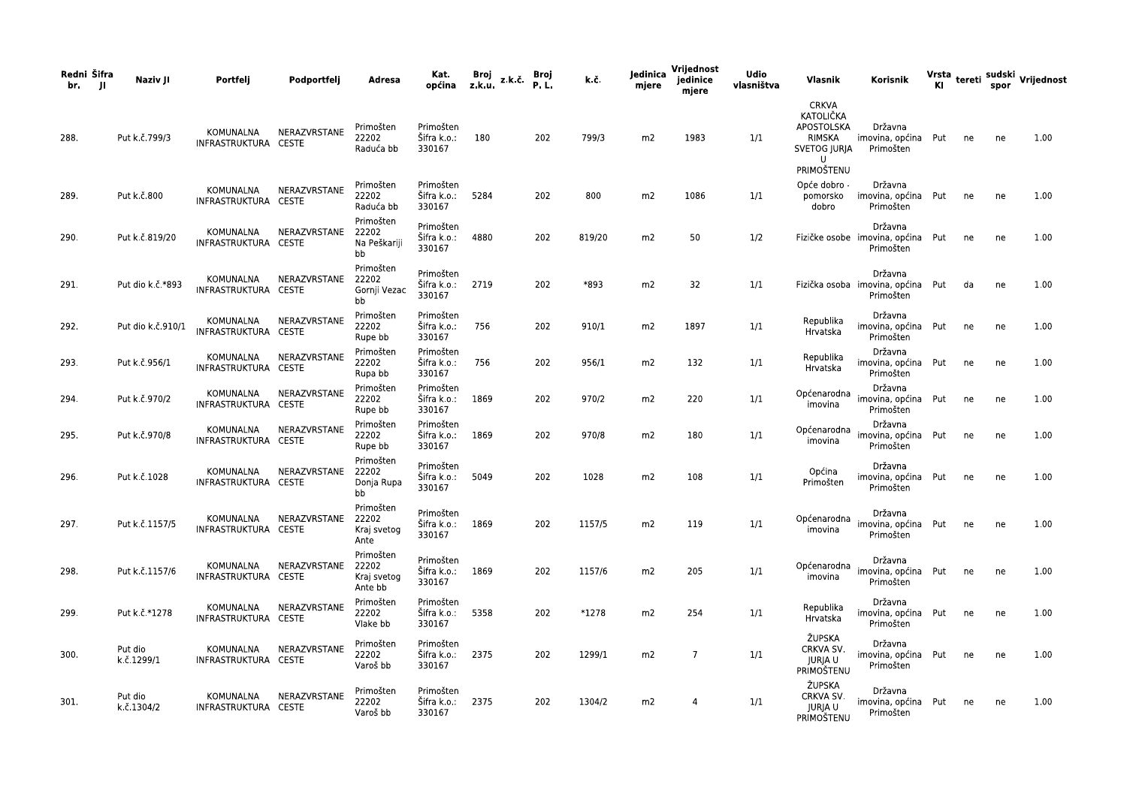| Redni Šifra<br>br.<br>л | Naziv JI              | Portfelj                          | Podportfelj        | Adresa                                       | Kat.<br>općina                     | Broj<br>z.k.č.<br>z.k.u. | Broj<br>P.L. | k.č.   | Jedinica<br>mjere | Vrijednost<br>jedinice<br>mjere | Udio<br>vlasništva | Vlasnik                                                                                         | Korisnik                                                  |     |    | spor | Vrsta tereti sudski Vrijednost<br>Kl spor |
|-------------------------|-----------------------|-----------------------------------|--------------------|----------------------------------------------|------------------------------------|--------------------------|--------------|--------|-------------------|---------------------------------|--------------------|-------------------------------------------------------------------------------------------------|-----------------------------------------------------------|-----|----|------|-------------------------------------------|
| 288.                    | Put k.č.799/3         | KOMUNALNA<br>INFRASTRUKTURA CESTE | NERAZVRSTANE       | Primošten<br>22202<br>Raduća bb              | Primošten<br>Šifra k.o.:<br>330167 | 180                      | 202          | 799/3  | m2                | 1983                            | 1/1                | <b>CRKVA</b><br>KATOLIČKA<br>APOSTOLSKA<br>RIMSKA<br>SVETOG JURJA<br>$\mathbf{U}$<br>PRIMOŠTENU | Državna<br>imovina, općina Put<br>Primošten               |     | ne | ne   | 1.00                                      |
| 289.                    | Put k.č.800           | KOMUNALNA<br>INFRASTRUKTURA CESTE | NERAZVRSTANE       | Primošten<br>22202<br>Raduća bb              | Primošten<br>Šifra k.o.:<br>330167 | 5284                     | 202          | 800    | m <sub>2</sub>    | 1086                            | 1/1                | Opće dobro -<br>pomorsko<br>dobro                                                               | Državna<br>imovina, općina<br>Primošten                   | Put | ne | ne   | 1.00                                      |
| 290.                    | Put k.č.819/20        | KOMUNALNA<br>INFRASTRUKTURA CESTE | NERAZVRSTANE       | Primošten<br>22202<br>Na Peškariji<br>bb     | Primošten<br>Šifra k.o.:<br>330167 | 4880                     | 202          | 819/20 | m <sub>2</sub>    | 50                              | 1/2                |                                                                                                 | Državna<br>Fizičke osobe imovina, općina Put<br>Primošten |     | ne | ne   | 1.00                                      |
| 291.                    | Put dio k.č.*893      | KOMUNALNA<br>INFRASTRUKTURA CESTE | NERAZVRSTANE 22202 | Primošten<br>Gornji Vezac<br>bb              | Primošten<br>Šifra k.o.:<br>330167 | 2719                     | 202          | *893   | m <sub>2</sub>    | 32                              | 1/1                |                                                                                                 | Državna<br>Fizička osoba imovina, općina Put<br>Primošten |     | da | ne   | 1.00                                      |
| 292.                    | Put dio k.č.910/1     | KOMUNALNA<br>INFRASTRUKTURA CESTE | NERAZVRSTANE       | Primošten<br>22202<br>Rupe bb                | Primošten<br>Šifra k.o.:<br>330167 | 756                      | 202          | 910/1  | m2                | 1897                            | 1/1                | Republika<br>Hrvatska                                                                           | Državna<br>imovina, općina<br>Primošten                   | Put | ne | ne   | 1.00                                      |
| 293.                    | Put k.č.956/1         | KOMUNALNA<br>INFRASTRUKTURA CESTE | NERAZVRSTANE       | Primošten<br>22202<br>Rupa bb                | Primošten<br>Šifra k.o.:<br>330167 | 756                      | 202          | 956/1  | m2                | 132                             | 1/1                | Republika<br>Hrvatska                                                                           | Državna<br>imovina, općina<br>Primošten                   | Put | ne | ne   | 1.00                                      |
| 294.                    | Put k.č.970/2         | KOMUNALNA<br>INFRASTRUKTURA CESTE | NERAZVRSTANE       | Primošten<br>22202<br>Rupe bb                | Primošten<br>Sifra k.o.:<br>330167 | 1869                     | 202          | 970/2  | m <sub>2</sub>    | 220                             | 1/1                | Općenarodna<br>imovina                                                                          | Državna<br>imovina, općina Put<br>Primošten               |     | ne | ne   | 1.00                                      |
| 295.                    | Put k.č.970/8         | KOMUNALNA<br>INFRASTRUKTURA CESTE | NERAZVRSTANE       | Primošten<br>22202<br>Rupe bb                | Primošten<br>Šifra k.o.:<br>330167 | 1869                     | 202          | 970/8  | m2                | 180                             | 1/1                | Općenarodna<br>imovina                                                                          | Državna<br>imovina, općina Put<br>Primošten               |     | ne | ne   | 1.00                                      |
| 296.                    | Put k.č.1028          | KOMUNALNA<br>INFRASTRUKTURA CESTE | NERAZVRSTANE       | Primošten<br>22202<br>Donja Rupa<br>bb       | Primošten<br>Šifra k.o.:<br>330167 | 5049                     | 202          | 1028   | m2                | 108                             | 1/1                | Općina<br>Primošten                                                                             | Državna<br>imovina, općina<br>Primošten                   | Put | ne | ne   | 1.00                                      |
| 297.                    | Put k.č.1157/5        | KOMUNALNA<br>INFRASTRUKTURA CESTE | NERAZVRSTANE       | Primošten<br>22202<br>Kraj svetog<br>Ante    | Primošten<br>Šifra k.o.:<br>330167 | 1869                     | 202          | 1157/5 | m2                | 119                             | 1/1                | Općenarodna<br>imovina                                                                          | Državna<br>imovina, općina Put<br>Primošten               |     | ne | ne   | 1.00                                      |
| 298.                    | Put k.č.1157/6        | KOMUNALNA<br>INFRASTRUKTURA CESTE | NERAZVRSTANE       | Primošten<br>22202<br>Kraj svetog<br>Ante bb | Primošten<br>Šifra k.o.:<br>330167 | 1869                     | 202          | 1157/6 | m2                | 205                             | 1/1                | Općenarodna<br>imovina                                                                          | Državna<br>imovina, općina<br>Primošten                   | Put | ne | ne   | 1.00                                      |
| 299.                    | Put k.č.*1278         | KOMUNALNA<br>INFRASTRUKTURA CESTE | NERAZVRSTANE       | Primošten<br>22202<br>Vlake bb               | Primošten<br>Šifra k.o.:<br>330167 | 5358                     | 202          | *1278  | m <sub>2</sub>    | 254                             | 1/1                | Republika<br>Hrvatska                                                                           | Državna<br>imovina, općina Put<br>Primošten               |     | ne | ne   | 1.00                                      |
| 300.                    | Put dio<br>k.č.1299/1 | KOMUNALNA<br>INFRASTRUKTURA CESTE | NERAZVRSTANE       | Primošten<br>22202<br>Varoš bb               | Primošten<br>Šifra k.o.:<br>330167 | 2375                     | 202          | 1299/1 | m <sub>2</sub>    | $\overline{7}$                  | 1/1                | ŽUPSKA<br>CRKVA SV.<br><b>JURJAU</b><br>PRIMOŠTENU                                              | Državna<br>imovina, općina Put<br>Primošten               |     | ne | ne   | 1.00                                      |
| 301.                    | Put dio<br>k.č.1304/2 | KOMUNALNA<br>INFRASTRUKTURA CESTE | NERAZVRSTANE       | Primošten<br>22202<br>Varoš bb               | Primošten<br>Šifra k.o.:<br>330167 | 2375                     | 202          | 1304/2 | m2                | 4                               | 1/1                | ŽUPSKA<br>CRKVA SV.<br><b>JURJAU</b><br>PRIMOŠTENU                                              | Državna<br>imovina, općina Put<br>Primošten               |     | ne | ne   | 1.00                                      |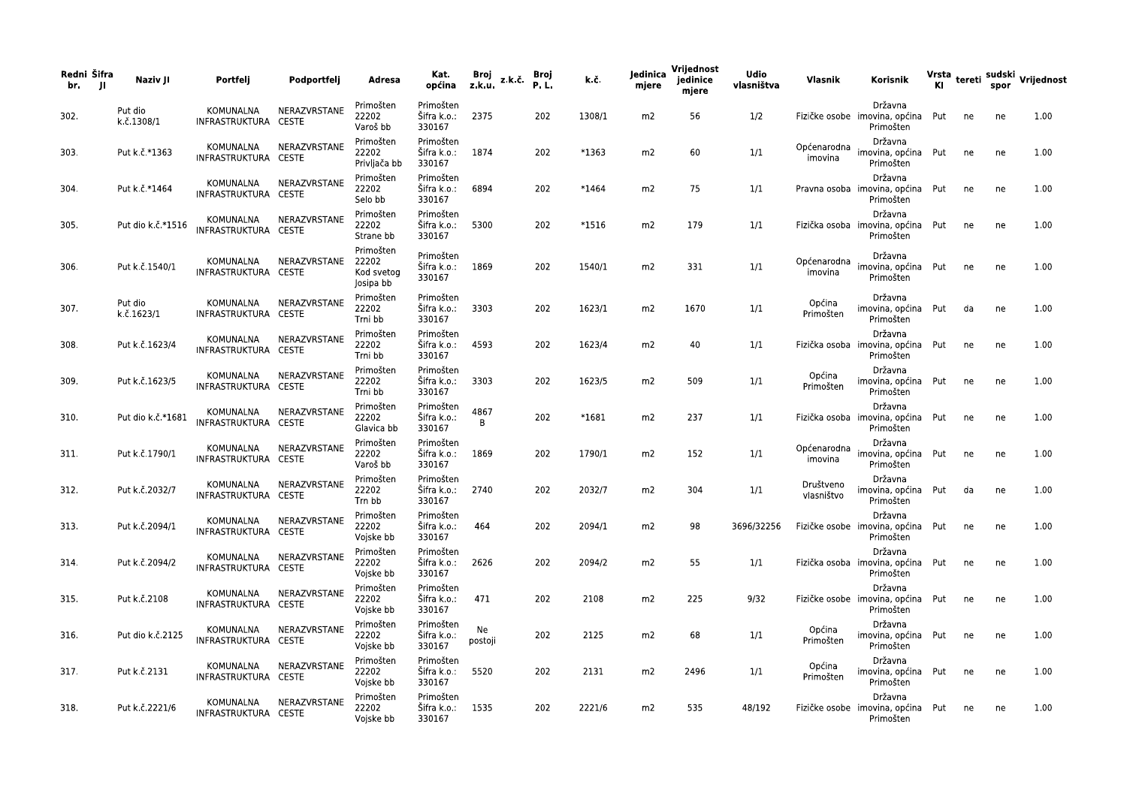| Redni Šifra<br>br.<br>- 11 | Naziv JI              | Portfelj                          | Podportfelj  | Adresa                                        | Kat.<br>općina                          | Broj<br>z.k.u. | z.k.č | Broj<br>P.L. | k.č.    | Jedinica<br>mjere | Vrijednost<br>jedinice<br>mjere | <b>Udio</b><br>vlasništva | Vlasnik                 | Korisnik                                                  |     |    |    | Vrsta tereti sudski Vrijednost<br>Kl spor |
|----------------------------|-----------------------|-----------------------------------|--------------|-----------------------------------------------|-----------------------------------------|----------------|-------|--------------|---------|-------------------|---------------------------------|---------------------------|-------------------------|-----------------------------------------------------------|-----|----|----|-------------------------------------------|
| 302.                       | Put dio<br>k.č.1308/1 | KOMUNALNA<br>INFRASTRUKTURA CESTE | NERAZVRSTANE | Primošten<br>22202<br>Varoš bb                | Primošten<br>Šifra k.o.:<br>330167      | 2375           |       | 202          | 1308/1  | m2                | 56                              | 1/2                       |                         | Državna<br>Fizičke osobe imovina, općina<br>Primošten     | Put | ne | ne | 1.00                                      |
| 303.                       | Put k.č.*1363         | KOMUNALNA<br>INFRASTRUKTURA CESTE | NERAZVRSTANE | Primošten<br>22202<br>Privljača bb            | Primošten<br>Šifra k.o.:<br>330167      | 1874           |       | 202          | *1363   | m2                | 60                              | 1/1                       | Općenarodna<br>imovina  | Državna<br>imovina, općina Put<br>Primošten               |     | ne | ne | 1.00                                      |
| 304.                       | Put k.č.*1464         | KOMUNALNA<br>INFRASTRUKTURA CESTE | NERAZVRSTANE | Primošten<br>22202<br>Selo bb                 | Primošten<br>Šifra k.o.:<br>330167      | 6894           |       | 202          | $*1464$ | m2                | 75                              | 1/1                       |                         | Državna<br>Pravna osoba imovina, općina<br>Primošten      | Put | ne | ne | 1.00                                      |
| 305.                       | Put dio k.č.*1516     | KOMUNALNA<br>INFRASTRUKTURA CESTE | NERAZVRSTANE | Primošten<br>22202<br>Strane bb               | Primošten<br>Šifra k.o.:<br>330167      | 5300           |       | 202          | $*1516$ | m2                | 179                             | 1/1                       |                         | Državna<br>Fizička osoba imovina, općina Put<br>Primošten |     | ne | ne | 1.00                                      |
| 306.                       | Put k.č.1540/1        | KOMUNALNA<br>INFRASTRUKTURA CESTE | NERAZVRSTANE | Primošten<br>22202<br>Kod svetog<br>Josipa bb | Primošten<br>Šifra k.o.:<br>330167      | 1869           |       | 202          | 1540/1  | m2                | 331                             | 1/1                       | Općenarodna<br>imovina  | Državna<br>imovina, općina Put<br>Primošten               |     | ne | ne | 1.00                                      |
| 307.                       | Put dio<br>k.č.1623/1 | KOMUNALNA<br>INFRASTRUKTURA CESTE | NERAZVRSTANE | Primošten<br>22202<br>Trni bb                 | Primošten<br>Šifra k.o.:<br>330167      | 3303           |       | 202          | 1623/1  | m2                | 1670                            | 1/1                       | Općina<br>Primošten     | Državna<br>imovina, općina<br>Primošten                   | Put | da | ne | 1.00                                      |
| 308.                       | Put k.č.1623/4        | KOMUNALNA<br>INFRASTRUKTURA CESTE | NERAZVRSTANE | Primošten<br>22202<br>Trni bb                 | Primošten<br>Šifra k.o.:<br>330167      | 4593           |       | 202          | 1623/4  | m2                | 40                              | 1/1                       |                         | Državna<br>Fizička osoba imovina, općina Put<br>Primošten |     | ne | ne | 1.00                                      |
| 309.                       | Put k.č.1623/5        | KOMUNALNA<br>INFRASTRUKTURA CESTE | NERAZVRSTANE | Primošten<br>22202<br>Trni bb                 | Primošten<br>Šifra k.o.:<br>330167      | 3303           |       | 202          | 1623/5  | m2                | 509                             | 1/1                       | Općina<br>Primošten     | Državna<br>imovina, općina<br>Primošten                   | Put | ne | ne | 1.00                                      |
| 310.                       | Put dio k.č.*1681     | KOMUNALNA<br>INFRASTRUKTURA CESTE | NERAZVRSTANE | Primošten<br>22202<br>Glavica bb              | Primošten<br>Šifra k.o.:<br>330167      | 4867<br>B      |       | 202          | $*1681$ | m2                | 237                             | 1/1                       | Fizička osoba           | Državna<br>imovina, općina Put<br>Primošten               |     | ne | ne | 1.00                                      |
| 311.                       | Put k.č.1790/1        | KOMUNALNA<br>INFRASTRUKTURA CESTE | NERAZVRSTANE | Primošten<br>22202<br>Varoš bb                | Primošten<br>Šifra k.o.:<br>330167      | 1869           |       | 202          | 1790/1  | m2                | 152                             | 1/1                       | Općenarodna<br>imovina  | Državna<br>imovina, općina<br>Primošten                   | Put | ne | ne | 1.00                                      |
| 312.                       | Put k.č.2032/7        | KOMUNALNA<br>INFRASTRUKTURA CESTE | NERAZVRSTANE | Primošten<br>22202<br>Trn bb                  | Primošten<br>Šifra k.o.:<br>330167      | 2740           |       | 202          | 2032/7  | m2                | 304                             | 1/1                       | Društveno<br>vlasništvo | Državna<br>imovina, općina Put<br>Primošten               |     | da | ne | 1.00                                      |
| 313.                       | Put k.č.2094/1        | KOMUNALNA<br>INFRASTRUKTURA CESTE | NERAZVRSTANE | Primošten<br>22202<br>Vojske bb               | Primošten<br>Sifra k.o.:<br>330167      | 464            |       | 202          | 2094/1  | m2                | 98                              | 3696/32256                |                         | Državna<br>Fizičke osobe imovina, općina<br>Primošten     | Put | ne | ne | 1.00                                      |
| 314.                       | Put k.č.2094/2        | KOMUNALNA<br>INFRASTRUKTURA CESTE | NERAZVRSTANE | Primošten<br>22202<br>Vojske bb               | Primošten<br>Šifra k.o.:<br>330167      | 2626           |       | 202          | 2094/2  | m2                | 55                              | 1/1                       |                         | Državna<br>Fizička osoba imovina, općina Put<br>Primošten |     | ne | ne | 1.00                                      |
| 315.                       | Put k.č.2108          | KOMUNALNA<br>INFRASTRUKTURA CESTE | NERAZVRSTANE | Primošten<br>22202<br>Vojske bb               | Primošten<br>Šifra k.o.:<br>330167      | 471            |       | 202          | 2108    | m2                | 225                             | 9/32                      |                         | Državna<br>Fizičke osobe imovina, općina Put<br>Primošten |     | ne | ne | 1.00                                      |
| 316.                       | Put dio k.č.2125      | KOMUNALNA<br>INFRASTRUKTURA CESTE | NERAZVRSTANE | Primošten<br>22202<br>Vojske bb               | Primošten<br>Šifra k.o.:<br>330167      | Ne<br>postoji  |       | 202          | 2125    | m2                | 68                              | 1/1                       | Općina<br>Primošten     | Državna<br>imovina, općina Put<br>Primošten               |     | ne | ne | 1.00                                      |
| 317.                       | Put k.č.2131          | KOMUNALNA<br>INFRASTRUKTURA CESTE | NERAZVRSTANE | Primošten<br>22202<br>Vojske bb               | Primošten<br>Šifra k.o.:<br>330167      | 5520           |       | 202          | 2131    | m2                | 2496                            | 1/1                       | Općina<br>Primošten     | Državna<br>imovina, općina Put<br>Primošten               |     | ne | ne | 1.00                                      |
| 318.                       | Put k.č.2221/6        | KOMUNALNA<br>INFRASTRUKTURA CESTE | NERAZVRSTANE | Primošten<br>22202<br>Vojske bb               | Primošten<br>Sifra k.o.: 1535<br>330167 |                |       | 202          | 2221/6  | m2                | 535                             | 48/192                    |                         | Državna<br>Fizičke osobe imovina, općina Put<br>Primošten |     | ne | ne | 1.00                                      |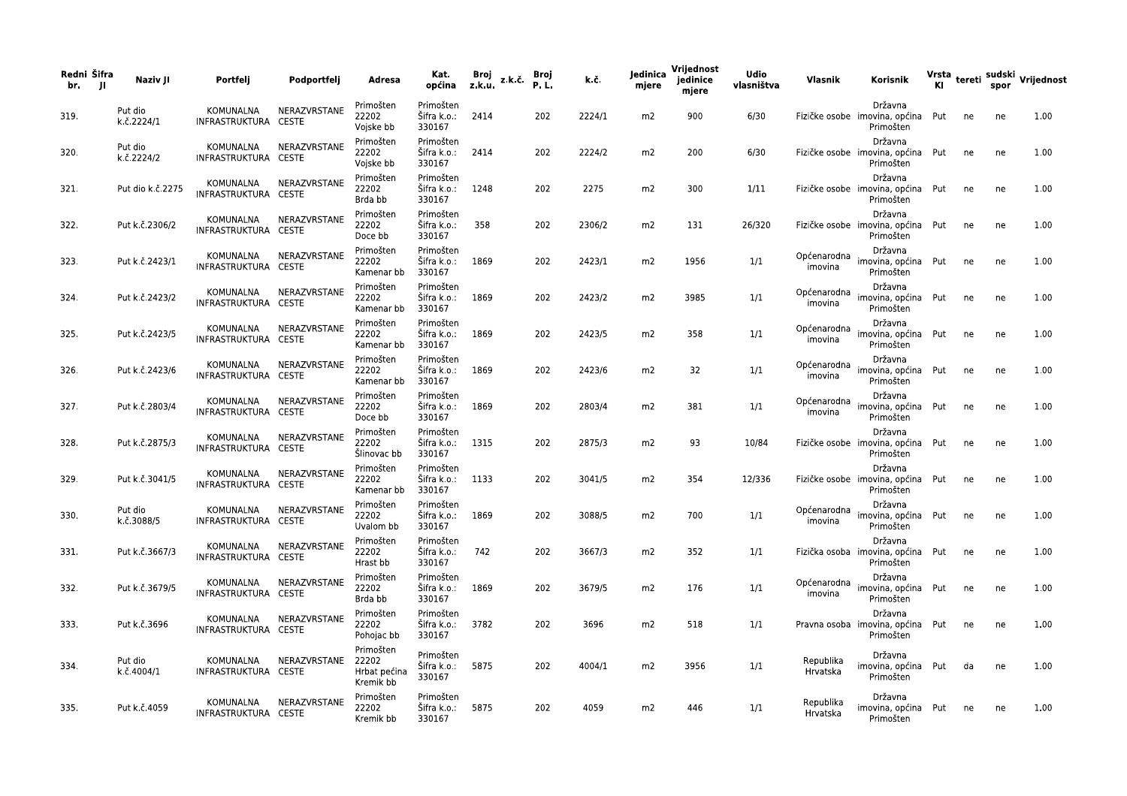| Redni Šifra<br>br.<br>- 11 | Naziv JI              | Portfelj                          | Podportfelj            | Adresa                                 | Kat.<br>općina                          | Broj<br>z.k.u. | z.k.č. | Broj<br>P.L. | k.č.   | Jedinica<br>mjere | Vrijednost<br>jedinice<br>mjere | <b>Udio</b><br>vlasništva | Vlasnik                | Korisnik                                                  |     |    |    | Vrsta tereti sudski Vrijednost<br>Kl spor |
|----------------------------|-----------------------|-----------------------------------|------------------------|----------------------------------------|-----------------------------------------|----------------|--------|--------------|--------|-------------------|---------------------------------|---------------------------|------------------------|-----------------------------------------------------------|-----|----|----|-------------------------------------------|
| 319.                       | Put dio<br>k.č.2224/1 | KOMUNALNA<br>INFRASTRUKTURA CESTE | NERAZVRSTANE           | Primošten<br>22202<br>Vojske bb        | Primošten<br>Šifra k.o.:<br>330167      | 2414           |        | 202          | 2224/1 | m2                | 900                             | 6/30                      |                        | Državna<br>Fizičke osobe imovina, općina<br>Primošten     | Put | ne | ne | 1.00                                      |
| 320.                       | Put dio<br>k.č.2224/2 | KOMUNALNA<br>INFRASTRUKTURA CESTE | NERAZVRSTANE           | Primošten<br>22202<br>Vojske bb        | Primošten<br>Šifra k.o.:<br>330167      | 2414           |        | 202          | 2224/2 | m2                | 200                             | 6/30                      |                        | Državna<br>Fizičke osobe imovina, općina Put<br>Primošten |     | ne | ne | 1.00                                      |
| 321.                       | Put dio k.č.2275      | KOMUNALNA<br>INFRASTRUKTURA CESTE | NERAZVRSTANE           | Primošten<br>22202<br>Brda bb          | Primošten<br>Šifra k.o.:<br>330167      | 1248           |        | 202          | 2275   | m2                | 300                             | 1/11                      |                        | Državna<br>Fizičke osobe imovina, općina Put<br>Primošten |     | ne | ne | 1.00                                      |
| 322.                       | Put k.č.2306/2        | KOMUNALNA<br>INFRASTRUKTURA CESTE | NERAZVRSTANE           | Primošten<br>22202<br>Doce bb          | Primošten<br>Sifra k.o.:<br>330167      | 358            |        | 202          | 2306/2 | m2                | 131                             | 26/320                    |                        | Državna<br>Fizičke osobe imovina, općina Put<br>Primošten |     | ne | ne | 1.00                                      |
| 323.                       | Put k.č.2423/1        | KOMUNALNA<br>INFRASTRUKTURA CESTE | NERAZVRSTANE           | Primošten<br>22202<br>Kamenar bb       | Primošten<br>Šifra k.o.:<br>330167      | 1869           |        | 202          | 2423/1 | m2                | 1956                            | 1/1                       | Općenarodna<br>imovina | Državna<br>imovina, općina<br>Primošten                   | Put | ne | ne | 1.00                                      |
| 324.                       | Put k.č.2423/2        | KOMUNALNA<br>INFRASTRUKTURA CESTE | NERAZVRSTANE           | Primošten<br>22202<br>Kamenar bb       | Primošten<br>Šifra k.o.:<br>330167      | 1869           |        | 202          | 2423/2 | m2                | 3985                            | 1/1                       | Općenarodna<br>imovina | Državna<br>imovina, općina Put<br>Primošten               |     | ne | ne | 1.00                                      |
| 325.                       | Put k.č.2423/5        | KOMUNALNA<br>INFRASTRUKTURA CESTE | NERAZVRSTANE           | Primošten<br>22202<br>Kamenar bb       | Primošten<br>Šifra k.o.:<br>330167      | 1869           |        | 202          | 2423/5 | m2                | 358                             | 1/1                       | Općenarodna<br>imovina | Državna<br>imovina, općina<br>Primošten                   | Put | ne | ne | 1.00                                      |
| 326.                       | Put k.č.2423/6        | KOMUNALNA<br>INFRASTRUKTURA CESTE | NERAZVRSTANE           | Primošten<br>22202<br>Kamenar bb       | Primošten<br>Sifra k.o.:<br>330167      | 1869           |        | 202          | 2423/6 | m2                | 32                              | 1/1                       | Općenarodna<br>imovina | Državna<br>imovina, općina Put<br>Primošten               |     | ne | ne | 1.00                                      |
| 327.                       | Put k.č.2803/4        | KOMUNALNA<br>INFRASTRUKTURA CESTE | NERAZVRSTANE           | Primošten<br>22202<br>Doce bb          | Primošten<br>Sifra k.o.:<br>330167      | 1869           |        | 202          | 2803/4 | m2                | 381                             | 1/1                       | Općenarodna<br>imovina | Državna<br>imovina, općina<br>Primošten                   | Put | ne | ne | 1.00                                      |
| 328.                       | Put k.č.2875/3        | KOMUNALNA<br>INFRASTRUKTURA CESTE | NERAZVRSTANE           | Primošten<br>22202<br>Slinovac bb      | Primošten<br>Sifra k.o.:<br>330167      | 1315           |        | 202          | 2875/3 | m2                | 93                              | 10/84                     |                        | Državna<br>Fizičke osobe imovina, općina Put<br>Primošten |     | ne | ne | 1.00                                      |
| 329.                       | Put k.č.3041/5        | KOMUNALNA<br>INFRASTRUKTURA CESTE | NERAZVRSTANE           | Primošten<br>22202<br>Kamenar bb       | Primošten<br>Sifra k.o.:<br>330167      | 1133           |        | 202          | 3041/5 | m2                | 354                             | 12/336                    |                        | Državna<br>Fizičke osobe imovina, općina<br>Primošten     | Put | ne | ne | 1.00                                      |
| 330.                       | Put dio<br>k.č.3088/5 | KOMUNALNA<br>INFRASTRUKTURA CESTE | NERAZVRSTANE           | Primošten<br>22202<br>Uvalom bb        | Primošten<br>Sifra k.o.:<br>330167      | 1869           |        | 202          | 3088/5 | m2                | 700                             | 1/1                       | Općenarodna<br>imovina | Državna<br>imovina, općina Put<br>Primošten               |     | ne | ne | 1.00                                      |
| 331.                       | Put k.č.3667/3        | KOMUNALNA<br>INFRASTRUKTURA CESTE | NERAZVRSTANE           | Primošten<br>22202<br>Hrast bb         | Primošten<br>Sifra k.o.:<br>330167      | 742            |        | 202          | 3667/3 | m2                | 352                             | 1/1                       |                        | Državna<br>Fizička osoba imovina, općina<br>Primošten     | Put | ne | ne | 1.00                                      |
| 332.                       | Put k.č.3679/5        | INFRASTRUKTURA CESTE              | KOMUNALNA NERAZVRSTANE | Primošten<br>22202<br>Brda bb          | Primošten<br>Sifra k.o.: 1869<br>330167 |                |        | 202          | 3679/5 | m2                | 176                             | 1/1                       | Općenarodna<br>imovina | Državna<br>imovina, općina Put<br>Primošten               |     | ne | ne | 1.00                                      |
| 333.                       | Put k.č.3696          | INFRASTRUKTURA CESTE              | KOMUNALNA NERAZVRSTANE | Primošten<br>22202<br>Pohojac bb       | Primošten<br>Šifra k.o.: 3782<br>330167 |                |        | 202          | 3696   | m2                | 518                             | 1/1                       |                        | Državna<br>Pravna osoba imovina, općina Put<br>Primošten  |     | ne | ne | 1.00                                      |
| 334.                       | Put dio<br>k.č.4004/1 | KOMUNALNA<br>INFRASTRUKTURA CESTE | NERAZVRSTANE 22202     | Primošten<br>Hrbat pećina<br>Kremik bb | Primošten<br>Šifra k.o.: 5875<br>330167 |                |        | 202          | 4004/1 | m2                | 3956                            | 1/1                       | Republika<br>Hrvatska  | Državna<br>imovina, općina Put<br>Primošten               |     | da | ne | 1.00                                      |
| 335.                       | Put k.č.4059          | KOMUNALNA<br>INFRASTRUKTURA CESTE | NERAZVRSTANE           | Primošten<br>22202<br>Kremik bb        | Primošten<br>Sifra k.o.: 5875<br>330167 |                |        | 202          | 4059   | m2                | 446                             | 1/1                       | Republika<br>Hrvatska  | Državna<br>imovina, općina Put<br>Primošten               |     | ne | ne | 1.00                                      |